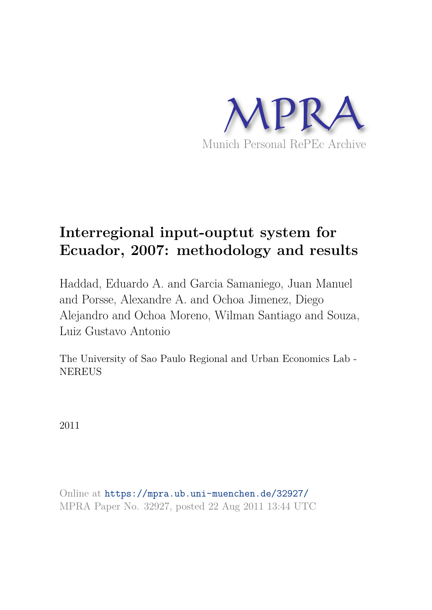

# **Interregional input-ouptut system for Ecuador, 2007: methodology and results**

Haddad, Eduardo A. and Garcia Samaniego, Juan Manuel and Porsse, Alexandre A. and Ochoa Jimenez, Diego Alejandro and Ochoa Moreno, Wilman Santiago and Souza, Luiz Gustavo Antonio

The University of Sao Paulo Regional and Urban Economics Lab - NEREUS

2011

Online at https://mpra.ub.uni-muenchen.de/32927/ MPRA Paper No. 32927, posted 22 Aug 2011 13:44 UTC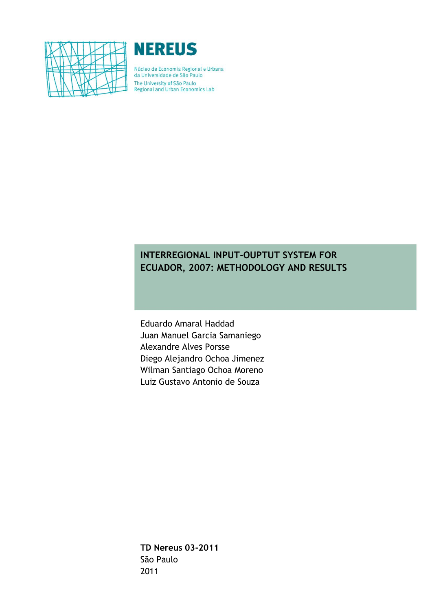



Núcleo de Economia Regional e Urbana da Universidade de São Paulo The University of São Paulo<br>Regional and Urban Economics Lab

# **INTERREGIONAL INPUT-OUPTUT SYSTEM FOR ECUADOR, 2007: METHODOLOGY AND RESULTS**

Eduardo Amaral Haddad Juan Manuel Garcia Samaniego Alexandre Alves Porsse Diego Alejandro Ochoa Jimenez Wilman Santiago Ochoa Moreno Luiz Gustavo Antonio de Souza

**TD Nereus 03-2011** São Paulo 2011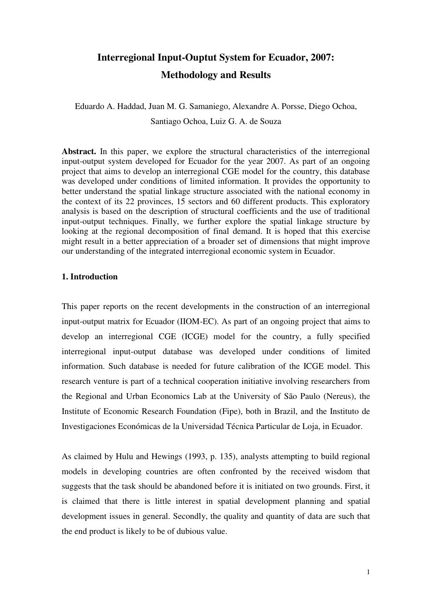# **Interregional Input-Ouptut System for Ecuador, 2007: Methodology and Results**

Eduardo A. Haddad, Juan M. G. Samaniego, Alexandre A. Porsse, Diego Ochoa, Santiago Ochoa, Luiz G. A. de Souza

**Abstract.** In this paper, we explore the structural characteristics of the interregional input-output system developed for Ecuador for the year 2007. As part of an ongoing project that aims to develop an interregional CGE model for the country, this database was developed under conditions of limited information. It provides the opportunity to better understand the spatial linkage structure associated with the national economy in the context of its 22 provinces, 15 sectors and 60 different products. This exploratory analysis is based on the description of structural coefficients and the use of traditional input-output techniques. Finally, we further explore the spatial linkage structure by looking at the regional decomposition of final demand. It is hoped that this exercise might result in a better appreciation of a broader set of dimensions that might improve our understanding of the integrated interregional economic system in Ecuador.

# **1. Introduction**

This paper reports on the recent developments in the construction of an interregional input-output matrix for Ecuador (IIOM-EC). As part of an ongoing project that aims to develop an interregional CGE (ICGE) model for the country, a fully specified interregional input-output database was developed under conditions of limited information. Such database is needed for future calibration of the ICGE model. This research venture is part of a technical cooperation initiative involving researchers from the Regional and Urban Economics Lab at the University of São Paulo (Nereus), the Institute of Economic Research Foundation (Fipe), both in Brazil, and the Instituto de Investigaciones Económicas de la Universidad Técnica Particular de Loja, in Ecuador.

As claimed by Hulu and Hewings (1993, p. 135), analysts attempting to build regional models in developing countries are often confronted by the received wisdom that suggests that the task should be abandoned before it is initiated on two grounds. First, it is claimed that there is little interest in spatial development planning and spatial development issues in general. Secondly, the quality and quantity of data are such that the end product is likely to be of dubious value.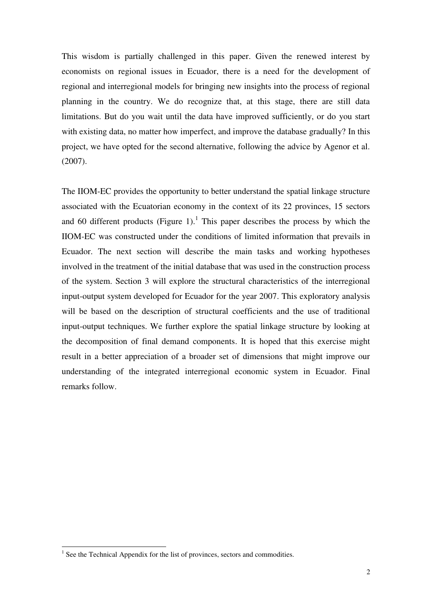This wisdom is partially challenged in this paper. Given the renewed interest by economists on regional issues in Ecuador, there is a need for the development of regional and interregional models for bringing new insights into the process of regional planning in the country. We do recognize that, at this stage, there are still data limitations. But do you wait until the data have improved sufficiently, or do you start with existing data, no matter how imperfect, and improve the database gradually? In this project, we have opted for the second alternative, following the advice by Agenor et al. (2007).

The IIOM-EC provides the opportunity to better understand the spatial linkage structure associated with the Ecuatorian economy in the context of its 22 provinces, 15 sectors and 60 different products (Figure 1).<sup>1</sup> This paper describes the process by which the IIOM-EC was constructed under the conditions of limited information that prevails in Ecuador. The next section will describe the main tasks and working hypotheses involved in the treatment of the initial database that was used in the construction process of the system. Section 3 will explore the structural characteristics of the interregional input-output system developed for Ecuador for the year 2007. This exploratory analysis will be based on the description of structural coefficients and the use of traditional input-output techniques. We further explore the spatial linkage structure by looking at the decomposition of final demand components. It is hoped that this exercise might result in a better appreciation of a broader set of dimensions that might improve our understanding of the integrated interregional economic system in Ecuador. Final remarks follow.

<sup>&</sup>lt;sup>1</sup> See the Technical Appendix for the list of provinces, sectors and commodities.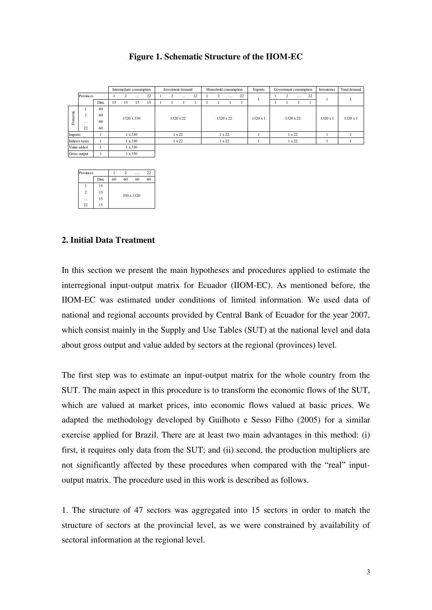# **Figure 1. Schematic Structure of the IIOM-EC**

|          |                |      |    | Intermediate consumption |                |    | Investment demand |               |    | Household consumption |               |    | <b>Exports</b>  | Government consumption |               |    | Inventories     | Total demand |
|----------|----------------|------|----|--------------------------|----------------|----|-------------------|---------------|----|-----------------------|---------------|----|-----------------|------------------------|---------------|----|-----------------|--------------|
|          | Provinces      |      |    | $\overline{c}$           | $\cdots$       | 22 | 2                 | $\cdots$      | 22 | $\sim$                | $\cdots$      | 22 |                 |                        | $\cdots$      | 22 |                 |              |
|          |                | Dim. | 15 | 15                       | 15             | 15 |                   |               |    |                       |               |    |                 |                        |               |    |                 |              |
|          |                | 60   |    |                          |                |    |                   |               |    |                       |               |    |                 |                        |               |    |                 |              |
|          | $\overline{c}$ | 60   |    |                          | 1320 x 330     |    |                   | 1320 x 22     |    |                       | 1320 x 22     |    | $1320 \times 1$ |                        | 1320 x 22     |    | $1320 \times 1$ | 1320 x 1     |
| Domestic | $\cdots$       | 60   |    |                          |                |    |                   |               |    |                       |               |    |                 |                        |               |    |                 |              |
|          | 22             | 60   |    |                          |                |    |                   |               |    |                       |               |    |                 |                        |               |    |                 |              |
| Imports  |                |      |    |                          | $1 \times 330$ |    |                   | $1 \times 22$ |    |                       | $1 \times 22$ |    |                 |                        | $1 \times 22$ |    |                 |              |
|          | Indirect taxes |      |    |                          | $1 \times 330$ |    |                   | $1 \times 22$ |    |                       | $1 \times 22$ |    |                 |                        | $1 \times 22$ |    |                 |              |
|          | Value added    |      |    |                          | $1 \times 330$ |    |                   |               |    |                       |               |    |                 |                        |               |    |                 |              |

| Provinces      |      |    | っ  | .          | 22 |
|----------------|------|----|----|------------|----|
|                | Dim. | 60 | 60 | 60         | 60 |
|                | 15   |    |    |            |    |
| $\overline{2}$ | 15   |    |    | 330 x 1320 |    |
| .              | 15   |    |    |            |    |
| 22             | 15   |    |    |            |    |

1

Gross output  $1 \t 1 \t 1 \t 330$ 

# **2. Initial Data Treatment**

In this section we present the main hypotheses and procedures applied to estimate the interregional input-output matrix for Ecuador (IIOM-EC). As mentioned before, the IIOM-EC was estimated under conditions of limited information. We used data of national and regional accounts provided by Central Bank of Ecuador for the year 2007, which consist mainly in the Supply and Use Tables (SUT) at the national level and data about gross output and value added by sectors at the regional (provinces) level.

The first step was to estimate an input-output matrix for the whole country from the SUT. The main aspect in this procedure is to transform the economic flows of the SUT, which are valued at market prices, into economic flows valued at basic prices. We adapted the methodology developed by Guilhoto e Sesso Filho (2005) for a similar exercise applied for Brazil. There are at least two main advantages in this method: (i) first, it requires only data from the SUT; and (ii) second, the production multipliers are not significantly affected by these procedures when compared with the "real" inputoutput matrix. The procedure used in this work is described as follows.

1. The structure of 47 sectors was aggregated into 15 sectors in order to match the structure of sectors at the provincial level, as we were constrained by availability of sectoral information at the regional level.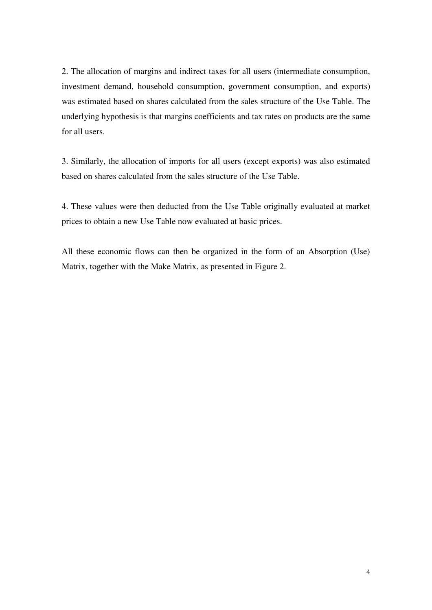2. The allocation of margins and indirect taxes for all users (intermediate consumption, investment demand, household consumption, government consumption, and exports) was estimated based on shares calculated from the sales structure of the Use Table. The underlying hypothesis is that margins coefficients and tax rates on products are the same for all users.

3. Similarly, the allocation of imports for all users (except exports) was also estimated based on shares calculated from the sales structure of the Use Table.

4. These values were then deducted from the Use Table originally evaluated at market prices to obtain a new Use Table now evaluated at basic prices.

All these economic flows can then be organized in the form of an Absorption (Use) Matrix, together with the Make Matrix, as presented in Figure 2.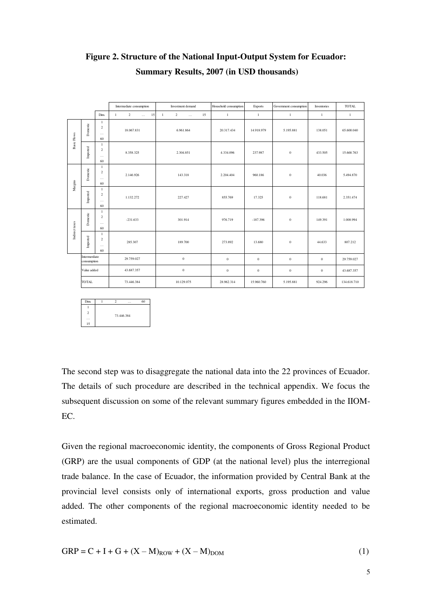|                    |                            |                                                  | Intermediate consumption                   | Investment demand                          | Household consumption | Exports          | Government consumption | Inventories      | <b>TOTAL</b> |
|--------------------|----------------------------|--------------------------------------------------|--------------------------------------------|--------------------------------------------|-----------------------|------------------|------------------------|------------------|--------------|
|                    |                            | Dim.                                             | $\overline{2}$<br>$\mathbf{1}$<br>15<br>i. | $\overline{2}$<br>15<br>$\mathbf{1}$<br>i. | $\mathbf{1}$          | $\mathbf{1}$     | $\mathbf{1}$           | $\mathbf{1}$     | $\mathbf{1}$ |
| <b>Basic Flows</b> | Domestic                   | $\mathbf{1}$<br>$\overline{c}$<br>$\ldots$<br>60 | 18.067.831                                 | 6.961.864                                  | 20.317.434            | 14.918.979       | 5.195.881              | 138.051          | 65,600,040   |
|                    | Imported                   | $\mathbf{1}$<br>$\overline{c}$<br>$\cdots$<br>60 | 8.358.325                                  | 2.304.851                                  | 4.334.096             | 237.987          | $\boldsymbol{0}$       | 433.505          | 15.668.763   |
| Margins            | Domestic                   | $\mathbf{1}$<br>$\,2\,$<br>$\ldots$<br>60        | 2.146.926                                  | 143.318                                    | 2.204.404             | 960.186          | $\boldsymbol{0}$       | 40.036           | 5.494.870    |
|                    | Imported                   | $\mathbf{1}$<br>$\overline{c}$<br>$\cdots$<br>60 | 1.132.272                                  | 227.427                                    | 855,769               | 17.325           | $\boldsymbol{0}$       | 118,681          | 2.351.474    |
| Indirect taxes     | Domestic                   | $\mathbf{1}$<br>$\overline{c}$<br>$\cdots$<br>60 | $-231.633$                                 | 301.914                                    | 976,719               | $-187.396$       | $\overline{0}$         | 149.391          | 1.008.994    |
|                    | Imported                   | $\mathbf{1}$<br>$\overline{c}$<br>$\ldots$<br>60 | 285.307                                    | 189.700                                    | 273.892               | 13.680           | $\mathbf{0}$           | 44.633           | 807.212      |
|                    | Intermerdiate              |                                                  | 29.759.027                                 | $\boldsymbol{0}$                           | $\mathbf{0}$          | $\mathbf{0}$     | $\mathbf{0}$           | $\mathbf{0}$     | 29.759.027   |
|                    | consumption<br>Value added |                                                  | 43.687.357                                 | $\boldsymbol{0}$                           | $\boldsymbol{0}$      | $\boldsymbol{0}$ | $\,0\,$                | $\boldsymbol{0}$ | 43.687.357   |
|                    | <b>TOTAL</b>               |                                                  | 73.446.384                                 | 10.129.075                                 | 28.962.314            | 15.960.760       | 5.195.881              | 924.296          | 134,618,710  |
|                    |                            |                                                  |                                            |                                            |                       |                  |                        |                  |              |

# **Figure 2. Structure of the National Input-Output System for Ecuador: Summary Results, 2007 (in USD thousands)**

| Dim.           |  | .          | 60 |
|----------------|--|------------|----|
|                |  |            |    |
| $\overline{c}$ |  | 73.446.384 |    |
| .              |  |            |    |
| 15             |  |            |    |

The second step was to disaggregate the national data into the 22 provinces of Ecuador. The details of such procedure are described in the technical appendix. We focus the subsequent discussion on some of the relevant summary figures embedded in the IIOM-EC.

Given the regional macroeconomic identity, the components of Gross Regional Product (GRP) are the usual components of GDP (at the national level) plus the interregional trade balance. In the case of Ecuador, the information provided by Central Bank at the provincial level consists only of international exports, gross production and value added. The other components of the regional macroeconomic identity needed to be estimated.

$$
GRP = C + I + G + (X - M)_{ROW} + (X - M)_{DOM}
$$
 (1)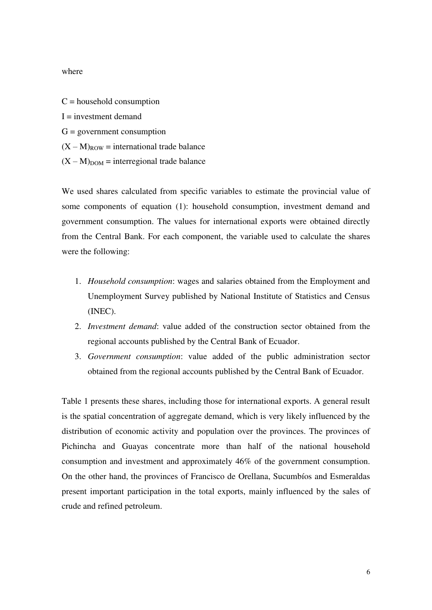# where

 $C =$  household consumption  $I =$  investment demand  $G =$  government consumption  $(X - M)_{\text{ROW}}$  = international trade balance

 $(X - M)_{DOM}$  = interregional trade balance

We used shares calculated from specific variables to estimate the provincial value of some components of equation (1): household consumption, investment demand and government consumption. The values for international exports were obtained directly from the Central Bank. For each component, the variable used to calculate the shares were the following:

- 1. *Household consumption*: wages and salaries obtained from the Employment and Unemployment Survey published by National Institute of Statistics and Census (INEC).
- 2. *Investment demand*: value added of the construction sector obtained from the regional accounts published by the Central Bank of Ecuador.
- 3. *Government consumption*: value added of the public administration sector obtained from the regional accounts published by the Central Bank of Ecuador.

Table 1 presents these shares, including those for international exports. A general result is the spatial concentration of aggregate demand, which is very likely influenced by the distribution of economic activity and population over the provinces. The provinces of Pichincha and Guayas concentrate more than half of the national household consumption and investment and approximately 46% of the government consumption. On the other hand, the provinces of Francisco de Orellana, Sucumbíos and Esmeraldas present important participation in the total exports, mainly influenced by the sales of crude and refined petroleum.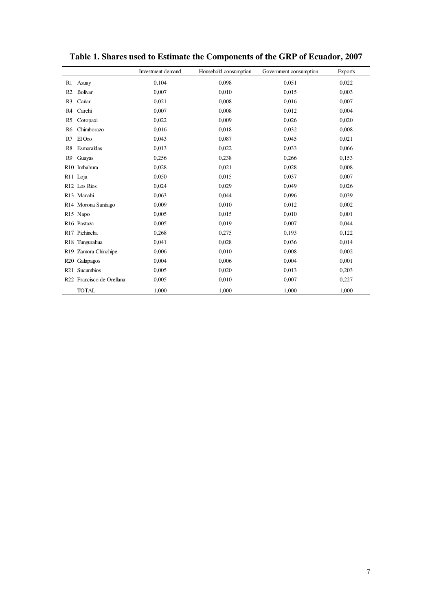|                |                           | Investment demand | Household consumption | Government consumption | <b>Exports</b> |
|----------------|---------------------------|-------------------|-----------------------|------------------------|----------------|
| R1             | Azuay                     | 0,104             | 0,098                 | 0,051                  | 0,022          |
| R <sub>2</sub> | Bolivar                   | 0.007             | 0,010                 | 0,015                  | 0,003          |
| R <sub>3</sub> | Cañar                     | 0,021             | 0,008                 | 0,016                  | 0,007          |
| R4             | Carchi                    | 0,007             | 0,008                 | 0,012                  | 0,004          |
| R5             | Cotopaxi                  | 0,022             | 0,009                 | 0,026                  | 0,020          |
| R6             | Chimborazo                | 0,016             | 0,018                 | 0,032                  | 0,008          |
| R7             | El Oro                    | 0,043             | 0,087                 | 0,045                  | 0,021          |
| R8             | Esmeraldas                | 0,013             | 0.022                 | 0,033                  | 0,066          |
| R <sub>9</sub> | Guayas                    | 0,256             | 0,238                 | 0,266                  | 0,153          |
|                | R <sub>10</sub> Imbabura  | 0,028             | 0,021                 | 0,028                  | 0,008          |
|                | R <sub>11</sub> Loja      | 0,050             | 0,015                 | 0,037                  | 0,007          |
|                | R <sub>12</sub> Los Rios  | 0,024             | 0,029                 | 0,049                  | 0,026          |
|                | R13 Manabi                | 0,063             | 0.044                 | 0,096                  | 0,039          |
|                | R14 Morona Santiago       | 0,009             | 0,010                 | 0,012                  | 0,002          |
|                | R <sub>15</sub> Napo      | 0,005             | 0,015                 | 0,010                  | 0,001          |
|                | R <sub>16</sub> Pastaza   | 0,005             | 0,019                 | 0,007                  | 0,044          |
|                | R <sub>17</sub> Pichincha | 0,268             | 0,275                 | 0,193                  | 0,122          |
|                | R18 Tungurahua            | 0,041             | 0,028                 | 0,036                  | 0,014          |
|                | R19 Zamora Chinchipe      | 0,006             | 0,010                 | 0,008                  | 0,002          |
|                | R <sub>20</sub> Galapagos | 0,004             | 0,006                 | 0,004                  | 0,001          |
|                | R <sub>21</sub> Sucumbios | 0,005             | 0,020                 | 0,013                  | 0,203          |
|                | R22 Francisco de Orellana | 0,005             | 0,010                 | 0,007                  | 0,227          |
|                | <b>TOTAL</b>              | 1,000             | 1,000                 | 1,000                  | 1,000          |

**Table 1. Shares used to Estimate the Components of the GRP of Ecuador, 2007**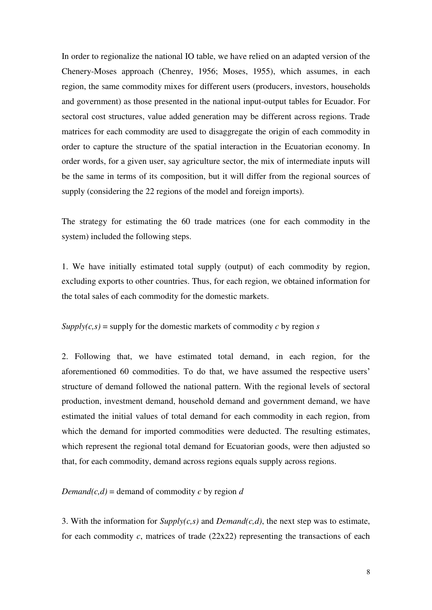In order to regionalize the national IO table, we have relied on an adapted version of the Chenery-Moses approach (Chenrey, 1956; Moses, 1955), which assumes, in each region, the same commodity mixes for different users (producers, investors, households and government) as those presented in the national input-output tables for Ecuador. For sectoral cost structures, value added generation may be different across regions. Trade matrices for each commodity are used to disaggregate the origin of each commodity in order to capture the structure of the spatial interaction in the Ecuatorian economy. In order words, for a given user, say agriculture sector, the mix of intermediate inputs will be the same in terms of its composition, but it will differ from the regional sources of supply (considering the 22 regions of the model and foreign imports).

The strategy for estimating the 60 trade matrices (one for each commodity in the system) included the following steps.

1. We have initially estimated total supply (output) of each commodity by region, excluding exports to other countries. Thus, for each region, we obtained information for the total sales of each commodity for the domestic markets.

 $Supply(c,s) =$  supply for the domestic markets of commodity *c* by region *s* 

2. Following that, we have estimated total demand, in each region, for the aforementioned 60 commodities. To do that, we have assumed the respective users" structure of demand followed the national pattern. With the regional levels of sectoral production, investment demand, household demand and government demand, we have estimated the initial values of total demand for each commodity in each region, from which the demand for imported commodities were deducted. The resulting estimates, which represent the regional total demand for Ecuatorian goods, were then adjusted so that, for each commodity, demand across regions equals supply across regions.

*Demand*( $c$ , $d$ ) = demand of commodity  $c$  by region  $d$ 

3. With the information for *Supply(c,s)* and *Demand(c,d)*, the next step was to estimate, for each commodity  $c$ , matrices of trade  $(22x22)$  representing the transactions of each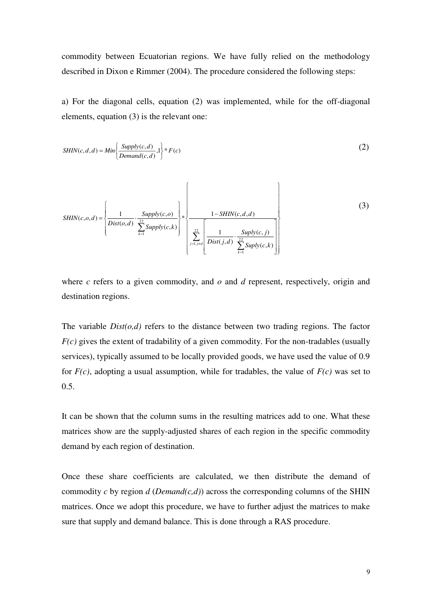commodity between Ecuatorian regions. We have fully relied on the methodology described in Dixon e Rimmer (2004). The procedure considered the following steps:

a) For the diagonal cells, equation (2) was implemented, while for the off-diagonal elements, equation (3) is the relevant one:

$$
SHIN(c, d, d) = Min \left\{ \frac{Supply(c, d)}{Demand(c, d)} \cdot 1 \right\} * F(c)
$$
\n
$$
(2)
$$

$$
SHIN(c, o, d) = \left\{ \frac{1}{Dist(o, d)} \cdot \frac{Supply(c, o)}{\sum_{k=1}^{22} Supply(c, k)} \right\} * \left\{ \frac{1 - SHIN(c, d, d)}{\sum_{j=1, j \neq d}^{22} \left[ \frac{1}{Dist(j, d)} \cdot \frac{Suply(c, j)}{\sum_{k=1}^{22} Suply(c, k)} \right]} \right\}
$$
(3)

where *c* refers to a given commodity, and *o* and *d* represent, respectively, origin and destination regions.

The variable  $Dist(o,d)$  refers to the distance between two trading regions. The factor *F(c)* gives the extent of tradability of a given commodity. For the non-tradables (usually services), typically assumed to be locally provided goods, we have used the value of 0.9 for *F(c)*, adopting a usual assumption, while for tradables, the value of *F(c)* was set to 0.5.

It can be shown that the column sums in the resulting matrices add to one. What these matrices show are the supply-adjusted shares of each region in the specific commodity demand by each region of destination.

Once these share coefficients are calculated, we then distribute the demand of commodity *c* by region *d* (*Demand(c,d)*) across the corresponding columns of the SHIN matrices. Once we adopt this procedure, we have to further adjust the matrices to make sure that supply and demand balance. This is done through a RAS procedure.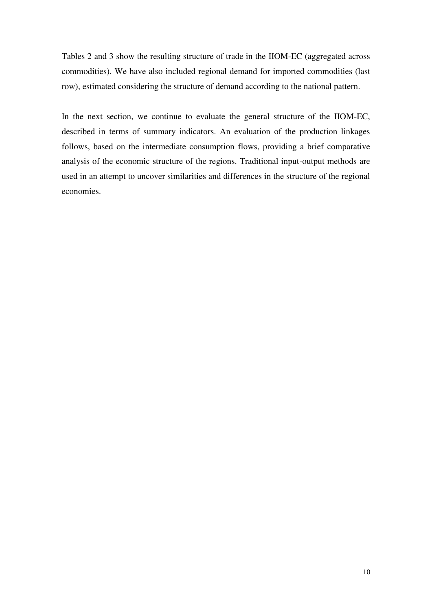Tables 2 and 3 show the resulting structure of trade in the IIOM-EC (aggregated across commodities). We have also included regional demand for imported commodities (last row), estimated considering the structure of demand according to the national pattern.

In the next section, we continue to evaluate the general structure of the IIOM-EC, described in terms of summary indicators. An evaluation of the production linkages follows, based on the intermediate consumption flows, providing a brief comparative analysis of the economic structure of the regions. Traditional input-output methods are used in an attempt to uncover similarities and differences in the structure of the regional economies.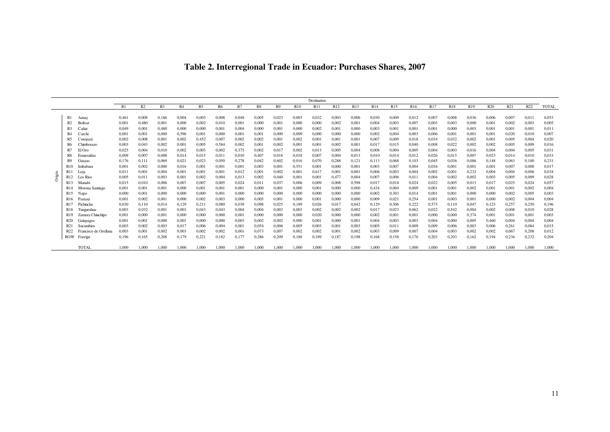| Table 2. Interregional Trade in Ecuador: Purchases Shares, 2007 |  |  |  |  |  |
|-----------------------------------------------------------------|--|--|--|--|--|
|-----------------------------------------------------------------|--|--|--|--|--|

|                  |                       |       |                |       |                |       |       |       |       |       |                 | Destination |                 |       |       |                 |       |                 |            |                 |            |       |       |              |
|------------------|-----------------------|-------|----------------|-------|----------------|-------|-------|-------|-------|-------|-----------------|-------------|-----------------|-------|-------|-----------------|-------|-----------------|------------|-----------------|------------|-------|-------|--------------|
|                  |                       | R1    | R <sub>2</sub> | R3    | R <sub>4</sub> | R5    | R6    | R7    | R8    | R9    | R <sub>10</sub> | <b>R11</b>  | R <sub>12</sub> | R13   | R14   | R <sub>15</sub> | R16   | R <sub>17</sub> | <b>R18</b> | R <sub>19</sub> | <b>R20</b> | R21   | R22   | <b>TOTAL</b> |
|                  |                       |       |                |       |                |       |       |       |       |       |                 |             |                 |       |       |                 |       |                 |            |                 |            |       |       |              |
| R1               | Azuay                 | 0.461 | 0.008          | 0,186 | 0.004          | 0.003 | 0.008 | 0.048 | 0,005 | 0,023 | 0.003           | 0,032       | 0.003           | 0.006 | 0.030 | 0.009           | 0,012 | 0,007           | 0.008      | 0,036           | 0.006      | 0,007 | 0.011 | 0.053        |
| R <sub>2</sub>   | Bolivar               | 0.001 | 0.480          | 0,001 | 0,000          | 0.002 | 0,010 | 0.001 | 0,000 | 0,001 | 0.000           | 0,000       | 0,002           | 0.001 | 0.004 | 0,003           | 0,007 | 0,003           | 0.003      | 0,000           | 0.001      | 0,002 | 0.003 | 0.005        |
|                  | Cañar                 | 0.049 | 0.001          | 0.480 | 0.000          | 0.000 | 0.001 | 0.004 | 0.000 | 0.001 | 0.000           | 0.002       | 0.001           | 0.000 | 0.003 | 0.00            | 0.001 | 0.001           | 0.000      | 0.003           | 0.001      | 0.001 | 0.001 | 0.011        |
| R <sub>4</sub>   | Carch                 | 0.001 | 0.001          | 0.000 | 0.596          | 0.001 | 0.000 | 0.001 | 0.001 | 0.000 | 0.009           | 0.000       | 0.000           | 0.000 | 0.002 | 0.004           | 0.003 | 0.006           | 0.001      | 0.001           | 0.001      | 0.020 | 0.010 | 0.007        |
| R5               | Cotopaxi              | 0.002 | 0.008          | 0,00  | 0.002          | 0.452 | 0.007 | 0.002 | 0.002 | 0.001 | 0.002           | 0,001       | 0.001           | 0.001 | 0.007 | 0.009           | 0,018 | 0,034           | 0.032      | 0,002           | 0.001      | 0.005 | 0.004 | 0.020        |
| R6               | Chimborazo            | 0.003 | 0.043          | 0.002 | 0.001          | 0.005 | 0.584 | 0.002 | 0.001 | 0.002 | 0.001           | 0,001       | 0.002           | 0.001 | 0.017 | 0.015           | 0.040 | 0.008           | 0.022      | 0,002           | 0.002      | 0.005 | 0.009 | 0.016        |
|                  | El Oro                | 0.025 | 0.004          | 0.010 | 0.002          | 0.003 | 0.002 | 0.375 | 0.002 | 0.017 | 0.002           | 0,013       | 0.005           | 0.004 | 0.008 | 0.004           | 0.005 | 0.004           | 0.003      | 0,016           | 0.004      | 0.004 | 0.005 | 0.031        |
| R8               | Esmeraldas            | 0.009 | 0.007          | 0.008 | 0.014          | 0.015 | 0,011 | 0,010 | 0.407 | 0.018 | 0.018           | 0,007       | 0.004           | 0.013 | 0.010 | 0.014           | 0,012 | 0.026           | 0.015      | 0,007           | 0.023      | 0,014 | 0,010 | 0.033        |
| R9               | Guayas                | 0.176 | 0.111          | 0.069 | 0,021          | 0.023 | 0,050 | 0.278 | 0,042 | 0.602 | 0.016           | 0,070       | 0.288           | 0.121 | 0.113 | 0.068           | 0,103 | 0.045           | 0.036      | 0,086           | 0.148      | 0.063 | 0.100 | 0.231        |
| R10              | Imbabura              | 0.001 | 0.002          | 0.000 | 0,016          | 0.001 | 0,001 | 0.001 | 0,003 | 0.001 | 0.551           | 0,001       | 0.000           | 0.001 | 0.003 | 0.007           | 0,004 | 0,016           | 0.001      | 0,001           | 0.001      | 0.007 | 0.008 | 0.017        |
| <b>R11</b>       | Loia                  | 0.011 | 0.001          | 0.004 | 0.001          | 0.001 | 0.001 | 0.012 | 0.001 | 0.002 | 0.001           | 0.617       | 0.001           | 0.001 | 0.006 | 0.003           | 0.004 | 0.002           | 0.001      | 0.232           | 0.004      | 0.004 | 0.006 | 0.018        |
| R <sub>12</sub>  | Los Rios              | 0.005 | 0.011          | 0.003 | 0.001          | 0.002 | 0.004 | 0.013 | 0.002 | 0.040 | 0.001           | 0.001       | 0.477           | 0.004 | 0.007 | 0.006           | 0.011 | 0.004           | 0.002      | 0.002           | 0.003      | 0.005 | 0.009 | 0.028        |
| R <sub>13</sub>  | Manabi                | 0.015 | 0.010          | 0.006 | 0.007          | 0.007 | 0.005 | 0.024 | 0.011 | 0.037 | 0.006           | 0.009       | 0.008           | 0.598 | 0.017 | 0.018           | 0.024 | 0.022           | 0.005      | 0,013           | 0.017      | 0.025 | 0.024 | 0.057        |
| R <sub>14</sub>  | Morona Santiago       | 0.001 | 0.001          | 0.001 | 0.000          | 0.001 | 0,001 | 0.001 | 0.000 | 0.001 | 0.000           | 0,001       | 0.000           | 0.000 | 0.434 | 0.004           | 0.009 | 0.001           | 0.001      | 0.002           | 0.001      | 0.001 | 0.002 | 0.004        |
| R <sub>15</sub>  | Napo                  | 0.000 | 0.001          | 0.000 | 0.000          | 0.000 | 0,001 | 0.000 | 0.000 | 0.000 | 0.000           | 0,000       | 0.000           | 0.000 | 0.002 | 0.303           | 0,014 | 0.001           | 0.001      | 0.000           | 0.000      | 0.002 | 0.005 | 0.003        |
| R <sub>16</sub>  | Pastaza               | 0.001 | 0.002          | 0,001 | 0.000          | 0.002 | 0,003 | 0.000 | 0.005 | 0.001 | 0.000           | 0,001       | 0.000           | 0.000 | 0.009 | 0.021           | 0,254 | 0.001           | 0.003      | 0,001           | 0.000      | 0.002 | 0.004 | 0.004        |
| R <sub>17</sub>  | Pichincha             | 0.030 | 0.110          | 0.014 | 0.129          | 0,211 | 0,080 | 0,039 | 0,098 | 0,025 | 0.189           | 0,026       | 0.017           | 0.042 | 0,129 | 0.306           | 0,222 | 0.575           | 0,110      | 0,047           | 0,123      | 0,257 | 0,250 | 0.196        |
| R18              | Tungurahua            | 0.003 | 0.032          | 0.00  | 0.003          | 0.043 | 0.043 | 0.004 | 0.004 | 0.003 | 0.003           | 0.002       | 0.002           | 0.002 | 0.017 | 0.023           | 0.062 | 0.022           | 0.542      | 0.004           | 0.002      | 0.008 | 0.010 | 0.028        |
|                  | Zamora Chinchipe      | 0.001 | 0.000          | 0.00  | 0.000          | 0.000 | 0.000 | 0.001 | 0.000 | 0.000 | 0.000           | 0,020       | 0.000           | 0.000 | 0.002 | 0.00            | 0.001 | 0.000           | 0.000      | 0.374           | 0.001      | 0.001 | 0.001 | 0.003        |
| R <sub>20</sub>  | Galapagos             | 0.001 | 0.001          | 0.000 | 0.001          | 0.000 | 0.000 | 0.003 | 0.002 | 0.002 | 0.000           | 0.001       | 0.000           | 0.001 | 0.004 | 0.003           | 0.003 | 0.004           | 0.000      | 0.005           | 0.460      | 0.004 | 0.004 | 0.004        |
| R <sub>2</sub> 1 | Sucumbios             | 0.003 | 0.002          | 0.003 | 0.017          | 0.006 | 0.004 | 0.001 | 0.054 | 0.006 | 0.005           | 0.003       | 0.001           | 0.003 | 0.005 | 0.01            | 0.009 | 0.009           | 0.006      | 0.003           | 0.006      | 0.261 | 0.084 | 0.015        |
| R22              | Francisco de Orellana | 0.003 | 0.001          | 0.002 | 0.003          | 0.002 | 0.002 | 0.001 | 0.073 | 0.007 | 0.002           | 0.002       | 0.001           | 0.002 | 0.003 | 0.009           | 0.007 | 0.004           | 0.003      | 0.002           | 0.002      | 0.067 | 0.208 | 0.012        |
| <b>ROW</b>       | Foreign               | 0.196 | 0.165          | 0.208 | 0.179          | 0,221 | 0.182 | 0.177 | 0,286 | 0.209 | 0.188           | 0,189       | 0.187           | 0,198 | 0.168 | 0.158           | 0.176 | 0.203           | 0.203      | 0.162           | 0.194      | 0,236 | 0,232 | 0.204        |
|                  | TOTAL                 | 1.000 | 1.000          | 1.000 | 1.000          | 1.000 | 1.000 | 1.000 | 1.000 | 1.000 | 1.000           | 1.000       | 1.000           | 1.000 | 1.000 | 1.000           | 1.000 | 1.000           | 1.000      | 1.000           | 1.000      | 1.000 | 1.000 | 1.000        |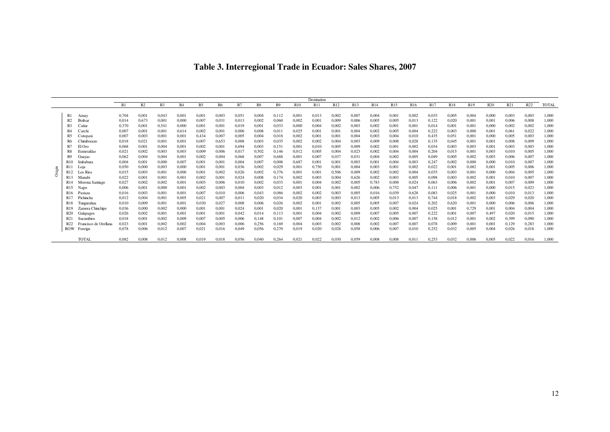| Table 3. Interregional Trade in Ecuador: Sales Shares, 2007 |  |  |  |  |
|-------------------------------------------------------------|--|--|--|--|
|-------------------------------------------------------------|--|--|--|--|

|        |                  |                       |       |       |                |       |       |       |       |       |                |       | Destination |       |                 |                 |                 |       |       |            |                 |                 |       |                 |              |
|--------|------------------|-----------------------|-------|-------|----------------|-------|-------|-------|-------|-------|----------------|-------|-------------|-------|-----------------|-----------------|-----------------|-------|-------|------------|-----------------|-----------------|-------|-----------------|--------------|
|        |                  |                       | R1    | R2    | R <sub>3</sub> | R4    | R5    | R6    | R7    | R8    | R <sub>9</sub> | R10   | <b>R11</b>  | R12   | R <sub>13</sub> | R <sub>14</sub> | R <sub>15</sub> | R16   | R17   | <b>R18</b> | R <sub>19</sub> | R <sub>20</sub> | R21   | R <sub>22</sub> | <b>TOTAL</b> |
|        |                  |                       |       |       |                |       |       |       |       |       |                |       |             |       |                 |                 |                 |       |       |            |                 |                 |       |                 |              |
|        | R1               | Azuay                 | 0.704 | 0.001 | 0.043          | 0.001 | 0,001 | 0.003 | 0,051 | 0,004 | 0,112          | 0,001 | 0.013       | 0,002 | 0,007           | 0,004           | 0,001           | 0,002 | 0,035 | 0.005      | 0.004           | 0.000           | 0,003 | 0,003           | 1,000        |
|        |                  | Bolivar               | 0,014 | 0,673 | 0,001          | 0,000 | 0,007 | 0,031 | 0,013 | 0,002 | 0,060          | 0,002 | 0,001       | 0,009 | 0,006           | 0,005           | 0,005           | 0,013 | 0,122 | 0,020      | 0,001           | 0,001           | 0,006 | 0,008           | 1,000        |
|        |                  | Cañar                 | 0.370 | 0.001 | 0,541          | 0.000 | 0,001 | 0.001 | 0,019 | 0.001 | 0.033          | 0.000 | 0.004       | 0,002 | 0.003           | 0,002           | 0,001           | 0.001 | 0.014 | 0.001      | 0,001           | 0.000           | 0,002 | 0.002           | 1,000        |
|        | R <sub>4</sub>   | Carchi                | 0.007 | 0.001 | 0,001          | 0,614 | 0,002 | 0,001 | 0,006 | 0,008 | 0.011          | 0,025 | 0.001       | 0,001 | 0,004           | 0,002           | 0,005           | 0.004 | 0,222 | 0,003      | 0,000           | 0.001           | 0,061 | 0,022           | 1,000        |
|        | R5               | Cotopaxi              | 0.007 | 0.003 | 0.001          | 0.001 | 0,434 | 0.007 | 0.005 | 0,004 | 0.018          | 0.002 | 0.001       | 0,001 | 0.004           | 0.003           | 0,004           | 0.010 | 0,435 | 0.051      | 0,001           | 0.000           | 0.005 | 0.003           | 1,000        |
|        |                  | Chimborazo            | 0,018 | 0.021 | 0.001          | 0.001 | 0,007 | 0.653 | 0,008 | 0.003 | 0.035          | 0.002 | 0.002       | 0,004 | 0.003           | 0,009           | 0,008           | 0.028 | 0,135 | 0.045      | 0,001           | 0.001           | 0,008 | 0.009           | 1,000        |
|        | R7               | El Oro                | 0,068 | 0,001 | 0,004          | 0,001 | 0,002 | 0,001 | 0,694 | 0,003 | 0,151          | 0,001 | 0,010       | 0,005 | 0,009           | 0,002           | 0,001           | 0,002 | 0,034 | 0,003      | 0,003           | 0,001           | 0,003 | 0,003           | 1,000        |
|        |                  | Esmeraldas            | 0,021 | 0.002 | 0.003          | 0.003 | 0,009 | 0.006 | 0,017 | 0,502 | 0.146          | 0,012 | 0.005       | 0.004 | 0.023           | 0,002           | 0,004           | 0.004 | 0,204 | 0.015      | 0,001           | 0.003           | 0,010 | 0.005           | 1,000        |
|        | R9               | Guavas                | 0.062 | 0.004 | 0.004          | 0.001 | 0,002 | 0.004 | 0,068 | 0,007 | 0.688          | 0.001 | 0.007       | 0,037 | 0,031           | 0,004           | 0,002           | 0.005 | 0,049 | 0.005      | 0.002           | 0.003           | 0,006 | 0.007           | 1,000        |
|        | R <sub>10</sub>  | Imbabura              | 0,004 | 0.001 | 0,000          | 0.007 | 0,001 | 0,001 | 0,004 | 0,007 | 0.008          | 0,687 | 0.001       | 0,001 | 0,003           | 0,001           | 0,004           | 0.003 | 0,247 | 0,002      | 0,000           | 0.000           | 0,010 | 0,007           | 1,000        |
|        | R1               | Loja                  | 0,050 | 0.000 | 0.003          | 0.000 | 0,001 | 0,001 | 0,036 | 0,002 | 0,029          | 0,001 | 0.750       | 0,001 | 0.004           | 0,003           | 0,001           | 0.002 | 0,022 | 0.001      | 0,082           | 0.001           | 0.005 | 0.006           | 1,000        |
| Origin | R <sub>12</sub>  | Los Rios              | 0,015 | 0.003 | 0,001          | 0.000 | 0,001 | 0,002 | 0,026 | 0,002 | 0,376          | 0,001 | 0.001       | 0,506 | 0,009           | 0,002           | 0,002           | 0,004 | 0,035 | 0.003      | 0,001           | 0.000           | 0,004 | 0.005           | 1,000        |
|        | R13              | Manabi                | 0.022 | 0.001 | 0.001          | 0.001 | 0.002 | 0.001 | 0.024 | 0.008 | 0.174          | 0.002 | 0.003       | 0.004 | 0.626           | 0.002           | 0.003           | 0.005 | 0.098 | 0.003      | 0.002           | 0.001           | 0.010 | 0.007           | 1.000        |
|        |                  | Morona Santiago       | 0,027 | 0.002 | 0.002          | 0.001 | 0,003 | 0.006 | 0,010 | 0,002 | 0.033          | 0.001 | 0.004       | 0,002 | 0.005           | 0,783           | 0,008           | 0.024 | 0,063 | 0.006      | 0,002           | 0.001           | 0,007 | 0.009           | 1,000        |
|        | R <sub>15</sub>  | Napo                  | 0,006 | 0.001 | 0,000          | 0.001 | 0,002 | 0,003 | 0,004 | 0,003 | 0,012          | 0,003 | 0.001       | 0,001 | 0,002           | 0,006           | 0,752           | 0,047 | 0,111 | 0.006      | 0,001           | 0.000           | 0,015 | 0,023           | 1,000        |
|        | R <sub>16</sub>  | Pastaza               | 0.016 | 0.003 | 0.001          | 0.001 | 0,007 | 0.010 | 0,006 | 0.043 | 0.086          | 0.002 | 0.002       | 0.003 | 0.005           | 0,016           | 0,039           | 0.628 | 0.083 | 0.025      | 0,001           | 0.000           | 0,010 | 0.013           | 1,000        |
|        |                  | Pichincha             | 0,012 | 0.004 | 0,001          | 0.005 | 0,021 | 0,007 | 0,011 | 0,020 | 0.034          | 0,020 | 0.003       | 0,003 | 0,013           | 0,005           | 0,013           | 0,013 | 0,744 | 0,018      | 0,002           | 0.003           | 0,029 | 0,020           | 1,000        |
|        | R <sub>18</sub>  | Tungurahua            | 0,010 | 0,009 | 0,001          | 0,001 | 0,030 | 0,027 | 0,008 | 0,006 | 0,026          | 0,002 | 0.001       | 0,002 | 0,005           | 0,005           | 0,007           | 0,024 | 0,202 | 0,620      | 0,001           | 0.000           | 0,006 | 0,006           | 1,000        |
|        |                  | Zamora Chinchipe      | 0,036 | 0.000 | 0,002          | 0.000 | 0,001 | 0,001 | 0,024 | 0,001 | 0.020          | 0.001 | 0.137       | 0,001 | 0.003           | 0,005           | 0,002           | 0.004 | 0,025 | 0.001      | 0,729           | 0.001           | 0.004 | 0.004           | 1,000        |
|        | R20              | Galapagos             | 0,026 | 0.002 | 0,001          | 0.001 | 0,001 | 0,001 | 0,042 | 0,014 | 0,113          | 0,001 | 0.004       | 0,002 | 0.009           | 0,007           | 0,005           | 0.007 | 0,222 | 0,001      | 0,007           | 0.497           | 0,020 | 0,015           | 1,000        |
|        | R <sub>2</sub> 1 | <b>Sucumbios</b>      | 0,018 | 0.001 | 0.002          | 0.009 | 0,007 | 0.005 | 0,006 | 0,148 | 0.101          | 0,007 | 0.004       | 0,002 | 0,012           | 0,002           | 0,006           | 0.007 | 0,158 | 0.012      | 0,001           | 0.002           | 0,399 | 0,090           | 1,000        |
|        |                  | Francisco de Orellana | 0,023 | 0.001 | 0.002          | 0.002 | 0,004 | 0.003 | 0.006 | 0,256 | 0.169          | 0.004 | 0.003       | 0.002 | 0.008           | 0,002           | 0,007           | 0.007 | 0,078 | 0.009      | 0,001           | 0.001           | 0.129 | 0,283           | 1,000        |
|        | <b>ROW</b>       | Foreign               | 0,078 | 0.006 | 0,012          | 0.007 | 0,021 | 0,016 | 0,049 | 0,056 | 0,270          | 0,019 | 0.020       | 0,028 | 0,058           | 0,006           | 0,007           | 0,010 | 0,252 | 0,032      | 0,005           | 0.004           | 0,026 | 0,018           | 1,000        |
|        |                  |                       |       |       |                |       |       |       |       |       |                |       |             |       |                 |                 |                 |       |       |            |                 |                 |       |                 |              |
|        |                  | <b>TOTAL</b>          | 0,082 | 0.008 | 0,012          | 0.008 | 0,019 | 0,018 | 0,056 | 0,040 | 0,264          | 0,021 | 0.022       | 0,030 | 0,059           | 0,008           | 0,008           | 0,011 | 0,253 | 0.032      | 0.006           | 0.005           | 0,022 | 0,016           | 1,000        |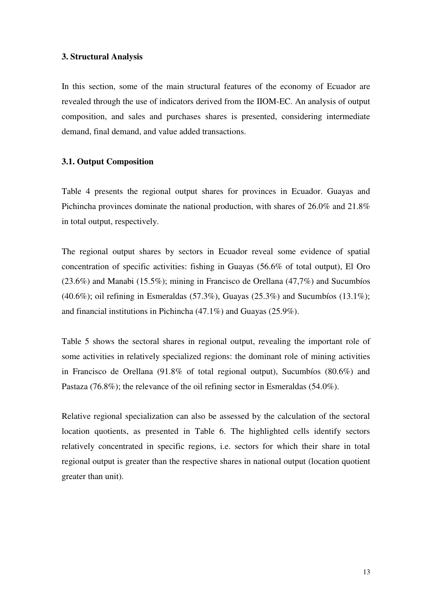# **3. Structural Analysis**

In this section, some of the main structural features of the economy of Ecuador are revealed through the use of indicators derived from the IIOM-EC. An analysis of output composition, and sales and purchases shares is presented, considering intermediate demand, final demand, and value added transactions.

# **3.1. Output Composition**

Table 4 presents the regional output shares for provinces in Ecuador. Guayas and Pichincha provinces dominate the national production, with shares of 26.0% and 21.8% in total output, respectively.

The regional output shares by sectors in Ecuador reveal some evidence of spatial concentration of specific activities: fishing in Guayas (56.6% of total output), El Oro (23.6%) and Manabi (15.5%); mining in Francisco de Orellana (47,7%) and Sucumbíos  $(40.6\%)$ ; oil refining in Esmeraldas (57.3%), Guayas (25.3%) and Sucumbíos (13.1%); and financial institutions in Pichincha (47.1%) and Guayas (25.9%).

Table 5 shows the sectoral shares in regional output, revealing the important role of some activities in relatively specialized regions: the dominant role of mining activities in Francisco de Orellana (91.8% of total regional output), Sucumbíos (80.6%) and Pastaza (76.8%); the relevance of the oil refining sector in Esmeraldas (54.0%).

Relative regional specialization can also be assessed by the calculation of the sectoral location quotients, as presented in Table 6. The highlighted cells identify sectors relatively concentrated in specific regions, i.e. sectors for which their share in total regional output is greater than the respective shares in national output (location quotient greater than unit).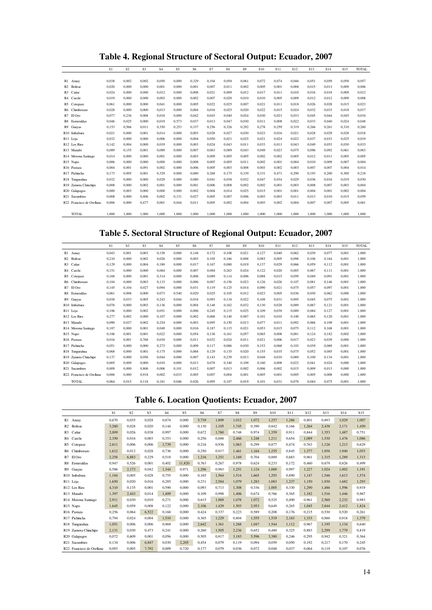**Table 4. Regional Structure of Sectoral Output: Ecuador, 2007**

|                           | S1    | S <sub>2</sub> | S3    | <b>S4</b> | S5    | S <sub>6</sub> | S7    | S8    | S9    | S <sub>10</sub> | S <sub>11</sub> | S <sub>12</sub> | S <sub>13</sub> | S <sub>14</sub> | S <sub>15</sub> | <b>TOTAL</b> |
|---------------------------|-------|----------------|-------|-----------|-------|----------------|-------|-------|-------|-----------------|-----------------|-----------------|-----------------|-----------------|-----------------|--------------|
|                           |       |                |       |           |       |                |       |       |       |                 |                 |                 |                 |                 |                 |              |
| R1 Azuay                  | 0.038 | 0.002          | 0.002 | 0.050     | 0.000 | 0.329          | 0.104 | 0.058 | 0.061 | 0.072           | 0.074           | 0.046           | 0.051           | 0.059           | 0.058           | 0.057        |
| R <sub>2</sub> Bolivar    | 0.020 | 0.000          | 0.000 | 0.001     | 0.000 | 0.001          | 0.007 | 0.011 | 0.002 | 0.005           | 0.001           | 0.008           | 0.015           | 0.013           | 0.009           | 0.006        |
| R <sub>3</sub> Cañar      | 0,024 | 0.000          | 0.000 | 0.012     | 0.000 | 0,008          | 0,021 | 0,009 | 0,012 | 0,017           | 0,011           | 0.010           | 0.016           | 0.018           | 0.009           | 0,012        |
| R4 Carchi                 | 0.019 | 0.000          | 0.000 | 0.003     | 0.000 | 0.002          | 0.007 | 0.020 | 0.010 | 0,010           | 0,005           | 0.009           | 0,012           | 0,012           | 0.009           | 0,008        |
| R5 Cotopaxi               | 0.061 | 0.000          | 0.000 | 0.041     | 0.000 | 0.005          | 0.022 | 0.025 | 0.007 | 0.021           | 0,011           | 0.018           | 0.026           | 0.028           | 0.015           | 0.023        |
| R6 Chimborazo             | 0.028 | 0.000          | 0.000 | 0.013     | 0.000 | 0.004          | 0.016 | 0.025 | 0.020 | 0.022           | 0.015           | 0.024           | 0.032           | 0.033           | 0.018           | 0.017        |
| R7 El Oro                 | 0.077 | 0.236          | 0.008 | 0.018     | 0.000 | 0.042          | 0.043 | 0.040 | 0.024 | 0.030           | 0.023           | 0.033           | 0.045           | 0.044           | 0.045           | 0.034        |
| R8 Esmeraldas             | 0.046 | 0.025          | 0.000 | 0.019     | 0.573 | 0.037          | 0.013 | 0.047 | 0.030 | 0,011           | 0,008           | 0.022           | 0.033           | 0.040           | 0.024           | 0,048        |
| R9 Guayas                 | 0,153 | 0.566          | 0.011 | 0.350     | 0,253 | 0.337          | 0,256 | 0.326 | 0,292 | 0,278           | 0,259           | 0.319           | 0.266           | 0.261           | 0.310           | 0,260        |
| R10 Imbabura              | 0.021 | 0.000          | 0.001 | 0.014     | 0.000 | 0.003          | 0.028 | 0.027 | 0.030 | 0.023           | 0.016           | 0.021           | 0.028           | 0.029           | 0.028           | 0.018        |
| R <sub>11</sub> Loja      | 0.032 | 0.000          | 0.000 | 0.006     | 0.000 | 0.004          | 0.050 | 0.021 | 0.025 | 0.021           | 0.024           | 0.022           | 0.037           | 0.033           | 0.025           | 0.019        |
| R <sub>12</sub> Los Rios  | 0.142 | 0.004          | 0.000 | 0.019     | 0.000 | 0.003          | 0.024 | 0.043 | 0.011 | 0.033           | 0.011           | 0.043           | 0.049           | 0.053           | 0.030           | 0.033        |
| R13 Manabi                | 0,089 | 0.155          | 0.001 | 0.089     | 0.000 | 0.007          | 0.063 | 0.089 | 0.043 | 0.049           | 0.023           | 0.075           | 0.096           | 0.092           | 0.061           | 0,063        |
| R14 Morona Santiago       | 0.014 | 0.000          | 0.000 | 0.001     | 0.000 | 0.003          | 0.009 | 0.005 | 0.005 | 0.002           | 0.002           | 0.005           | 0.012           | 0.011           | 0.005           | 0.005        |
| R15 Napo                  | 0.006 | 0.000          | 0.000 | 0.000     | 0.000 | 0.008          | 0.005 | 0.005 | 0.011 | 0.002           | 0.001           | 0.004           | 0.010           | 0.009           | 0.007           | 0.004        |
| R16 Pastaza               | 0.004 | 0.001          | 0.091 | 0.002     | 0.000 | 0.006          | 0.005 | 0.003 | 0.008 | 0,003           | 0.002           | 0.003           | 0.007           | 0.007           | 0.004           | 0.014        |
| R17 Pichincha             | 0.173 | 0.005          | 0.001 | 0.329     | 0.000 | 0.080          | 0.268 | 0.175 | 0.339 | 0.331           | 0.471           | 0.290           | 0.193           | 0.200           | 0.300           | 0.218        |
| R18 Tungurahua            | 0,032 | 0.000          | 0.000 | 0.029     | 0.000 | 0.080          | 0.041 | 0.038 | 0.032 | 0.047           | 0.034           | 0.029           | 0.036           | 0.034           | 0.019           | 0,030        |
| R19 Zamora Chinchipe      | 0.008 | 0.000          | 0.002 | 0.001     | 0.000 | 0.001          | 0.006 | 0.008 | 0.002 | 0.002           | 0.001           | 0.003           | 0.008           | 0.007           | 0.003           | 0,004        |
| R20 Galapagos             | 0.000 | 0.003          | 0.000 | 0.000     | 0.000 | 0.002          | 0.004 | 0.014 | 0.025 | 0.015           | 0.001           | 0.001           | 0.004           | 0.001           | 0.002           | 0.004        |
| R21 Sucumbios             | 0.008 | 0.000          | 0.406 | 0.002     | 0.131 | 0.027          | 0.005 | 0.007 | 0.006 | 0.003           | 0.003           | 0.011           | 0.013           | 0.010           | 0.015           | 0.059        |
| R22 Francisco de Orellana | 0.006 | 0.000          | 0.477 | 0.001     | 0.044 | 0.011          | 0.005 | 0.002 | 0.004 | 0.003           | 0.002           | 0.004           | 0.007           | 0.007           | 0.005           | 0,061        |
|                           |       |                |       |           |       |                |       |       |       |                 |                 |                 |                 |                 |                 |              |
| TOTAL                     | 1.000 | 1,000          | 1.000 | 1.000     | 1.000 | 1.000          | 1.000 | 1,000 | 1.000 | 1.000           | 1.000           | 1.000           | 1,000           | 1,000           | 1,000           | 1.000        |

**Table 5. Sectoral Structure of Regional Output: Ecuador, 2007**

|                           | S1    | S <sub>2</sub> | S <sub>3</sub> | S <sub>4</sub> | S5    | S6    | S7    | S8    | S <sub>9</sub> | S <sub>10</sub> | S <sub>11</sub> | S <sub>12</sub> | S <sub>13</sub> | S <sub>14</sub> | S <sub>15</sub> | <b>TOTAL</b> |
|---------------------------|-------|----------------|----------------|----------------|-------|-------|-------|-------|----------------|-----------------|-----------------|-----------------|-----------------|-----------------|-----------------|--------------|
| R1 Azuay                  | 0.043 | 0.001          | 0.003          | 0.158          | 0.000 | 0.148 | 0.172 | 0.108 | 0,021          | 0.127           | 0.040           | 0.062           | 0.039           | 0.077           | 0.001           | 1.000        |
| R <sub>2</sub> Bolivar    | 0,210 | 0.000          | 0,002          | 0.026          | 0,000 | 0,003 | 0,105 | 0,186 | 0,008          | 0,085           | 0.005           | 0,098           | 0.106           | 0.164           | 0.001           | 1,000        |
| R <sub>3</sub> Cañar      | 0.129 | 0.000          | 0.004          | 0.180          | 0.000 | 0.017 | 0.167 | 0.080 | 0.019          | 0.137           | 0.029           | 0.066           | 0.059           | 0.112           | 0.001           | 1,000        |
| R4 Carchi                 | 0,151 | 0,000          | 0,000          | 0,064          | 0,000 | 0,007 | 0,084 | 0,263 | 0,024          | 0,122           | 0,020           | 0,085           | 0,067           | 0,111           | 0,001           | 1,000        |
| R5 Cotopaxi               | 0.168 | 0.000          | 0.001          | 0.314          | 0.000 | 0.006 | 0.089 | 0.114 | 0.006          | 0.088           | 0.015           | 0.059           | 0.049           | 0.091           | 0.001           | 1,000        |
| R6 Chimborazo             | 0,104 | 0,000          | 0,003          | 0,133          | 0,000 | 0,006 | 0,087 | 0,156 | 0,023          | 0,126           | 0,026           | 0,107           | 0,081           | 0,146           | 0.001           | 1,000        |
| R7 El Oro                 | 0.145 | 0.104          | 0.027          | 0.094          | 0.000 | 0.031 | 0.119 | 0,125 | 0,014          | 0.090           | 0.021           | 0.075           | 0.057           | 0.097           | 0.001           | 1,000        |
| R8 Esmeraldas             | 0,061 | 0,008          | 0,000          | 0,073          | 0,540 | 0,020 | 0,025 | 0,105 | 0,012          | 0,023           | 0,005           | 0,036           | 0,030           | 0,062           | 0,000           | 1,000        |
| R9 Guayas                 | 0.038 | 0.033          | 0.005          | 0,243          | 0.044 | 0.034 | 0.093 | 0.134 | 0.022          | 0.108           | 0.031           | 0.095           | 0.045           | 0.075           | 0.001           | 1,000        |
| R10 Imbabura              | 0.076 | 0.000          | 0.003          | 0.136          | 0.000 | 0.004 | 0.148 | 0.162 | 0.032          | 0.130           | 0.028           | 0.089           | 0.067           | 0.121           | 0.001           | 1,000        |
| R <sub>11</sub> Loja      | 0.106 | 0.000          | 0,002          | 0.051          | 0.000 | 0.006 | 0,245 | 0.115 | 0.025          | 0.109           | 0.039           | 0.089           | 0.084           | 0.127           | 0.001           | 1,000        |
| R <sub>12</sub> Los Rios  | 0.277 | 0.002          | 0.000          | 0.107          | 0.000 | 0.002 | 0.068 | 0.140 | 0.007          | 0.101           | 0.010           | 0.100           | 0.065           | 0.120           | 0.001           | 1,000        |
| R13 Manabi                | 0.090 | 0.037          | 0.002          | 0,254          | 0.000 | 0.003 | 0.095 | 0.150 | 0.013          | 0.077           | 0.011           | 0.092           | 0.066           | 0.109           | 0.001           | 1,000        |
| R14 Morona Santiago       | 0.187 | 0.000          | 0.001          | 0.049          | 0.000 | 0.016 | 0.187 | 0.115 | 0.021          | 0.053           | 0.015           | 0.075           | 0.112           | 0.168           | 0.001           | 1,000        |
| R15 Napo                  | 0,106 | 0.001          | 0.001          | 0,022          | 0.000 | 0.054 | 0.136 | 0,161 | 0,057          | 0,065           | 0.008           | 0,081           | 0.124           | 0.182           | 0.002           | 1,000        |
| R16 Pastaza               | 0.016 | 0.001          | 0.768          | 0.030          | 0.000 | 0.011 | 0.032 | 0.024 | 0.011          | 0.021           | 0.006           | 0.017           | 0.023           | 0.039           | 0.000           | 1,000        |
| R17 Pichincha             | 0.051 | 0.000          | 0,000          | 0,273          | 0.000 | 0.009 | 0,117 | 0.086 | 0.030          | 0.153           | 0.068           | 0.103           | 0.039           | 0.069           | 0.001           | 1,000        |
| R18 Tungurahua            | 0.068 | 0.000          | 0.001          | 0.175          | 0.000 | 0.068 | 0,129 | 0.135 | 0.020          | 0.155           | 0.035           | 0.075           | 0.052           | 0.085           | 0.001           | 1,000        |
| R19 Zamora Chinchipe      | 0.137 | 0.000          | 0,056          | 0,044          | 0,000 | 0.007 | 0,143 | 0,239 | 0,013          | 0,048           | 0.010           | 0,069           | 0.100           | 0.134           | 0.001           | 1,000        |
| R20 Galapagos             | 0.005 | 0.009          | 0.000          | 0.010          | 0.000 | 0.013 | 0.078 | 0.340 | 0.109          | 0.340           | 0.008           | 0.023           | 0.041           | 0.024           | 0.000           | 1,000        |
| R <sub>21</sub> Sucumbios | 0.009 | 0.000          | 0.806          | 0.006          | 0.101 | 0.012 | 0.007 | 0.013 | 0.002          | 0.006           | 0.002           | 0.015           | 0.009           | 0.013           | 0.000           | 1,000        |
| R22 Francisco de Orellana | 0.006 | 0.000          | 0.918          | 0,002          | 0.033 | 0.005 | 0.007 | 0.004 | 0,001          | 0.005           | 0,001           | 0,005           | 0.005           | 0.008           | 0.000           | 1,000        |
| <b>TOTAL</b>              | 0.064 | 0.015          | 0.118          | 0.181          | 0.046 | 0.026 | 0.095 | 0.107 | 0.019          | 0.101           | 0.031           | 0.078           | 0.044           | 0.075           | 0.001           | 1,000        |

# **Table 6. Location Quotients: Ecuador, 2007**

|                           | S1    | S <sub>2</sub> | S <sub>3</sub> | S <sub>4</sub> | S <sub>5</sub> | S <sub>6</sub> | S7    | S8    | S <sub>9</sub> | S10   | S11   | S <sub>12</sub> | S13   | S14   | S <sub>15</sub> |
|---------------------------|-------|----------------|----------------|----------------|----------------|----------------|-------|-------|----------------|-------|-------|-----------------|-------|-------|-----------------|
| R1 Azuay                  | 0.670 | 0.035          | 0.028          | 0.874          | 0.000          | 5.739          | 1.809 | 1.012 | 1.072          | 1,257 | 1.286 | 0.801           | 0.893 | 1.029 | 1.007           |
| Bolivar<br>R2             | 3.260 | 0.028          | 0.020          | 0.144          | 0.000          | 0.130          | 1.105 | 1.745 | 0.390          | 0.842 | 0.166 | 1.264           | 2.438 | 2.171 | 1.450           |
| Cañar<br>R <sub>3</sub>   | 2,009 | 0.026          | 0.038          | 0.997          | 0.000          | 0.672          | 1.760 | 0,748 | 0.974          | 1.359 | 0.911 | 0.844           | 1.353 | 1,487 | 0,751           |
| R4<br>Carchi              | 2,350 | 0.016          | 0.003          | 0.353          | 0.000          | 0.256          | 0.888 | 2,466 | 1,248          | 1,211 | 0.654 | 1.089           | 1,530 | 1,476 | 1,086           |
| R5<br>Cotopaxi            | 2,611 | 0.006          | 0.006          | 1.739          | 0.000          | 0.216          | 0.936 | 1.063 | 0.299          | 0.877 | 0.474 | 0.763           | 1.126 | 1,213 | 0.629           |
| R6 Chimborazo             | 1,612 | 0.012          | 0.028          | 0.736          | 0.000          | 0,250          | 0,917 | 1,461 | 1,164          | 1.255 | 0.845 | 1,377           | 1,858 | 1,940 | 1,053           |
| R7<br>El Oro              | 2,258 | 6.883          | 0.229          | 0.518          | 0.000          | 1.216          | 1,251 | 1.169 | 0.704          | 0.889 | 0.683 | 0.961           | 1.315 | 1.289 | 1.313           |
| R8<br>Esmeraldas          | 0.947 | 0.526          | 0.001          | 0.402          | 11.820         | 0.763          | 0.267 | 0.978 | 0.624          | 0.233 | 0.172 | 0.460           | 0.679 | 0.826 | 0.499           |
| R9<br>Guayas              | 0.586 | 2.173          | 0.042          | 1.344          | 0.971          | 1.296          | 0.983 | 1,251 | 1.124          | 1.069 | 0.997 | 1.227           | 1.024 | 1.002 | 1.191           |
| R10 Imbabura              | 1.184 | 0.005          | 0,028          | 0,755          | 0.000          | 0.165          | 1.564 | 1,514 | 1,665          | 1.293 | 0.890 | 1.147           | 1.546 | 1.613 | 1,574           |
| R11 Loja                  | 1,650 | 0.020          | 0.016          | 0.285          | 0.000          | 0.231          | 2,584 | 1,079 | 1,283          | 1.083 | 1.237 | 1.150           | 1.930 | 1,682 | 1,293           |
| R12 Los Rios              | 4.310 | 0.135          | 0.001          | 0.590          | 0.000          | 0.093          | 0.713 | 1.308 | 0.336          | 1.005 | 0.330 | 1,290           | 1.486 | 1.596 | 0.919           |
| R13 Manabi                | 1.397 | 2.443          | 0.014          | 1.409          | 0.000          | 0.109          | 0.998 | 1.406 | 0.674          | 0.766 | 0.365 | 1.182           | 1.516 | 1.446 | 0.967           |
| R14 Morona Santiago       | 2,911 | 0.030          | 0.010          | 0,271          | 0.000          | 0.615          | 1,969 | 1,078 | 1.072          | 0.525 | 0,490 | 0.961           | 2,560 | 2,232 | 0,983           |
| R15 Napo                  | 1,645 | 0.059          | 0.008          | 0.122          | 0.000          | 2.106          | 1.429 | 1,503 | 2.953          | 0.649 | 0.265 | 1.045           | 2.844 | 2.412 | 1.824           |
| R16 Pastaza               | 0.256 | 0.064          | 6.522          | 0.168          | 0.000          | 0.424          | 0.337 | 0.223 | 0.589          | 0.208 | 0.176 | 0.215           | 0.530 | 0.520 | 0.261           |
| R17 Pichincha             | 0.794 | 0.024          | 0.004          | 1.510          | 0.000          | 0.365          | 1.229 | 0.804 | 1.555          | 1.519 | 2.163 | 1.333           | 0.888 | 0.918 | 1.379           |
| R18 Tungurahua            | 1,051 | 0.006          | 0.006          | 0.969          | 0.000          | 2.642          | 1,361 | 1,268 | 1.047          | 1.544 | 1.112 | 0.967           | 1.195 | 1.134 | 0,640           |
| R19 Zamora Chinchipe      | 2,131 | 0.030          | 0.473          | 0.241          | 0.000          | 0.260          | 1.505 | 2,236 | 0.652          | 0.480 | 0.325 | 0.883           | 2,299 | 1,779 | 0.819           |
| R20 Galapagos             | 0.072 | 0.609          | 0.001          | 0.056          | 0.000          | 0.505          | 0.817 | 3.183 | 5.596          | 3.380 | 0.246 | 0.295           | 0.942 | 0.321 | 0.364           |
| R <sub>21</sub> Sucumbios | 0.134 | 0,006          | 6.847          | 0.030          | 2,205          | 0,454          | 0.079 | 0,119 | 0.094          | 0.059 | 0.050 | 0,192           | 0,217 | 0.170 | 0,245           |
| R22 Francisco de Orellana | 0.093 | 0.005          | 7.792          | 0.009          | 0.720          | 0.177          | 0.079 | 0.036 | 0.072          | 0.048 | 0.037 | 0.064           | 0.119 | 0.107 | 0.076           |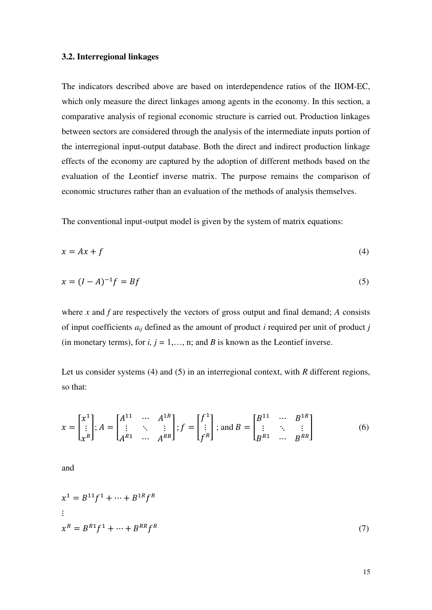# **3.2. Interregional linkages**

The indicators described above are based on interdependence ratios of the IIOM-EC, which only measure the direct linkages among agents in the economy. In this section, a comparative analysis of regional economic structure is carried out. Production linkages between sectors are considered through the analysis of the intermediate inputs portion of the interregional input-output database. Both the direct and indirect production linkage effects of the economy are captured by the adoption of different methods based on the evaluation of the Leontief inverse matrix. The purpose remains the comparison of economic structures rather than an evaluation of the methods of analysis themselves.

The conventional input-output model is given by the system of matrix equations:

$$
x = Ax + f \tag{4}
$$

$$
x = (I - A)^{-1}f = Bf \tag{5}
$$

where  $x$  and  $f$  are respectively the vectors of gross output and final demand;  $A$  consists of input coefficients *aij* defined as the amount of product *i* required per unit of product *j* (in monetary terms), for  $i, j = 1, \ldots, n$ ; and *B* is known as the Leontief inverse.

Let us consider systems (4) and (5) in an interregional context, with *R* different regions, so that:

$$
x = \begin{bmatrix} x^1 \\ \vdots \\ x^R \end{bmatrix}; A = \begin{bmatrix} A^{11} & \cdots & A^{1R} \\ \vdots & \ddots & \vdots \\ A^{R1} & \cdots & A^{RR} \end{bmatrix}; f = \begin{bmatrix} f^1 \\ \vdots \\ f^R \end{bmatrix}; \text{ and } B = \begin{bmatrix} B^{11} & \cdots & B^{1R} \\ \vdots & \ddots & \vdots \\ B^{R1} & \cdots & B^{RR} \end{bmatrix}
$$
(6)

and

$$
x^{1} = B^{11}f^{1} + \dots + B^{1R}f^{R}
$$
  
\n:  
\n
$$
x^{R} = B^{R1}f^{1} + \dots + B^{RR}f^{R}
$$
 (7)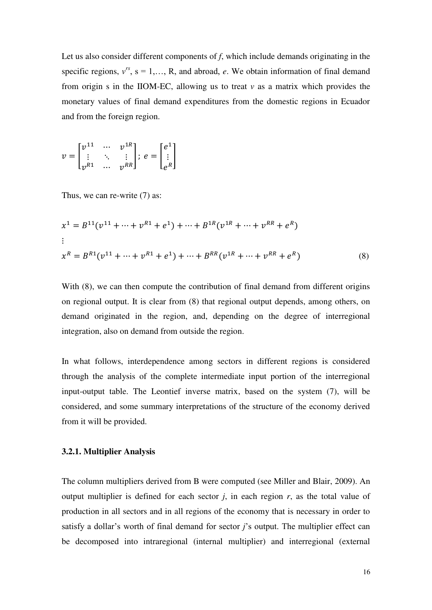Let us also consider different components of *f*, which include demands originating in the specific regions,  $v^{rs}$ ,  $s = 1,..., R$ , and abroad, *e*. We obtain information of final demand from origin s in the IIOM-EC, allowing us to treat *v* as a matrix which provides the monetary values of final demand expenditures from the domestic regions in Ecuador and from the foreign region.

$$
v = \begin{bmatrix} v^{11} & \cdots & v^{1R} \\ \vdots & \ddots & \vdots \\ v^{R1} & \cdots & v^{RR} \end{bmatrix}; e = \begin{bmatrix} e^1 \\ \vdots \\ e^R \end{bmatrix}
$$

Thus, we can re-write (7) as:

$$
x^{1} = B^{11}(v^{11} + \dots + v^{R1} + e^{1}) + \dots + B^{1R}(v^{1R} + \dots + v^{RR} + e^{R})
$$
  
\n:  
\n:  
\n
$$
x^{R} = B^{R1}(v^{11} + \dots + v^{R1} + e^{1}) + \dots + B^{RR}(v^{1R} + \dots + v^{RR} + e^{R})
$$
\n(8)

With  $(8)$ , we can then compute the contribution of final demand from different origins on regional output. It is clear from (8) that regional output depends, among others, on demand originated in the region, and, depending on the degree of interregional integration, also on demand from outside the region.

In what follows, interdependence among sectors in different regions is considered through the analysis of the complete intermediate input portion of the interregional input-output table. The Leontief inverse matrix, based on the system (7), will be considered, and some summary interpretations of the structure of the economy derived from it will be provided.

# **3.2.1. Multiplier Analysis**

The column multipliers derived from B were computed (see Miller and Blair, 2009). An output multiplier is defined for each sector  $j$ , in each region  $r$ , as the total value of production in all sectors and in all regions of the economy that is necessary in order to satisfy a dollar's worth of final demand for sector *j*'s output. The multiplier effect can be decomposed into intraregional (internal multiplier) and interregional (external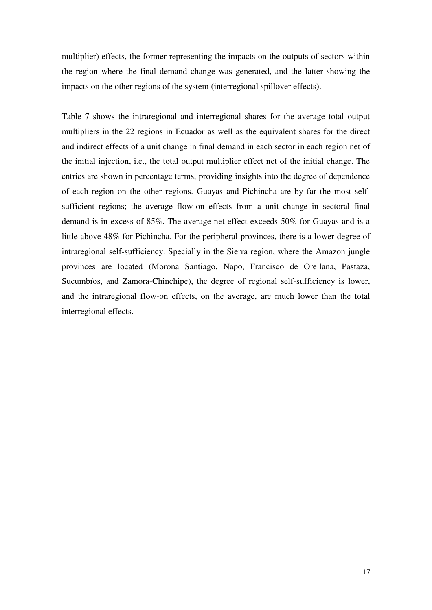multiplier) effects, the former representing the impacts on the outputs of sectors within the region where the final demand change was generated, and the latter showing the impacts on the other regions of the system (interregional spillover effects).

Table 7 shows the intraregional and interregional shares for the average total output multipliers in the 22 regions in Ecuador as well as the equivalent shares for the direct and indirect effects of a unit change in final demand in each sector in each region net of the initial injection, i.e., the total output multiplier effect net of the initial change. The entries are shown in percentage terms, providing insights into the degree of dependence of each region on the other regions. Guayas and Pichincha are by far the most selfsufficient regions; the average flow-on effects from a unit change in sectoral final demand is in excess of 85%. The average net effect exceeds 50% for Guayas and is a little above 48% for Pichincha. For the peripheral provinces, there is a lower degree of intraregional self-sufficiency. Specially in the Sierra region, where the Amazon jungle provinces are located (Morona Santiago, Napo, Francisco de Orellana, Pastaza, Sucumbíos, and Zamora-Chinchipe), the degree of regional self-sufficiency is lower, and the intraregional flow-on effects, on the average, are much lower than the total interregional effects.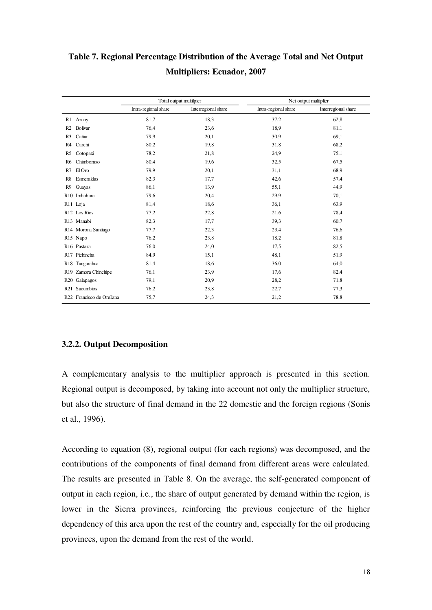|                |                           | Total output multilpier |                     | Net output multiplier |                     |  |  |  |  |
|----------------|---------------------------|-------------------------|---------------------|-----------------------|---------------------|--|--|--|--|
|                |                           | Intra-regional share    | Interregional share | Intra-regional share  | Interregional share |  |  |  |  |
| R1             | Azuay                     | 81,7                    | 18,3                | 37,2                  | 62,8                |  |  |  |  |
| R <sub>2</sub> | <b>Bolivar</b>            | 76,4                    | 23,6                | 18,9                  | 81,1                |  |  |  |  |
| R <sub>3</sub> | Cañar                     | 79.9                    | 20,1                | 30,9                  | 69,1                |  |  |  |  |
| R <sub>4</sub> | Carchi                    | 80,2                    | 19,8                | 31,8                  | 68,2                |  |  |  |  |
| R5             | Cotopaxi                  | 78,2                    | 21,8                | 24,9                  | 75,1                |  |  |  |  |
| R6             | Chimborazo                | 80,4                    | 19,6                | 32,5                  | 67.5                |  |  |  |  |
| R7             | El Oro                    | 79.9                    | 20,1                | 31,1                  | 68.9                |  |  |  |  |
| R8             | Esmeraldas                | 82,3                    | 17,7                | 42,6                  | 57,4                |  |  |  |  |
| R9             | Guayas                    | 86,1                    | 13,9                | 55,1                  | 44,9                |  |  |  |  |
|                | R <sub>10</sub> Imbabura  | 79,6                    | 20,4                | 29,9                  | 70,1                |  |  |  |  |
|                | R <sub>11</sub> Loja      | 81,4                    | 18,6                | 36,1                  | 63.9                |  |  |  |  |
|                | R <sub>12</sub> Los Rios  | 77,2                    | 22,8                | 21,6                  | 78,4                |  |  |  |  |
|                | R13 Manabi                | 82,3                    | 17,7                | 39,3                  | 60,7                |  |  |  |  |
|                | R14 Morona Santiago       | 77,7                    | 22,3                | 23,4                  | 76,6                |  |  |  |  |
|                | R <sub>15</sub> Napo      | 76,2                    | 23,8                | 18,2                  | 81,8                |  |  |  |  |
|                | R16 Pastaza               | 76,0                    | 24,0                | 17,5                  | 82,5                |  |  |  |  |
|                | R17 Pichincha             | 84,9                    | 15,1                | 48,1                  | 51,9                |  |  |  |  |
|                | R18 Tungurahua            | 81,4                    | 18,6                | 36,0                  | 64,0                |  |  |  |  |
|                | R19 Zamora Chinchipe      | 76,1                    | 23,9                | 17,6                  | 82,4                |  |  |  |  |
|                | R <sub>20</sub> Galapagos | 79,1                    | 20,9                | 28,2                  | 71,8                |  |  |  |  |
|                | R21 Sucumbios             | 76,2                    | 23,8                | 22,7                  | 77,3                |  |  |  |  |
|                | R22 Francisco de Orellana | 75,7                    | 24,3                | 21,2                  | 78,8                |  |  |  |  |

**Table 7. Regional Percentage Distribution of the Average Total and Net Output Multipliers: Ecuador, 2007** 

# **3.2.2. Output Decomposition**

A complementary analysis to the multiplier approach is presented in this section. Regional output is decomposed, by taking into account not only the multiplier structure, but also the structure of final demand in the 22 domestic and the foreign regions (Sonis et al., 1996).

According to equation (8), regional output (for each regions) was decomposed, and the contributions of the components of final demand from different areas were calculated. The results are presented in Table 8. On the average, the self-generated component of output in each region, i.e., the share of output generated by demand within the region, is lower in the Sierra provinces, reinforcing the previous conjecture of the higher dependency of this area upon the rest of the country and, especially for the oil producing provinces, upon the demand from the rest of the world.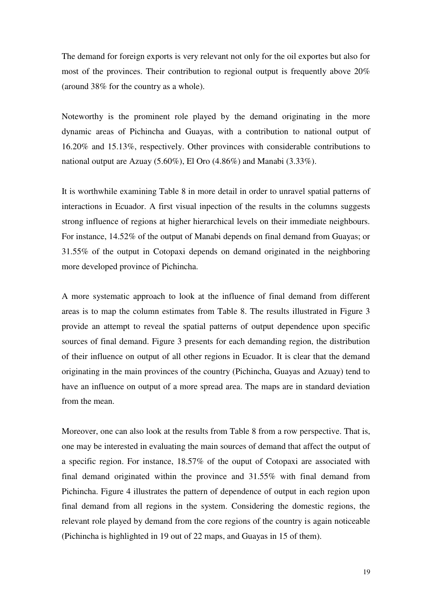The demand for foreign exports is very relevant not only for the oil exportes but also for most of the provinces. Their contribution to regional output is frequently above 20% (around 38% for the country as a whole).

Noteworthy is the prominent role played by the demand originating in the more dynamic areas of Pichincha and Guayas, with a contribution to national output of 16.20% and 15.13%, respectively. Other provinces with considerable contributions to national output are Azuay (5.60%), El Oro (4.86%) and Manabi (3.33%).

It is worthwhile examining Table 8 in more detail in order to unravel spatial patterns of interactions in Ecuador. A first visual inpection of the results in the columns suggests strong influence of regions at higher hierarchical levels on their immediate neighbours. For instance, 14.52% of the output of Manabi depends on final demand from Guayas; or 31.55% of the output in Cotopaxi depends on demand originated in the neighboring more developed province of Pichincha.

A more systematic approach to look at the influence of final demand from different areas is to map the column estimates from Table 8. The results illustrated in Figure 3 provide an attempt to reveal the spatial patterns of output dependence upon specific sources of final demand. Figure 3 presents for each demanding region, the distribution of their influence on output of all other regions in Ecuador. It is clear that the demand originating in the main provinces of the country (Pichincha, Guayas and Azuay) tend to have an influence on output of a more spread area. The maps are in standard deviation from the mean.

Moreover, one can also look at the results from Table 8 from a row perspective. That is, one may be interested in evaluating the main sources of demand that affect the output of a specific region. For instance, 18.57% of the ouput of Cotopaxi are associated with final demand originated within the province and 31.55% with final demand from Pichincha. Figure 4 illustrates the pattern of dependence of output in each region upon final demand from all regions in the system. Considering the domestic regions, the relevant role played by demand from the core regions of the country is again noticeable (Pichincha is highlighted in 19 out of 22 maps, and Guayas in 15 of them).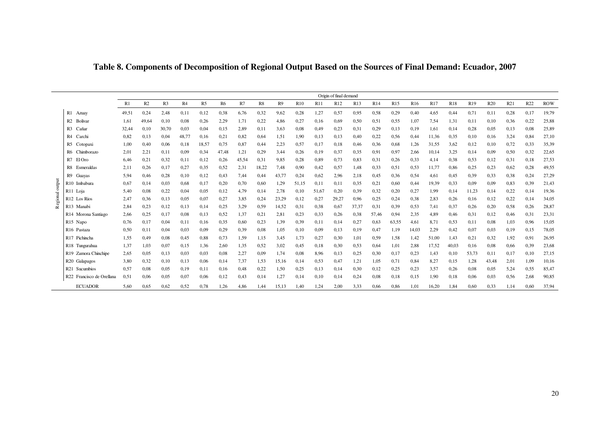|          |                           | Origin of final demand |       |                |       |                |           |       |       |       |            |       |                 |            |       |       |            |       |            |                 |       |      |      |            |
|----------|---------------------------|------------------------|-------|----------------|-------|----------------|-----------|-------|-------|-------|------------|-------|-----------------|------------|-------|-------|------------|-------|------------|-----------------|-------|------|------|------------|
|          |                           | R1                     | R2    | R <sub>3</sub> | R4    | R <sub>5</sub> | <b>R6</b> | R7    | R8    | R9    | <b>R10</b> | R11   | R <sub>12</sub> | <b>R13</b> | R14   | R15   | <b>R16</b> | R17   | <b>R18</b> | R <sub>19</sub> | R20   | R21  | R22  | <b>ROW</b> |
|          | R1 Azuay                  | 49,51                  | 0,24  | 2,48           | 0,11  | 0,12           | 0.38      | 6,76  | 0,32  | 9,62  | 0,28       | 1,27  | 0,57            | 0.95       | 0,58  | 0,29  | 0,40       | 4,65  | 0,44       | 0,71            | 0,11  | 0,28 | 0,17 | 19,79      |
|          | R <sub>2</sub> Bolivar    | 1.61                   | 49.64 | 0,10           | 0.08  | 0,26           | 2,29      | 1,71  | 0,22  | 4,86  | 0,27       | 0,16  | 0.69            | 0,50       | 0,51  | 0,55  | 1,07       | 7.54  | 1,31       | 0,11            | 0,10  | 0,36 | 0,22 | 25,88      |
|          | R <sub>3</sub> Cañar      | 32,44                  | 0,10  | 30,70          | 0.03  | 0,04           | 0.15      | 2,89  | 0,11  | 3,63  | 0,08       | 0,49  | 0,23            | 0.31       | 0,29  | 0,13  | 0,19       | 1,61  | 0,14       | 0,28            | 0,05  | 0,13 | 0,08 | 25,89      |
|          | R4 Carchi                 | 0.82                   | 0.13  | 0,04           | 48,77 | 0,16           | 0,21      | 0,82  | 0,64  | 1,51  | 1,90       | 0,13  | 0,13            | 0,40       | 0,22  | 0,56  | 0,44       | 11,36 | 0,35       | 0,10            | 0,16  | 3,24 | 0,84 | 27,10      |
|          | R5 Cotopaxi               | 1,00                   | 0,40  | 0,06           | 0.18  | 18,57          | 0.75      | 0,87  | 0,44  | 2,23  | 0,57       | 0,17  | 0,18            | 0,46       | 0,36  | 0.68  | 1,26       | 31,55 | 3,62       | 0,12            | 0,10  | 0,72 | 0,33 | 35,39      |
|          | R6 Chimborazo             | 2,01                   | 2,21  | 0,11           | 0.09  | 0,34           | 47,48     | 1,21  | 0,29  | 3,44  | 0,26       | 0,19  | 0,37            | 0.35       | 0,91  | 0,97  | 2,66       | 10,14 | 3,25       | 0,14            | 0,09  | 0,50 | 0,32 | 22,65      |
|          | R7 El Oro                 | 6,46                   | 0,21  | 0,32           | 0,11  | 0,12           | 0,26      | 45,54 | 0,31  | 9,85  | 0,28       | 0,89  | 0,73            | 0.83       | 0,31  | 0.26  | 0,33       | 4,14  | 0,38       | 0,53            | 0,12  | 0.31 | 0,18 | 27,53      |
|          | R8 Esmeraldas             | 2,11                   | 0,26  | 0,17           | 0,27  | 0,35           | 0.52      | 2,31  | 18,22 | 7,48  | 0,90       | 0,42  | 0,57            | 1,48       | 0,33  | 0,51  | 0.53       | 11,77 | 0,86       | 0,25            | 0,23  | 0,62 | 0,28 | 49,55      |
|          | R9 Guavas                 | 5,94                   | 0,46  | 0,28           | 0,10  | 0,12           | 0.43      | 7,44  | 0,44  | 43,77 | 0,24       | 0,62  | 2,96            | 2,18       | 0,45  | 0,36  | 0,54       | 4,61  | 0,45       | 0,39            | 0,33  | 0,38 | 0,24 | 27,29      |
| output   | R <sub>10</sub> Imbabura  | 0.67                   | 0,14  | 0,03           | 0,68  | 0,17           | 0,20      | 0,70  | 0,60  | 1,29  | 51.15      | 0,11  | 0,11            | 0.35       | 0,21  | 0,60  | 0,44       | 19,39 | 0,33       | 0,09            | 0,09  | 0,83 | 0,39 | 21,43      |
|          | R11 Loja                  | 5,40                   | 0.08  | 0,22           | 0,04  | 0,05           | 0,12      | 4,79  | 0,14  | 2,78  | 0,10       | 51,67 | 0,20            | 0.39       | 0,32  | 0,20  | 0,27       | 1,99  | 0,14       | 11,23           | 0,14  | 0,22 | 0,14 | 19,36      |
| Regional | R <sub>12</sub> Los Rios  | 2,47                   | 0.36  | 0,13           | 0,05  | 0,07           | 0,27      | 3,85  | 0,24  | 23,29 | 0,12       | 0,27  | 29,27           | 0,96       | 0,25  | 0,24  | 0,38       | 2,83  | 0,26       | 0,16            | 0,12  | 0,22 | 0,14 | 34,05      |
|          | R13 Manabi                | 2,84                   | 0,23  | 0,12           | 0,13  | 0,14           | 0,25      | 3,29  | 0,59  | 14,52 | 0,31       | 0,38  | 0,67            | 37,37      | 0,31  | 0.39  | 0,53       | 7,41  | 0,37       | 0,26            | 0,20  | 0,58 | 0,26 | 28,87      |
|          | R14 Morona Santiago       | 2,66                   | 0,25  | 0,17           | 0,08  | 0,13           | 0.52      | 1,37  | 0,21  | 2,81  | 0,23       | 0.33  | 0,26            | 0,38       | 57,46 | 0,94  | 2,35       | 4,89  | 0,46       | 0,31            | 0,12  | 0,46 | 0,31 | 23,31      |
|          | R <sub>15</sub> Napo      | 0,76                   | 0,17  | 0,04           | 0,11  | 0,16           | 0.35      | 0,60  | 0,23  | 1,39  | 0,39       | 0,11  | 0,14            | 0,27       | 0,63  | 63,55 | 4,61       | 8,71  | 0.53       | 0,11            | 0,08  | 1,03 | 0,96 | 15,05      |
|          | R <sub>16</sub> Pastaza   | 0.50                   | 0,11  | 0,04           | 0.03  | 0,09           | 0,29      | 0,39  | 0,08  | 1,05  | 0,10       | 0,09  | 0,13            | 0,19       | 0,47  | 1,19  | 14,03      | 2,29  | 0.42       | 0,07            | 0,03  | 0,19 | 0,15 | 78,05      |
|          | R17 Pichincha             | 1,55                   | 0,49  | 0,08           | 0,45  | 0,88           | 0.73      | 1,59  | 1,15  | 3,45  | 1,73       | 0,27  | 0,30            | 1,01       | 0,59  | 1,58  | 1,42       | 51,00 | 1,43       | 0,21            | 0,32  | 1,92 | 0,91 | 26,95      |
|          | R18 Tungurahua            | 1,37                   | 1,03  | 0,07           | 0.15  | 1,36           | 2,60      | 1,35  | 0,52  | 3,02  | 0,45       | 0,18  | 0,30            | 0.53       | 0,64  | 1,01  | 2,88       | 17,52 | 40,03      | 0,16            | 0,08  | 0,66 | 0,39 | 23,68      |
|          | R19 Zamora Chinchipe      | 2,65                   | 0.05  | 0,13           | 0.03  | 0,03           | 0.08      | 2,27  | 0,09  | 1,74  | 0,08       | 8,96  | 0,13            | 0.25       | 0,30  | 0,17  | 0,23       | 1,43  | 0,10       | 53,73           | 0,11  | 0,17 | 0,10 | 27,15      |
|          | R20 Galapagos             | 3,80                   | 0.32  | 0,10           | 0,13  | 0,06           | 0,14      | 7,37  | 1,53  | 15,16 | 0,14       | 0,53  | 0,47            | 1,21       | 1,05  | 0,71  | 0,84       | 8,27  | 0,15       | 1,28            | 43,48 | 2,01 | 1,09 | 10,16      |
|          | R <sub>21</sub> Sucumbios | 0.57                   | 0.08  | 0,05           | 0,19  | 0,11           | 0,16      | 0,48  | 0,22  | 1,50  | 0,25       | 0,13  | 0,14            | 0.30       | 0,12  | 0.25  | 0,23       | 3,57  | 0,26       | 0,08            | 0,05  | 5,24 | 0.55 | 85,47      |
|          | R22 Francisco de Orellana | 0,51                   | 0,06  | 0,05           | 0,07  | 0,06           | 0,12      | 0,43  | 0,14  | 1,27  | 0,14       | 0,10  | 0,14            | 0,24       | 0,08  | 0,18  | 0,15       | 1,90  | 0,18       | 0,06            | 0,03  | 0,56 | 2,68 | 90,85      |
|          | <b>ECUADOR</b>            | 5,60                   | 0.65  | 0.62           | 0,52  | 0,78           | 1,26      | 4,86  | 1,44  | 15,13 | 1,40       | 1,24  | 2,00            | 3,33       | 0,66  | 0,86  | 1,01       | 16,20 | 1,84       | 0.60            | 0,33  | 1,14 | 0,60 | 37.94      |

**Table 8. Components of Decomposition of Regional Output Based on the Sources of Final Demand: Ecuador, 2007**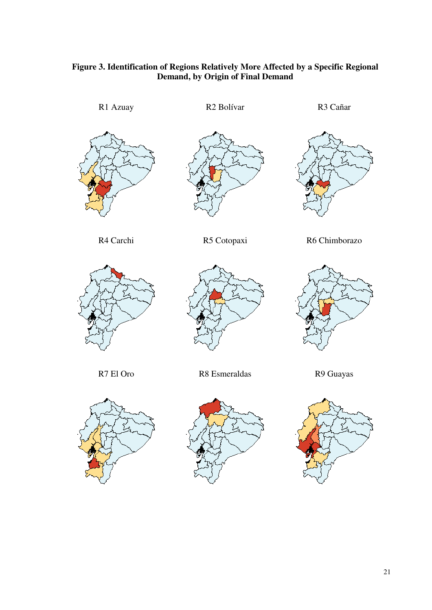

# **Figure 3. Identification of Regions Relatively More Affected by a Specific Regional**

R4 Carchi R5 Cotopaxi R6 Chimborazo









R7 El Oro R8 Esmeraldas R9 Guayas





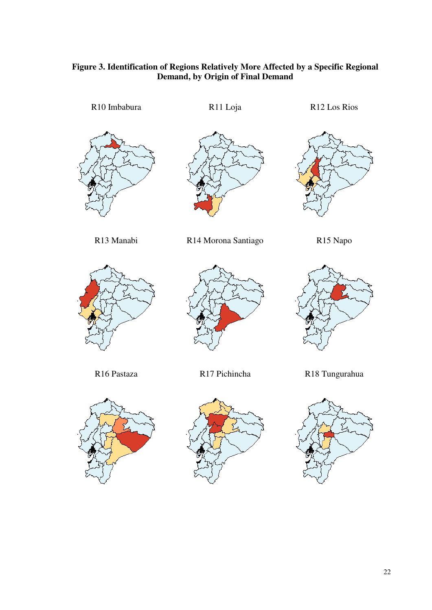# **Figure 3. Identification of Regions Relatively More Affected by a Specific Regional Demand, by Origin of Final Demand**

R10 Imbabura R11 Loja R12 Los Rios R13 Manabi R14 Morona Santiago R15 Napo R16 Pastaza R17 Pichincha R18 Tungurahua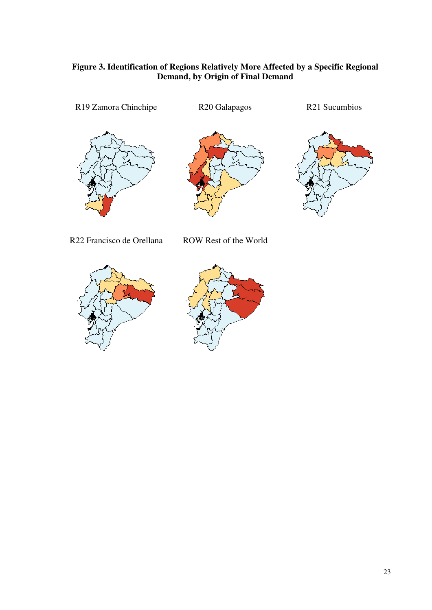# **Figure 3. Identification of Regions Relatively More Affected by a Specific Regional Demand, by Origin of Final Demand**

R19 Zamora Chinchipe R20 Galapagos R21 Sucumbios





R22 Francisco de Orellana ROW Rest of the World



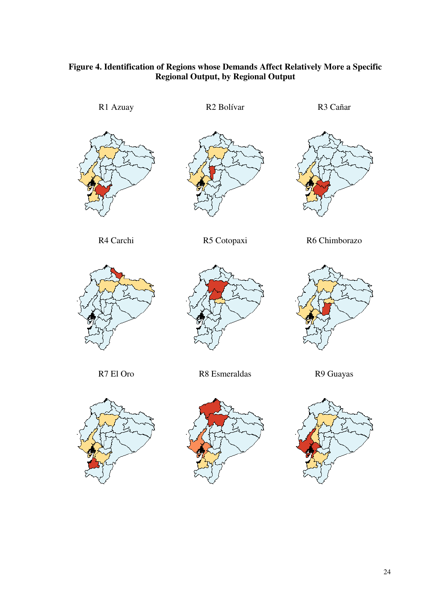# **Figure 4. Identification of Regions whose Demands Affect Relatively More a Specific Regional Output, by Regional Output**

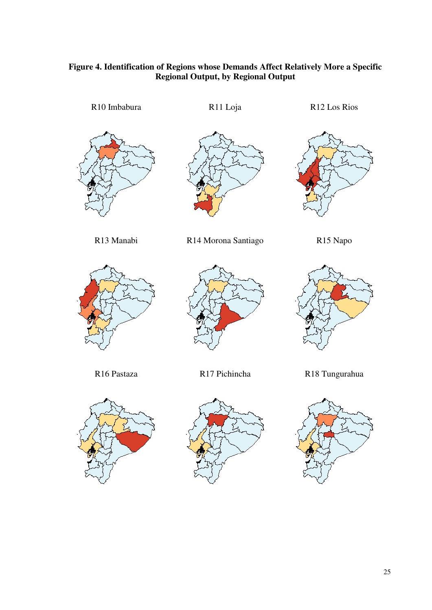# **Figure 4. Identification of Regions whose Demands Affect Relatively More a Specific Regional Output, by Regional Output**

R10 Imbabura R11 Loja R12 Los Rios







R13 Manabi R14 Morona Santiago R15 Napo











R16 Pastaza R17 Pichincha R18 Tungurahua

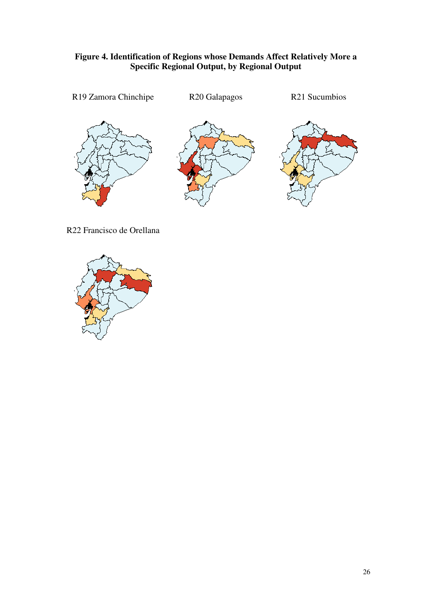# **Figure 4. Identification of Regions whose Demands Affect Relatively More a Specific Regional Output, by Regional Output**



R22 Francisco de Orellana

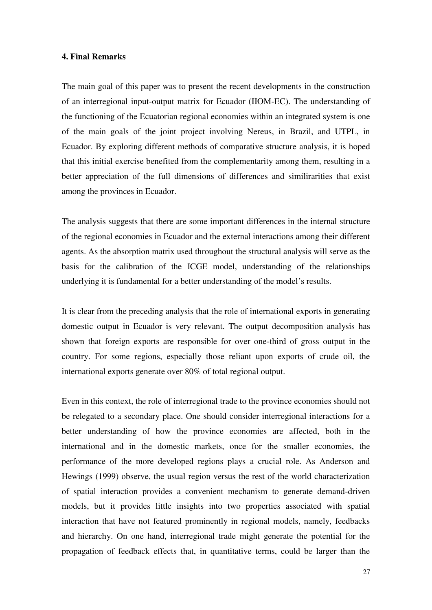# **4. Final Remarks**

The main goal of this paper was to present the recent developments in the construction of an interregional input-output matrix for Ecuador (IIOM-EC). The understanding of the functioning of the Ecuatorian regional economies within an integrated system is one of the main goals of the joint project involving Nereus, in Brazil, and UTPL, in Ecuador. By exploring different methods of comparative structure analysis, it is hoped that this initial exercise benefited from the complementarity among them, resulting in a better appreciation of the full dimensions of differences and similirarities that exist among the provinces in Ecuador.

The analysis suggests that there are some important differences in the internal structure of the regional economies in Ecuador and the external interactions among their different agents. As the absorption matrix used throughout the structural analysis will serve as the basis for the calibration of the ICGE model, understanding of the relationships underlying it is fundamental for a better understanding of the model's results.

It is clear from the preceding analysis that the role of international exports in generating domestic output in Ecuador is very relevant. The output decomposition analysis has shown that foreign exports are responsible for over one-third of gross output in the country. For some regions, especially those reliant upon exports of crude oil, the international exports generate over 80% of total regional output.

Even in this context, the role of interregional trade to the province economies should not be relegated to a secondary place. One should consider interregional interactions for a better understanding of how the province economies are affected, both in the international and in the domestic markets, once for the smaller economies, the performance of the more developed regions plays a crucial role. As Anderson and Hewings (1999) observe, the usual region versus the rest of the world characterization of spatial interaction provides a convenient mechanism to generate demand-driven models, but it provides little insights into two properties associated with spatial interaction that have not featured prominently in regional models, namely, feedbacks and hierarchy. On one hand, interregional trade might generate the potential for the propagation of feedback effects that, in quantitative terms, could be larger than the

27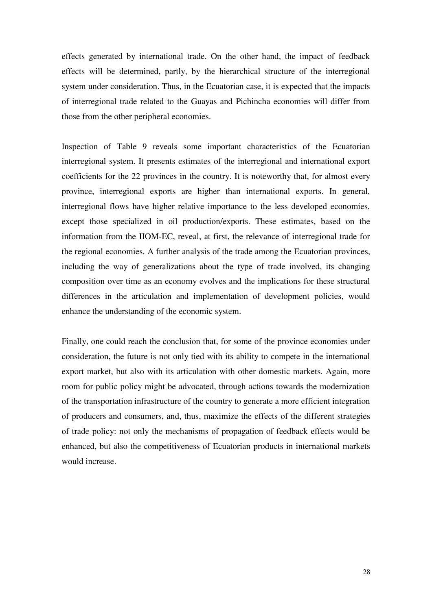effects generated by international trade. On the other hand, the impact of feedback effects will be determined, partly, by the hierarchical structure of the interregional system under consideration. Thus, in the Ecuatorian case, it is expected that the impacts of interregional trade related to the Guayas and Pichincha economies will differ from those from the other peripheral economies.

Inspection of Table 9 reveals some important characteristics of the Ecuatorian interregional system. It presents estimates of the interregional and international export coefficients for the 22 provinces in the country. It is noteworthy that, for almost every province, interregional exports are higher than international exports. In general, interregional flows have higher relative importance to the less developed economies, except those specialized in oil production/exports. These estimates, based on the information from the IIOM-EC, reveal, at first, the relevance of interregional trade for the regional economies. A further analysis of the trade among the Ecuatorian provinces, including the way of generalizations about the type of trade involved, its changing composition over time as an economy evolves and the implications for these structural differences in the articulation and implementation of development policies, would enhance the understanding of the economic system.

Finally, one could reach the conclusion that, for some of the province economies under consideration, the future is not only tied with its ability to compete in the international export market, but also with its articulation with other domestic markets. Again, more room for public policy might be advocated, through actions towards the modernization of the transportation infrastructure of the country to generate a more efficient integration of producers and consumers, and, thus, maximize the effects of the different strategies of trade policy: not only the mechanisms of propagation of feedback effects would be enhanced, but also the competitiveness of Ecuatorian products in international markets would increase.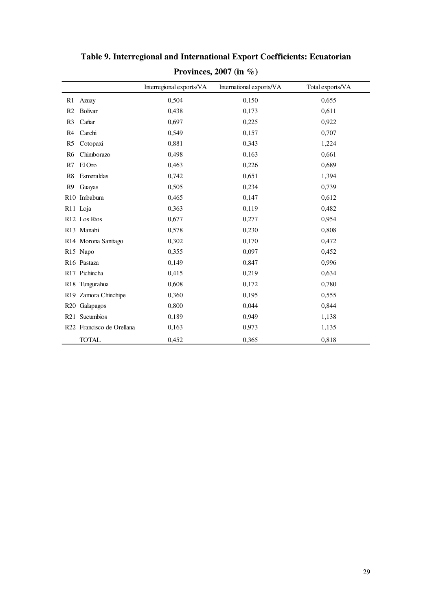|                |                           | Interregional exports/VA | International exports/VA | Total exports/VA |
|----------------|---------------------------|--------------------------|--------------------------|------------------|
| R <sub>1</sub> | Azuay                     | 0,504                    | 0,150                    | 0,655            |
| R <sub>2</sub> | Bolivar                   | 0,438                    | 0,173                    | 0,611            |
| R <sub>3</sub> | Cañar                     | 0,697                    | 0,225                    | 0,922            |
| R4             | Carchi                    | 0,549                    | 0,157                    | 0,707            |
| R <sub>5</sub> | Cotopaxi                  | 0,881                    | 0,343                    | 1,224            |
| R <sub>6</sub> | Chimborazo                | 0,498                    | 0,163                    | 0,661            |
| R7             | El Oro                    | 0,463                    | 0,226                    | 0,689            |
| R8             | Esmeraldas                | 0,742                    | 0,651                    | 1,394            |
| R <sub>9</sub> | Guayas                    | 0,505                    | 0,234                    | 0,739            |
|                | R10 Imbabura              | 0,465                    | 0,147                    | 0,612            |
|                | R11 Loja                  | 0,363                    | 0,119                    | 0,482            |
|                | R12 Los Rios              | 0,677                    | 0,277                    | 0,954            |
|                | R13 Manabi                | 0,578                    | 0,230                    | 0,808            |
|                | R14 Morona Santiago       | 0,302                    | 0,170                    | 0,472            |
|                | R15 Napo                  | 0,355                    | 0,097                    | 0,452            |
|                | R <sub>16</sub> Pastaza   | 0,149                    | 0,847                    | 0,996            |
|                | R17 Pichincha             | 0,415                    | 0,219                    | 0,634            |
|                | R18 Tungurahua            | 0,608                    | 0,172                    | 0,780            |
|                | R19 Zamora Chinchipe      | 0,360                    | 0,195                    | 0,555            |
|                | R20 Galapagos             | 0,800                    | 0,044                    | 0,844            |
|                | R21 Sucumbios             | 0,189                    | 0,949                    | 1,138            |
|                | R22 Francisco de Orellana | 0,163                    | 0,973                    | 1,135            |
|                | <b>TOTAL</b>              | 0,452                    | 0,365                    | 0,818            |

**Table 9. Interregional and International Export Coefficients: Ecuatorian Provinces, 2007 (in %)**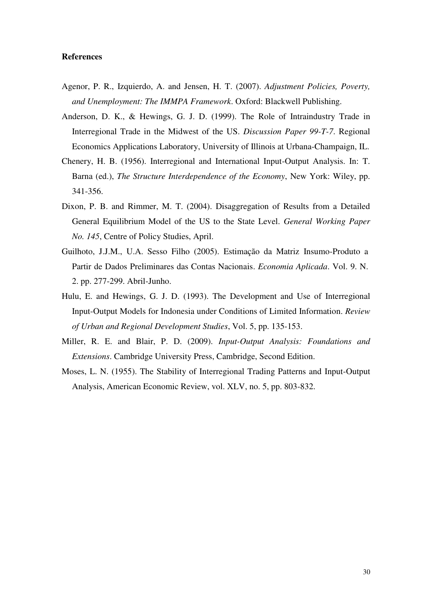# **References**

- Agenor, P. R., Izquierdo, A. and Jensen, H. T. (2007). *Adjustment Policies, Poverty, and Unemployment: The IMMPA Framework*. Oxford: Blackwell Publishing.
- Anderson, D. K., & Hewings, G. J. D. (1999). The Role of Intraindustry Trade in Interregional Trade in the Midwest of the US. *Discussion Paper 99-T-7*. Regional Economics Applications Laboratory, University of Illinois at Urbana-Champaign, IL.
- Chenery, H. B. (1956). Interregional and International Input-Output Analysis. In: T. Barna (ed.), *The Structure Interdependence of the Economy*, New York: Wiley, pp. 341-356.
- Dixon, P. B. and Rimmer, M. T. (2004). Disaggregation of Results from a Detailed General Equilibrium Model of the US to the State Level. *General Working Paper No. 145*, Centre of Policy Studies, April.
- Guilhoto, J.J.M., U.A. Sesso Filho (2005). Estimação da Matriz Insumo-Produto a Partir de Dados Preliminares das Contas Nacionais. *Economia Aplicada*. Vol. 9. N. 2. pp. 277-299. Abril-Junho.
- Hulu, E. and Hewings, G. J. D. (1993). The Development and Use of Interregional Input-Output Models for Indonesia under Conditions of Limited Information. *Review of Urban and Regional Development Studies*, Vol. 5, pp. 135-153.
- Miller, R. E. and Blair, P. D. (2009). *Input-Output Analysis: Foundations and Extensions*. Cambridge University Press, Cambridge, Second Edition.
- Moses, L. N. (1955). The Stability of Interregional Trading Patterns and Input-Output Analysis, American Economic Review, vol. XLV, no. 5, pp. 803-832.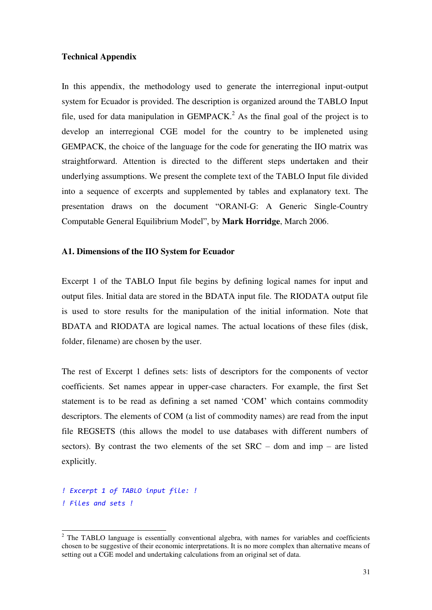# **Technical Appendix**

In this appendix, the methodology used to generate the interregional input-output system for Ecuador is provided. The description is organized around the TABLO Input file, used for data manipulation in  $GEMPACK<sup>2</sup>$ . As the final goal of the project is to develop an interregional CGE model for the country to be impleneted using GEMPACK, the choice of the language for the code for generating the IIO matrix was straightforward. Attention is directed to the different steps undertaken and their underlying assumptions. We present the complete text of the TABLO Input file divided into a sequence of excerpts and supplemented by tables and explanatory text. The presentation draws on the document "ORANI-G: A Generic Single-Country Computable General Equilibrium Model", by **Mark Horridge**, March 2006.

# **A1. Dimensions of the IIO System for Ecuador**

Excerpt 1 of the TABLO Input file begins by defining logical names for input and output files. Initial data are stored in the BDATA input file. The RIODATA output file is used to store results for the manipulation of the initial information. Note that BDATA and RIODATA are logical names. The actual locations of these files (disk, folder, filename) are chosen by the user.

The rest of Excerpt 1 defines sets: lists of descriptors for the components of vector coefficients. Set names appear in upper-case characters. For example, the first Set statement is to be read as defining a set named "COM" which contains commodity descriptors. The elements of COM (a list of commodity names) are read from the input file REGSETS (this allows the model to use databases with different numbers of sectors). By contrast the two elements of the set  $SRC -$  dom and imp – are listed explicitly.

*<sup>!</sup> Excerpt 1 of TABLO input file: ! ! Files and sets !* 

<sup>&</sup>lt;sup>2</sup> The TABLO language is essentially conventional algebra, with names for variables and coefficients chosen to be suggestive of their economic interpretations. It is no more complex than alternative means of setting out a CGE model and undertaking calculations from an original set of data.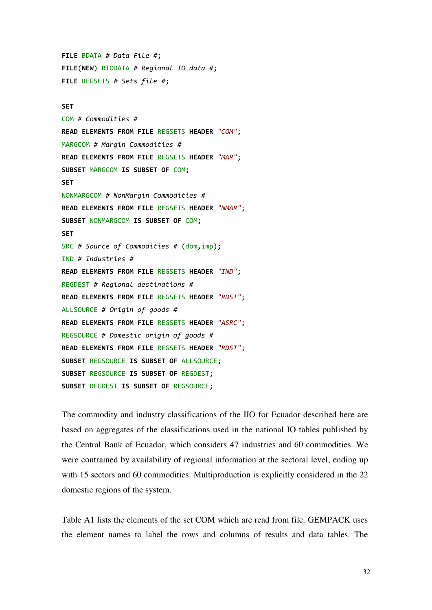**FILE** BDATA *# Data File #*; **FILE**(**NEW**) RIODATA *# Regional IO data #*; **FILE** REGSETS *# Sets file #*;

#### **SET**

COM *# Commodities #* **READ ELEMENTS FROM FILE** REGSETS **HEADER** *"COM"*; MARGCOM *# Margin Commodities #* **READ ELEMENTS FROM FILE** REGSETS **HEADER** *"MAR"*; **SUBSET** MARGCOM **IS SUBSET OF** COM; **SET**  NONMARGCOM *# NonMargin Commodities #* **READ ELEMENTS FROM FILE** REGSETS **HEADER** *"NMAR"*; **SUBSET** NONMARGCOM **IS SUBSET OF** COM; **SET** SRC *# Source of Commodities #* (dom,imp); IND *# Industries #* **READ ELEMENTS FROM FILE** REGSETS **HEADER** *"IND"*; REGDEST *# Regional destinations #* **READ ELEMENTS FROM FILE** REGSETS **HEADER** *"RDST"*; ALLSOURCE *# Origin of goods #* **READ ELEMENTS FROM FILE** REGSETS **HEADER** *"ASRC"*; REGSOURCE *# Domestic origin of goods #* **READ ELEMENTS FROM FILE** REGSETS **HEADER** *"RDST"*; **SUBSET** REGSOURCE **IS SUBSET OF** ALLSOURCE; **SUBSET** REGSOURCE **IS SUBSET OF** REGDEST; **SUBSET** REGDEST **IS SUBSET OF** REGSOURCE;

The commodity and industry classifications of the IIO for Ecuador described here are based on aggregates of the classifications used in the national IO tables published by the Central Bank of Ecuador, which considers 47 industries and 60 commodities. We were contrained by availability of regional information at the sectoral level, ending up with 15 sectors and 60 commodities. Multiproduction is explicitly considered in the 22 domestic regions of the system.

Table A1 lists the elements of the set COM which are read from file. GEMPACK uses the element names to label the rows and columns of results and data tables. The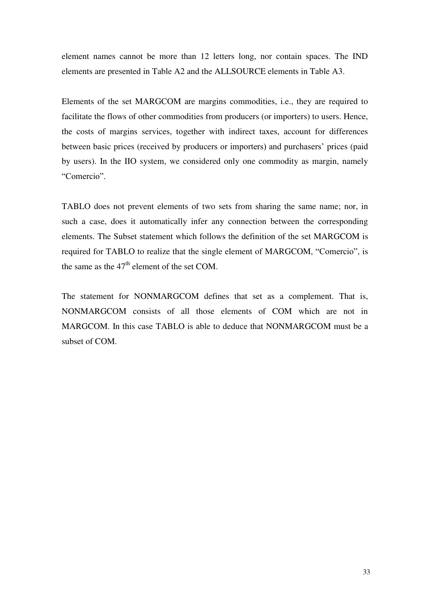element names cannot be more than 12 letters long, nor contain spaces. The IND elements are presented in Table A2 and the ALLSOURCE elements in Table A3.

Elements of the set MARGCOM are margins commodities, i.e., they are required to facilitate the flows of other commodities from producers (or importers) to users. Hence, the costs of margins services, together with indirect taxes, account for differences between basic prices (received by producers or importers) and purchasers' prices (paid by users). In the IIO system, we considered only one commodity as margin, namely "Comercio".

TABLO does not prevent elements of two sets from sharing the same name; nor, in such a case, does it automatically infer any connection between the corresponding elements. The Subset statement which follows the definition of the set MARGCOM is required for TABLO to realize that the single element of MARGCOM, "Comercio", is the same as the  $47<sup>th</sup>$  element of the set COM.

The statement for NONMARGCOM defines that set as a complement. That is, NONMARGCOM consists of all those elements of COM which are not in MARGCOM. In this case TABLO is able to deduce that NONMARGCOM must be a subset of COM.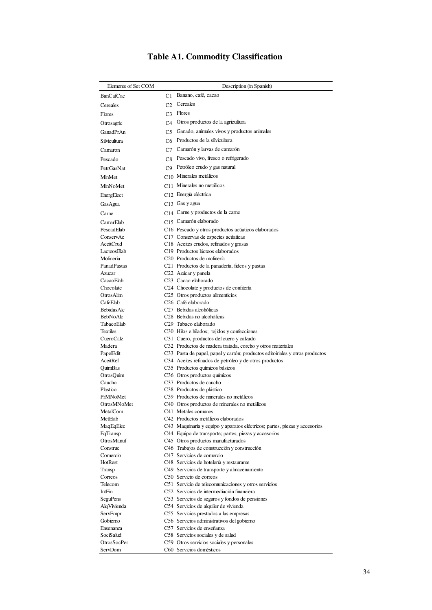|  |  |  |  | <b>Table A1. Commodity Classification</b> |
|--|--|--|--|-------------------------------------------|
|--|--|--|--|-------------------------------------------|

| Elements of Set COM             |                | Description (in Spanish)                                                                     |  |  |  |  |  |  |  |  |  |  |
|---------------------------------|----------------|----------------------------------------------------------------------------------------------|--|--|--|--|--|--|--|--|--|--|
| <b>BanCafCac</b>                | C1             | Banano, café, cacao                                                                          |  |  |  |  |  |  |  |  |  |  |
| Cereales                        | C <sub>2</sub> | Cereales                                                                                     |  |  |  |  |  |  |  |  |  |  |
| <b>Flores</b>                   | C <sub>3</sub> | Flores                                                                                       |  |  |  |  |  |  |  |  |  |  |
|                                 |                |                                                                                              |  |  |  |  |  |  |  |  |  |  |
| Otrosagric                      | C <sub>4</sub> | Otros productos de la agricultura                                                            |  |  |  |  |  |  |  |  |  |  |
| GanadPrAn                       | C <sub>5</sub> | Ganado, animales vivos y productos animales                                                  |  |  |  |  |  |  |  |  |  |  |
| Silvicultura                    | C <sub>6</sub> | Productos de la silvicultura                                                                 |  |  |  |  |  |  |  |  |  |  |
| Camaron                         | C7             | Camarón y larvas de camarón                                                                  |  |  |  |  |  |  |  |  |  |  |
| Pescado                         |                | C8 Pescado vivo, fresco o refrigerado                                                        |  |  |  |  |  |  |  |  |  |  |
| <b>PetrGasNat</b>               |                | C9 Petróleo crudo y gas natural                                                              |  |  |  |  |  |  |  |  |  |  |
| <b>MinMet</b>                   |                | C <sub>10</sub> Minerales metálicos                                                          |  |  |  |  |  |  |  |  |  |  |
| MinNoMet                        |                | C <sub>11</sub> Minerales no metálicos                                                       |  |  |  |  |  |  |  |  |  |  |
|                                 |                | $C12$ Energía eléctrica                                                                      |  |  |  |  |  |  |  |  |  |  |
| EnergElect                      |                |                                                                                              |  |  |  |  |  |  |  |  |  |  |
| GasAgua                         |                | C <sub>13</sub> Gas y agua                                                                   |  |  |  |  |  |  |  |  |  |  |
| Carne                           |                | $C14$ Carne y productos de la carne                                                          |  |  |  |  |  |  |  |  |  |  |
| CamarElab                       |                | C15 Camarón elaborado                                                                        |  |  |  |  |  |  |  |  |  |  |
| PescadElab                      |                | C16 Pescado y otros productos acúaticos elaborados                                           |  |  |  |  |  |  |  |  |  |  |
| ConservAc                       |                | C17 Conservas de especies acúaticas                                                          |  |  |  |  |  |  |  |  |  |  |
| AceitCrud<br><b>LacteosElab</b> |                | C18 Aceites crudos, refinados y grasas<br>C <sub>19</sub> Productos lácteos elaborados       |  |  |  |  |  |  |  |  |  |  |
| Molineria                       |                | C <sub>20</sub> Productos de molinería                                                       |  |  |  |  |  |  |  |  |  |  |
| PanadPastas                     |                | C21 Productos de la panadería, fideos y pastas                                               |  |  |  |  |  |  |  |  |  |  |
| Azucar                          |                | C <sub>22</sub> Azúcar y panela                                                              |  |  |  |  |  |  |  |  |  |  |
| CacaoElab                       |                | C <sub>23</sub> Cacao elaborado                                                              |  |  |  |  |  |  |  |  |  |  |
| Chocolate                       |                | C24 Chocolate y productos de confitería                                                      |  |  |  |  |  |  |  |  |  |  |
| OtrosAlim                       |                | C <sub>25</sub> Otros productos alimenticios                                                 |  |  |  |  |  |  |  |  |  |  |
| CafeElab                        |                | C <sub>26</sub> Café elaborado                                                               |  |  |  |  |  |  |  |  |  |  |
| <b>BebidasAlc</b>               |                | C <sub>27</sub> Bebidas alcohólicas                                                          |  |  |  |  |  |  |  |  |  |  |
| <b>BebNoAlc</b>                 |                | C <sub>28</sub> Bebidas no alcohólicas                                                       |  |  |  |  |  |  |  |  |  |  |
| TabacoElab<br><b>Textiles</b>   |                | C <sub>29</sub> Tabaco elaborado                                                             |  |  |  |  |  |  |  |  |  |  |
| CueroCalz                       |                | C30 Hilos e hilados; tejidos y confecciones<br>C31 Cuero, productos del cuero y calzado      |  |  |  |  |  |  |  |  |  |  |
| Madera                          |                | C32 Productos de madera tratada, corcho y otros materiales                                   |  |  |  |  |  |  |  |  |  |  |
| PapelEdit                       |                | C33 Pasta de papel, papel y cartón; productos editoiriales y otros productos                 |  |  |  |  |  |  |  |  |  |  |
| AceitRef                        |                | C34 Aceites refinados de petróleo y de otros productos                                       |  |  |  |  |  |  |  |  |  |  |
| QuimBas                         |                | C35 Productos químicos básicos                                                               |  |  |  |  |  |  |  |  |  |  |
| OtrosQuim                       |                | C36 Otros productos químicos                                                                 |  |  |  |  |  |  |  |  |  |  |
| Caucho                          |                | C <sub>37</sub> Productos de caucho                                                          |  |  |  |  |  |  |  |  |  |  |
| Plastico                        |                | C <sub>38</sub> Productos de plástico                                                        |  |  |  |  |  |  |  |  |  |  |
| PrMNoMet                        |                | C39 Productos de minerales no metálicos                                                      |  |  |  |  |  |  |  |  |  |  |
| OtrosMNoMet                     |                | C40 Otros productos de minerales no metálicos                                                |  |  |  |  |  |  |  |  |  |  |
| MetalCom<br>MetElab             |                | C41 Metales comunes<br>C42 Productos metálicos elaborados                                    |  |  |  |  |  |  |  |  |  |  |
| MaqEqElec                       |                | C43 Maquinaria y equipo y aparatos eléctricos; partes, piezas y accesorios                   |  |  |  |  |  |  |  |  |  |  |
| EqTransp                        |                | C44 Equipo de transporte; partes, piezas y accesorios                                        |  |  |  |  |  |  |  |  |  |  |
| OtrosManuf                      |                | C45 Otros productos manufacturados                                                           |  |  |  |  |  |  |  |  |  |  |
| Construc                        |                | C46 Trabajos de construcción y construcción                                                  |  |  |  |  |  |  |  |  |  |  |
| Comercio                        |                | C47 Servicios de comercio                                                                    |  |  |  |  |  |  |  |  |  |  |
| HotRest                         |                | C48 Servicios de hotelería y restaurante                                                     |  |  |  |  |  |  |  |  |  |  |
| Transp                          |                | C49 Servicios de transporte y almacenamiento                                                 |  |  |  |  |  |  |  |  |  |  |
| Correos                         |                | C50 Servicio de correos                                                                      |  |  |  |  |  |  |  |  |  |  |
| Telecom                         |                | C51 Servicio de telecomunicaciones y otros servicios                                         |  |  |  |  |  |  |  |  |  |  |
| IntFin                          |                | C52 Servicios de intermediación financiera<br>C53 Servicios de seguros y fondos de pensiones |  |  |  |  |  |  |  |  |  |  |
| SeguPens<br>AlqVivienda         |                | C54 Servicios de alquiler de vivienda                                                        |  |  |  |  |  |  |  |  |  |  |
| ServEmpr                        |                | C55 Servicios prestados a las empresas                                                       |  |  |  |  |  |  |  |  |  |  |
| Gobierno                        |                | C56 Servicios administrativos del gobierno                                                   |  |  |  |  |  |  |  |  |  |  |
| Ensenanza                       |                | C57 Servicios de enseñanza                                                                   |  |  |  |  |  |  |  |  |  |  |
| SociSalud                       |                | C58 Servicios sociales y de salud                                                            |  |  |  |  |  |  |  |  |  |  |
| OtrosSocPer                     |                | C59 Otros servicios sociales y personales                                                    |  |  |  |  |  |  |  |  |  |  |
| ServDom                         |                | C60 Servicios domésticos                                                                     |  |  |  |  |  |  |  |  |  |  |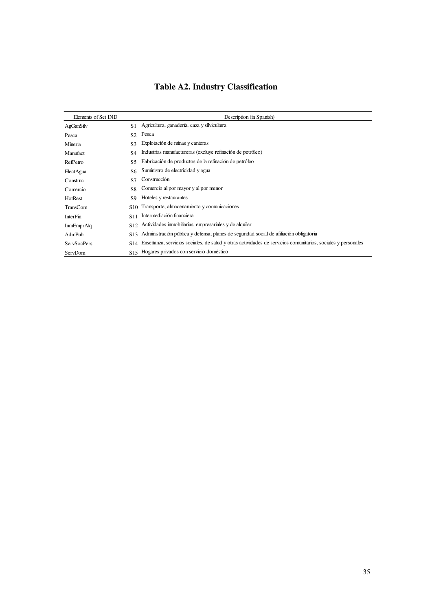| Elements of Set IND |                 | Description (in Spanish)                                                                                     |
|---------------------|-----------------|--------------------------------------------------------------------------------------------------------------|
| AgGanSilv           | S1              | Agricultura, ganadería, caza y silvicultura                                                                  |
| Pesca               | S <sub>2</sub>  | Pesca                                                                                                        |
| Mineria             | S <sub>3</sub>  | Explotación de minas y canteras                                                                              |
| Manufact            | S4              | Industrias manufactureras (excluye refinación de petróleo)                                                   |
| RefPetro            | <b>S5</b>       | Fabricación de productos de la refinación de petróleo                                                        |
| ElectAgua           | S6              | Suministro de electricidad y agua                                                                            |
| Construc            | S7              | Construcción                                                                                                 |
| Comercio            | S8              | Comercio al por mayor y al por menor                                                                         |
| HotRest             | \$9             | Hoteles y restaurantes                                                                                       |
| TransCom            | S <sub>10</sub> | Transporte, almacenamiento y comunicaciones                                                                  |
| <b>InterFin</b>     | S11             | Intermediación financiera                                                                                    |
| <b>InmEmprAlq</b>   | S <sub>12</sub> | Actividades inmobiliarias, empresariales y de alquiler                                                       |
| AdmPub              | S <sub>13</sub> | Administración pública y defensa; planes de seguridad social de afiliación obligatoria                       |
| <b>ServSocPers</b>  | S <sub>14</sub> | Enseñanza, servicios sociales, de salud y otras actividades de servicios comunitarios, sociales y personales |
| ServDom             | S <sub>15</sub> | Hogares privados con servicio doméstico                                                                      |

# **Table A2. Industry Classification**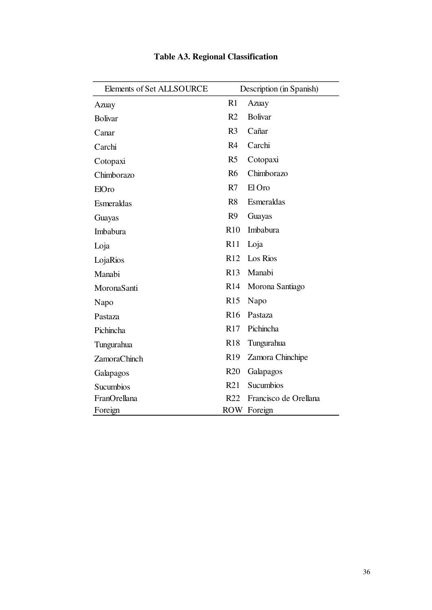| Elements of Set ALLSOURCE |                 | Description (in Spanish) |
|---------------------------|-----------------|--------------------------|
| Azuay                     | R1              | Azuay                    |
| <b>Bolivar</b>            | R <sub>2</sub>  | <b>Bolivar</b>           |
| Canar                     | R <sub>3</sub>  | Cañar                    |
| Carchi                    | R <sub>4</sub>  | Carchi                   |
| Cotopaxi                  | R5              | Cotopaxi                 |
| Chimborazo                | R <sub>6</sub>  | Chimborazo               |
| ElOro                     | R7              | El Oro                   |
| Esmeraldas                | R8              | Esmeraldas               |
| Guayas                    | R <sub>9</sub>  | Guayas                   |
| Imbabura                  | R10             | Imbabura                 |
| Loja                      | R11             | Loja                     |
| LojaRios                  | R12             | Los Rios                 |
| Manabi                    |                 | R <sub>13</sub> Manabi   |
| MoronaSanti               | R14             | Morona Santiago          |
| Napo                      | R15             | Napo                     |
| Pastaza                   | <b>R16</b>      | Pastaza                  |
| Pichincha                 | R17             | Pichincha                |
| Tungurahua                | R18             | Tungurahua               |
| <b>ZamoraChinch</b>       | R19             | Zamora Chinchipe         |
| Galapagos                 | R20             | Galapagos                |
| Sucumbios                 | R21             | Sucumbios                |
| FranOrellana              | R <sub>22</sub> | Francisco de Orellana    |
| Foreign                   |                 | ROW Foreign              |

# **Table A3. Regional Classification**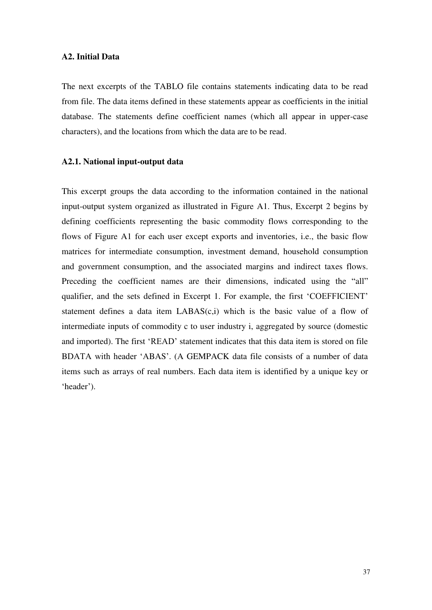# **A2. Initial Data**

The next excerpts of the TABLO file contains statements indicating data to be read from file. The data items defined in these statements appear as coefficients in the initial database. The statements define coefficient names (which all appear in upper-case characters), and the locations from which the data are to be read.

# **A2.1. National input-output data**

This excerpt groups the data according to the information contained in the national input-output system organized as illustrated in Figure A1. Thus, Excerpt 2 begins by defining coefficients representing the basic commodity flows corresponding to the flows of Figure A1 for each user except exports and inventories, i.e., the basic flow matrices for intermediate consumption, investment demand, household consumption and government consumption, and the associated margins and indirect taxes flows. Preceding the coefficient names are their dimensions, indicated using the "all" qualifier, and the sets defined in Excerpt 1. For example, the first "COEFFICIENT" statement defines a data item LABAS(c,i) which is the basic value of a flow of intermediate inputs of commodity c to user industry i, aggregated by source (domestic and imported). The first "READ" statement indicates that this data item is stored on file BDATA with header "ABAS". (A GEMPACK data file consists of a number of data items such as arrays of real numbers. Each data item is identified by a unique key or 'header').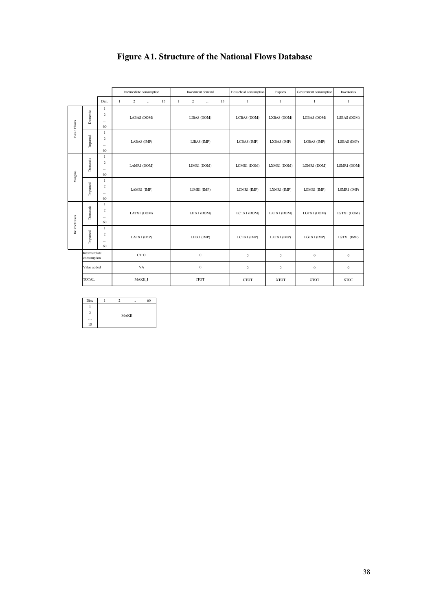|                    |                              |                                                  |              | Intermediate consumption                     |    |              | Investment demand          |    | Household consumption | <b>Exports</b> | Government consumption | Inventories      |
|--------------------|------------------------------|--------------------------------------------------|--------------|----------------------------------------------|----|--------------|----------------------------|----|-----------------------|----------------|------------------------|------------------|
|                    |                              | Dim.                                             | $\mathbf{1}$ | $\overline{2}$<br>$\mathcal{L}_{\text{max}}$ | 15 | $\mathbf{1}$ | $\overline{2}$<br>$\cdots$ | 15 | $\mathbf{1}$          | $\mathbf{1}$   | $\mathbf{1}$           | $\mathbf{1}$     |
| <b>Basic Flows</b> | Domestic                     | $\mathbf{1}$<br>2<br>$\cdots$<br>60              |              | LABAS (DOM)                                  |    |              | LIBAS (DOM)                |    | LCBAS (DOM)           | LXBAS (DOM)    | LGBAS (DOM)            | LSBAS (DOM)      |
|                    | Imported                     | $\mathbf{1}$<br>$\overline{2}$<br>$\cdots$<br>60 |              | LABAS (IMP)                                  |    |              | LIBAS (IMP)                |    | LCBAS (IMP)           | LXBAS (IMP)    | LGBAS (IMP)            | LSBAS (IMP)      |
| Margins            | Domestic                     | $\mathbf{1}$<br>2<br>$\cdots$<br>60              |              | LAMR1 (DOM)                                  |    |              | LIMR1 (DOM)                |    | LCMR1 (DOM)           | LXMR1 (DOM)    | LGMR1 (DOM)            | LSMR1 (DOM)      |
|                    | Imported                     | -1<br>2<br>$\cdots$<br>60                        |              | LAMR1 (IMP)                                  |    |              | LIMR1 (IMP)                |    | LCMR1 (IMP)           | LXMR1 (IMP)    | LGMR1 (IMP)            | LSMR1 (IMP)      |
| Indirect taxes     | Domestic                     | $\mathbf{1}$<br>2<br>$\cdots$<br>60              |              | LATX1 (DOM)                                  |    |              | LITX1 (DOM)                |    | LCTX1 (DOM)           | LXTX1 (DOM)    | LGTX1 (DOM)            | LSTX1 (DOM)      |
|                    | Imported                     | $\mathbf{1}$<br>$\overline{c}$<br>$\cdots$<br>60 |              | LATX1 (IMP)                                  |    |              | LITX1 (IMP)                |    | LCTX1 (IMP)           | LXTX1 (IMP)    | LGTX1 (IMP)            | LSTX1 (IMP)      |
|                    | Intermerdiate<br>consumption |                                                  |              | CTTO                                         |    |              | $\mathbf{0}$               |    | $\mathbf{0}$          | $\mathbf{0}$   | $\boldsymbol{0}$       | $\mathbf{0}$     |
|                    | Value added                  |                                                  |              | VA                                           |    | $\mathbf{0}$ |                            |    | $\bf{0}$              | $\bf{0}$       | $\boldsymbol{0}$       | $\boldsymbol{0}$ |
|                    | <b>TOTAL</b>                 |                                                  |              | MAKE I                                       |    |              | <b>ITOT</b>                |    | <b>CTOT</b>           | <b>XTOT</b>    | <b>GTOT</b>            | <b>STOT</b>      |

# **Figure A1. Structure of the National Flows Database**

| Dim.                 |             | 2 | $\sim$ $\sim$ $\sim$ | 60 |  |  |  |  |  |  |
|----------------------|-------------|---|----------------------|----|--|--|--|--|--|--|
|                      |             |   |                      |    |  |  |  |  |  |  |
| 2                    | <b>MAKE</b> |   |                      |    |  |  |  |  |  |  |
| $\sim$ $\sim$ $\sim$ |             |   |                      |    |  |  |  |  |  |  |
| 15                   |             |   |                      |    |  |  |  |  |  |  |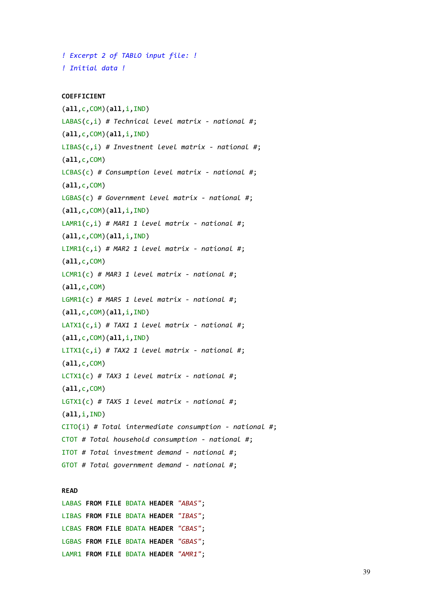```
! Excerpt 2 of TABLO input file: ! 
! Initial data !
```
#### **COEFFICIENT**

```
(all,c,COM)(all,i,IND) 
LABAS(c,i) # Technical level matrix - national #; 
(all,c,COM)(all,i,IND) 
LIBAS(c,i) # Investnent level matrix - national #; 
(all,c,COM) 
LCBAS(c) # Consumption level matrix - national #; 
(all,c,COM) 
LGBAS(c) # Government level matrix - national #; 
(all,c,COM)(all,i,IND) 
LAMR1(c,i) # MAR1 1 level matrix - national #; 
(all,c,COM)(all,i,IND) 
LIMR1(c,i) # MAR2 1 level matrix - national #; 
(all,c,COM) 
LCMR1(c) # MAR3 1 level matrix - national #; 
(all,c,COM) 
LGMR1(c) # MAR5 1 level matrix - national #; 
(all,c,COM)(all,i,IND) 
LATX1(c,i) # TAX1 1 level matrix - national #; 
(all,c,COM)(all,i,IND) 
LITX1(c,i) # TAX2 1 level matrix - national #; 
(all,c,COM) 
LCTX1(c) # TAX3 1 level matrix - national #; 
(all,c,COM) 
LGTX1(c) # TAX5 1 level matrix - national #; 
(all,i,IND) 
CITO(i) # Total intermediate consumption - national #; 
CTOT # Total household consumption - national #; 
ITOT # Total investment demand - national #; 
GTOT # Total government demand - national #;
```
#### **READ**

LABAS **FROM FILE** BDATA **HEADER** *"ABAS"*; LIBAS **FROM FILE** BDATA **HEADER** *"IBAS"*; LCBAS **FROM FILE** BDATA **HEADER** *"CBAS"*; LGBAS **FROM FILE** BDATA **HEADER** *"GBAS"*; LAMR1 **FROM FILE** BDATA **HEADER** *"AMR1"*;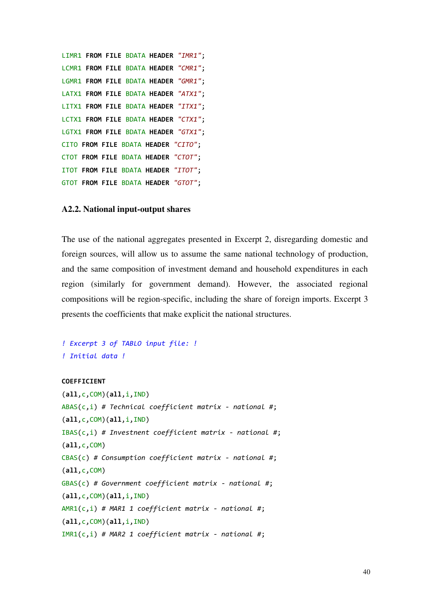```
LIMR1 FROM FILE BDATA HEADER "IMR1"; 
LCMR1 FROM FILE BDATA HEADER "CMR1"; 
LGMR1 FROM FILE BDATA HEADER "GMR1"; 
LATX1 FROM FILE BDATA HEADER "ATX1"; 
LITX1 FROM FILE BDATA HEADER "ITX1"; 
LCTX1 FROM FILE BDATA HEADER "CTX1"; 
LGTX1 FROM FILE BDATA HEADER "GTX1"; 
CITO FROM FILE BDATA HEADER "CITO"; 
CTOT FROM FILE BDATA HEADER "CTOT"; 
ITOT FROM FILE BDATA HEADER "ITOT"; 
GTOT FROM FILE BDATA HEADER "GTOT";
```
# **A2.2. National input-output shares**

The use of the national aggregates presented in Excerpt 2, disregarding domestic and foreign sources, will allow us to assume the same national technology of production, and the same composition of investment demand and household expenditures in each region (similarly for government demand). However, the associated regional compositions will be region-specific, including the share of foreign imports. Excerpt 3 presents the coefficients that make explicit the national structures.

```
! Excerpt 3 of TABLO input file: ! 
! Initial data !
```
# **COEFFICIENT**

```
(all,c,COM)(all,i,IND) 
ABAS(c,i) # Technical coefficient matrix - national #; 
(all,c,COM)(all,i,IND) 
IBAS(c,i) # Investnent coefficient matrix - national #; 
(all,c,COM) 
CBAS(c) # Consumption coefficient matrix - national #; 
(all,c,COM) 
GBAS(c) # Government coefficient matrix - national #; 
(all,c,COM)(all,i,IND) 
AMR1(c,i) # MAR1 1 coefficient matrix - national #; 
(all,c,COM)(all,i,IND) 
IMR1(c,i) # MAR2 1 coefficient matrix - national #;
```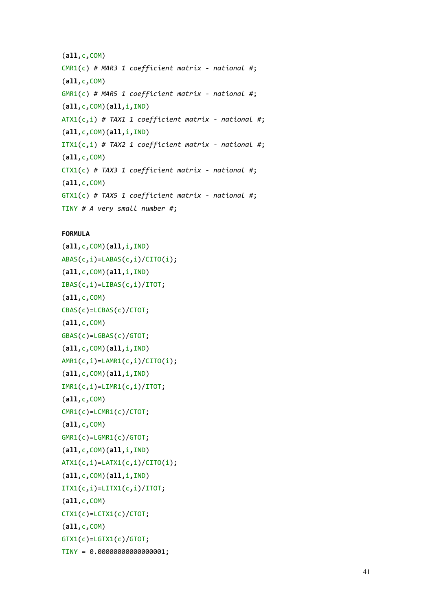```
(all,c,COM) 
CMR1(c) # MAR3 1 coefficient matrix - national #; 
(all,c,COM) 
GMR1(c) # MAR5 1 coefficient matrix - national #; 
(all,c,COM)(all,i,IND) 
ATX1(c,i) # TAX1 1 coefficient matrix - national #; 
(all,c,COM)(all,i,IND) 
ITX1(c,i) # TAX2 1 coefficient matrix - national #; 
(all,c,COM) 
CTX1(c) # TAX3 1 coefficient matrix - national #; 
(all,c,COM) 
GTX1(c) # TAX5 1 coefficient matrix - national #; 
TINY # A very small number #;
```
## **FORMULA**

```
(all,c,COM)(all,i,IND) 
ABAS(c,i)=LABAS(c,i)/CITO(i);
(all,c,COM)(all,i,IND) 
IBAS(c,i)=LIBAS(c,i)/ITOT; 
(all,c,COM) 
CBAS(c)=LCBAS(c)/CTOT; 
(all,c,COM) 
GBAS(c)=LGBAS(c)/GTOT; 
(all,c,COM)(all,i,IND) 
AMR1(c,i)=LAMR1(c,i)/CITO(i);
(all,c,COM)(all,i,IND) 
IMR1(c,i)=LIMR1(c,i)/ITOT; 
(all,c,COM) 
CMR1(c)=LCMR1(c)/CTOT; 
(all,c,COM) 
GMR1(c)=LGMR1(c)/GTOT; 
(all,c,COM)(all,i,IND) 
ATX1(c,i)=LATX1(c,i)/CITO(i);(all,c,COM)(all,i,IND) 
ITX1(c,i)=LITX1(c,i)/ITOT; 
(all,c,COM) 
CTX1(c)=LCTX1(c)/CTOT; 
(all,c,COM) 
GTX1(c)=LGTX1(c)/GTOT;TINY = 0.00000000000000001;
```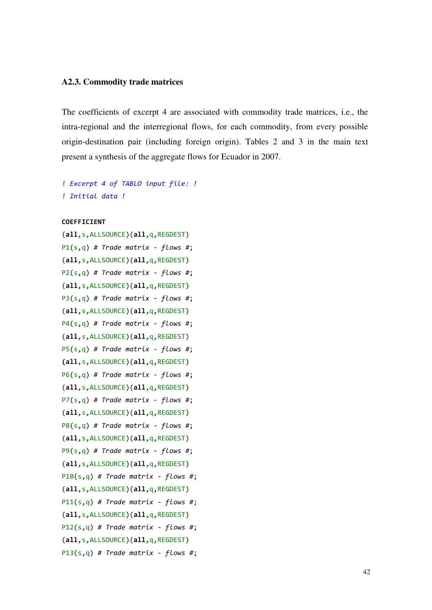# **A2.3. Commodity trade matrices**

The coefficients of excerpt 4 are associated with commodity trade matrices, i.e., the intra-regional and the interregional flows, for each commodity, from every possible origin-destination pair (including foreign origin). Tables 2 and 3 in the main text present a synthesis of the aggregate flows for Ecuador in 2007.

```
! Excerpt 4 of TABLO input file: ! 
! Initial data !
```
#### **COEFFICIENT**

```
(all,s,ALLSOURCE)(all,q,REGDEST) 
P1(s,q) # Trade matrix - flows #; 
(all,s,ALLSOURCE)(all,q,REGDEST) 
P2(s,q) # Trade matrix - flows #; 
(all,s,ALLSOURCE)(all,q,REGDEST) 
P3(s,q) # Trade matrix - flows #; 
(all,s,ALLSOURCE)(all,q,REGDEST) 
P4(s,q) # Trade matrix - flows #; 
(all,s,ALLSOURCE)(all,q,REGDEST) 
P5(s,q) # Trade matrix - flows #; 
(all,s,ALLSOURCE)(all,q,REGDEST) 
P6(s,q) # Trade matrix - flows #; 
(all,s,ALLSOURCE)(all,q,REGDEST) 
P7(s,q) # Trade matrix - flows #; 
(all,s,ALLSOURCE)(all,q,REGDEST) 
P8(s,q) # Trade matrix - flows #; 
(all,s,ALLSOURCE)(all,q,REGDEST) 
P9(s,q) # Trade matrix - flows #; 
(all,s,ALLSOURCE)(all,q,REGDEST) 
P10(s,q) # Trade matrix - flows #; 
(all,s,ALLSOURCE)(all,q,REGDEST) 
P11(s,q) # Trade matrix - flows #; 
(all,s,ALLSOURCE)(all,q,REGDEST) 
P12(s,q) # Trade matrix - flows #; 
(all,s,ALLSOURCE)(all,q,REGDEST) 
P13(s,q) # Trade matrix - flows #;
```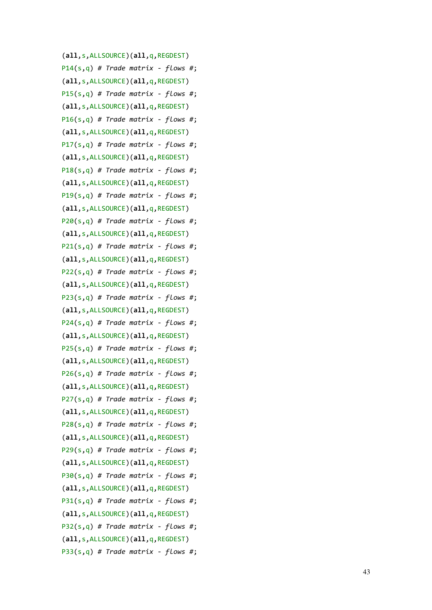```
(all
,
s
,ALLSOURCE)(all
,
q
,REGDEST) 
P14
(
s
,
q) # Trade matrix - flows #; 
(all
,
s
,ALLSOURCE)(all
,
q
,REGDEST) 
P15
(
s
,
q) # Trade matrix - flows #; 
(all
,
s
,ALLSOURCE)(all
,
q
,REGDEST) 
P16
(
s
,
q) # Trade matrix - flows #; 
(all
,
s
,ALLSOURCE)(all
,
q
,REGDEST) 
P17
(
s
,
q) # Trade matrix - flows #; 
(all
,
s
,ALLSOURCE)(all
,
q
,REGDEST) 
P18
(
s
,
q) # Trade matrix - flows #; 
(all
,
s
,ALLSOURCE)(all
,
q
,REGDEST) 
P19
(
s
,
q) # Trade matrix - flows #; 
(all
,
s
,ALLSOURCE)(all
,
q
,REGDEST) 
P20
(
s
,
q) # Trade matrix - flows #; 
(all
,
s
,ALLSOURCE)(all
,
q
,REGDEST) 
P21
(
s
,
q) # Trade matrix - flows #; 
(all
,
s
,ALLSOURCE)(all
,
q
,REGDEST) 
P22
(
s
,
q) # Trade matrix - flows #; 
(all
,
s
,ALLSOURCE)(all
,
q
,REGDEST) 
P23
(
s
,
q) # Trade matrix - flows #; 
(all
,
s
,ALLSOURCE)(all
,
q
,REGDEST) 
P24
(
s
,
q) # Trade matrix - flows #; 
(all
,
s
,ALLSOURCE)(all
,
q
,REGDEST) 
P25
(
s
,
q) # Trade matrix - flows #; 
(all
,
s
,ALLSOURCE)(all
,
q
,REGDEST) 
P26
(
s
,
q) # Trade matrix - flows #; 
(all
,
s
,ALLSOURCE)(all
,
q
,REGDEST) 
P27
(
s
,
q) # Trade matrix - flows #; 
(all
,
s
,ALLSOURCE)(all
,
q
,REGDEST) 
P28
(
s
,
q) # Trade matrix - flows #; 
(all
,
s
,ALLSOURCE)(all
,
q
,REGDEST) 
P29
(
s
,
q) # Trade matrix - flows #; 
(all
,
s
,ALLSOURCE)(all
,
q
,REGDEST) 
P30
(
s
,
q) # Trade matrix - flows #; 
(all
,
s
,ALLSOURCE)(all
,
q
,REGDEST) 
P31
(
s
,
q) # Trade matrix - flows #; 
(all
,
s
,ALLSOURCE)(all
,
q
,REGDEST) 
P32
(
s
,
q) # Trade matrix - flows #; 
(all
,
s
,ALLSOURCE)(all
,
q
,REGDEST) 
P33
(
s
,
q) # Trade matrix - flows #;
```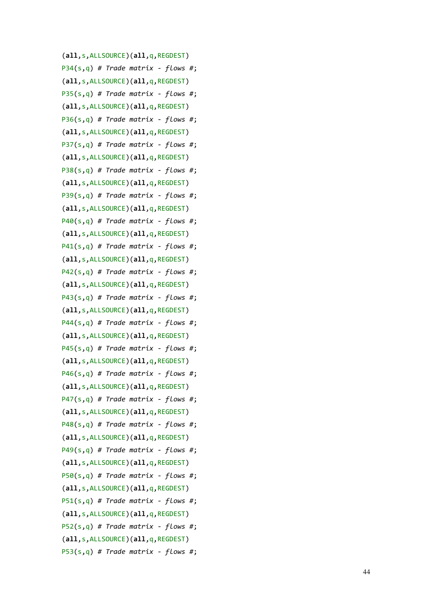```
(all
,
s
,ALLSOURCE)(all
,
q
,REGDEST) 
P34
(
s
,
q) # Trade matrix - flows #; 
(all
,
s
,ALLSOURCE)(all
,
q
,REGDEST) 
P35
(
s
,
q) # Trade matrix - flows #; 
(all
,
s
,ALLSOURCE)(all
,
q
,REGDEST) 
P36
(
s
,
q) # Trade matrix - flows #; 
(all
,
s
,ALLSOURCE)(all
,
q
,REGDEST) 
P37
(
s
,
q) # Trade matrix - flows #; 
(all
,
s
,ALLSOURCE)(all
,
q
,REGDEST) 
P38
(
s
,
q) # Trade matrix - flows #; 
(all
,
s
,ALLSOURCE)(all
,
q
,REGDEST) 
P39
(
s
,
q) # Trade matrix - flows #; 
(all
,
s
,ALLSOURCE)(all
,
q
,REGDEST) 
P40
(
s
,
q) # Trade matrix - flows #; 
(all
,
s
,ALLSOURCE)(all
,
q
,REGDEST) 
P41
(
s
,
q) # Trade matrix - flows #; 
(all
,
s
,ALLSOURCE)(all
,
q
,REGDEST) 
P42
(
s
,
q) # Trade matrix - flows #; 
(all
,
s
,ALLSOURCE)(all
,
q
,REGDEST) 
P43
(
s
,
q) # Trade matrix - flows #; 
(all
,
s
,ALLSOURCE)(all
,
q
,REGDEST) 
P44
(
s
,
q) # Trade matrix - flows #; 
(all
,
s
,ALLSOURCE)(all
,
q
,REGDEST) 
P45
(
s
,
q) # Trade matrix - flows #; 
(all
,
s
,ALLSOURCE)(all
,
q
,REGDEST) 
P46
(
s
,
q) # Trade matrix - flows #; 
(all
,
s
,ALLSOURCE)(all
,
q
,REGDEST) 
P47
(
s
,
q) # Trade matrix - flows #; 
(all
,
s
,ALLSOURCE)(all
,
q
,REGDEST) 
P48
(
s
,
q) # Trade matrix - flows #; 
(all
,
s
,ALLSOURCE)(all
,
q
,REGDEST) 
P49
(
s
,
q) # Trade matrix - flows #; 
(all
,
s
,ALLSOURCE)(all
,
q
,REGDEST) 
P50
(
s
,
q) # Trade matrix - flows #; 
(all
,
s
,ALLSOURCE)(all
,
q
,REGDEST) 
P51
(
s
,
q) # Trade matrix - flows #; 
(all
,
s
,ALLSOURCE)(all
,
q
,REGDEST) 
P52
(
s
,
q) # Trade matrix - flows #; 
(all
,
s
,ALLSOURCE)(all
,
q
,REGDEST) 
P53
(
s
,
q) # Trade matrix - flows #;
```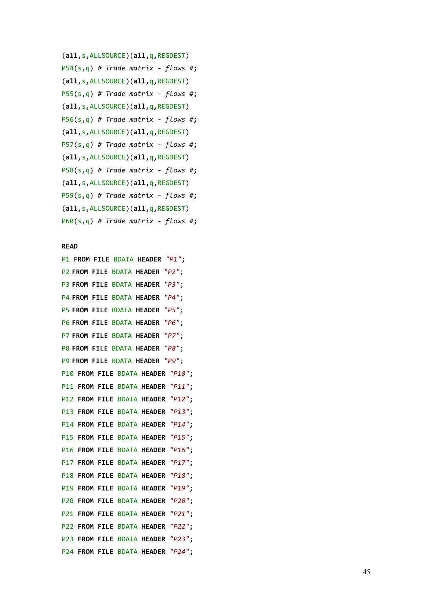```
(all
,
s
,ALLSOURCE)(all
,
q
,REGDEST) 
P54
(
s
,
q) # Trade matrix - flows #; 
(all
,
s
,ALLSOURCE)(all
,
q
,REGDEST) 
P55
(
s
,
q) # Trade matrix - flows #; 
(all
,
s
,ALLSOURCE)(all
,
q
,REGDEST) 
P56
(
s
,
q) # Trade matrix - flows #; 
(all
,
s
,ALLSOURCE)(all
,
q
,REGDEST) 
P57
(
s
,
q) # Trade matrix - flows #; 
(all
,
s
,ALLSOURCE)(all
,
q
,REGDEST) 
P58
(
s
,
q) # Trade matrix - flows #; 
(all
,
s
,ALLSOURCE)(all
,
q
,REGDEST) 
P59
(
s
,
q) # Trade matrix - flows #; 
(all
,
s
,ALLSOURCE)(all
,
q
,REGDEST) 
P60
(
s
,
q) # Trade matrix - flows #;
```
#### **READ**

P1 **FROM FILE** BDATA **HEADER** *"P1"*; P2 **FROM FILE** BDATA **HEADER** *"P2"*; P3 **FROM FILE** BDATA **HEADER** *"P3"*; P4 **FROM FILE** BDATA **HEADER** *"P4"*; P5 **FROM FILE** BDATA **HEADER** *"P5"*; P6 **FROM FILE** BDATA **HEADER** *"P6"*; P7 **FROM FILE** BDATA **HEADER** *"P7"*; P8 **FROM FILE** BDATA **HEADER** *"P8"*; P9 **FROM FILE** BDATA **HEADER** *"P9"*; P10 **FROM FILE** BDATA **HEADER** *"P10"*; P11 **FROM FILE** BDATA **HEADER** *"P11"*; P12 **FROM FILE** BDATA **HEADER** *"P12"*; P13 **FROM FILE** BDATA **HEADER** *"P13"*; P14 **FROM FILE** BDATA **HEADER** *"P14"*; P15 **FROM FILE** BDATA **HEADER** *"P15"*; P16 **FROM FILE** BDATA **HEADER** *"P16"*; P17 **FROM FILE** BDATA **HEADER** *"P17"*; P18 **FROM FILE** BDATA **HEADER** *"P18"*; P19 **FROM FILE** BDATA **HEADER** *"P19"*; P20 **FROM FILE** BDATA **HEADER** *"P20"*; P21 **FROM FILE** BDATA **HEADER** *"P21"*; P22 **FROM FILE** BDATA **HEADER** *"P22"*; P23 **FROM FILE** BDATA **HEADER** *"P23"*; P24 **FROM FILE** BDATA **HEADER** *"P24"*;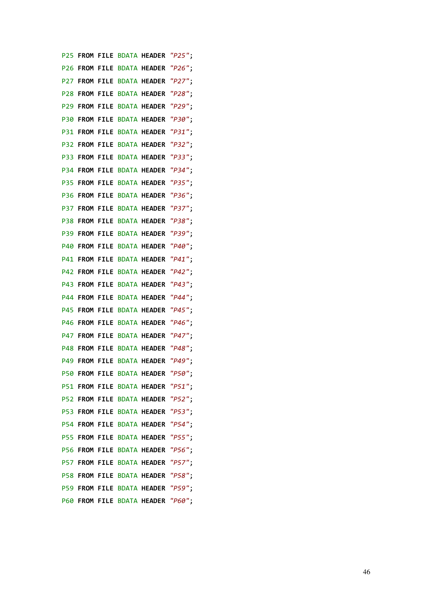P25 **FROM FILE** BDATA **HEADER** *"P25"*; P26 **FROM FILE** BDATA **HEADER** *"P26"*; P27 **FROM FILE** BDATA **HEADER** *"P27"*; P28 **FROM FILE** BDATA **HEADER** *"P28"*; P29 **FROM FILE** BDATA **HEADER** *"P29"*; P30 **FROM FILE** BDATA **HEADER** *"P30"*; P31 **FROM FILE** BDATA **HEADER** *"P31"*; P32 **FROM FILE** BDATA **HEADER** *"P32"*; P33 **FROM FILE** BDATA **HEADER** *"P33"*; P34 **FROM FILE** BDATA **HEADER** *"P34"*; P35 **FROM FILE** BDATA **HEADER** *"P35"*; P36 **FROM FILE** BDATA **HEADER** *"P36"*; P37 **FROM FILE** BDATA **HEADER** *"P37"*; P38 **FROM FILE** BDATA **HEADER** *"P38"*; P39 **FROM FILE** BDATA **HEADER** *"P39"*; P40 **FROM FILE** BDATA **HEADER** *"P40"*; P41 **FROM FILE** BDATA **HEADER** *"P41"*; P42 **FROM FILE** BDATA **HEADER** *"P42"*; P43 **FROM FILE** BDATA **HEADER** *"P43"*; P44 **FROM FILE** BDATA **HEADER** *"P44"*; P45 **FROM FILE** BDATA **HEADER** *"P45"*; P46 **FROM FILE** BDATA **HEADER** *"P46"*; P47 **FROM FILE** BDATA **HEADER** *"P47"*; P48 **FROM FILE** BDATA **HEADER** *"P48"*; P49 **FROM FILE** BDATA **HEADER** *"P49"*; P50 **FROM FILE** BDATA **HEADER** *"P50"*; P51 **FROM FILE** BDATA **HEADER** *"P51"*; P52 **FROM FILE** BDATA **HEADER** *"P52"*; P53 **FROM FILE** BDATA **HEADER** *"P53"*; P54 **FROM FILE** BDATA **HEADER** *"P54"*; P55 **FROM FILE** BDATA **HEADER** *"P55"*; P56 **FROM FILE** BDATA **HEADER** *"P56"*; P57 **FROM FILE** BDATA **HEADER** *"P57"*; P58 **FROM FILE** BDATA **HEADER** *"P58"*; P59 **FROM FILE** BDATA **HEADER** *"P59"*; P60 **FROM FILE** BDATA **HEADER** *"P60"*;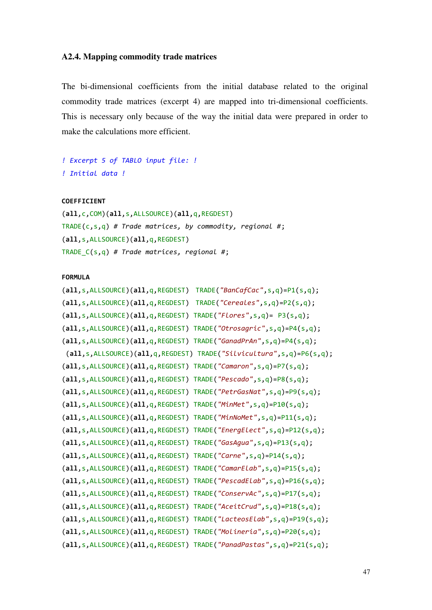# **A2.4. Mapping commodity trade matrices**

The bi-dimensional coefficients from the initial database related to the original commodity trade matrices (excerpt 4) are mapped into tri-dimensional coefficients. This is necessary only because of the way the initial data were prepared in order to make the calculations more efficient.

```
! Excerpt 5 of TABLO input file: ! 
! Initial data !
```
# **COEFFICIENT**

(**all**,c,COM)(**all**,s,ALLSOURCE)(**all**,q,REGDEST) TRADE(c,s,q) *# Trade matrices, by commodity, regional #*; (**all**,s,ALLSOURCE)(**all**,q,REGDEST) TRADE\_C(s,q) *# Trade matrices, regional #*;

**FORMULA**

| (all,s, ALLSOURCE) (all,q, REGDEST)                                       | TRADE("BanCafCac", s, q)= $P1(s,q)$ ;                                          |
|---------------------------------------------------------------------------|--------------------------------------------------------------------------------|
| $(all, s, ALLSOURCE)(all, q, REGDEST) TRADE('Cereales", s, q)=P2(s, q);$  |                                                                                |
| $(all, s, ALLSOURCE)(all, q, REGDEST) TRADE("Flores", s, q)= P3(s, q);$   |                                                                                |
|                                                                           | $(all, s, ALLSOURCE)(all, q, REGDEST) TRADE("Otrosagric", s, q)=P4(s, q);$     |
| $(all, s, ALLSOURCE)(all, q, REGOEST) TRADE("GanadPrAn", s, q)=P4(s, q);$ |                                                                                |
|                                                                           | $(all, s, ALLSOURCE)(all, q, REGDEST) TRADE("Silvicultura", s, q)=P6(s, q);$   |
| $(al, s, ALLSOURECE)(all, q, REGOEST) TRADE("Camaron", s, q)=P7(s, q);$   |                                                                                |
| $(all, s, ALLSOURCE)(all, q, REGDEST) TRADE("Pescado", s, q)=P8(s, q);$   |                                                                                |
|                                                                           | $(all, s, ALLSOURCE)(all, q, REGDEST) TRADE("PetrGasNat", s, q)=P9(s, q);$     |
| $(all, s, ALLSOLRCE) (all, q, REGDEST) TRADE("MinMet", s, q)=P10(s, q);$  |                                                                                |
| $(all, s, ALLSOURCE)(all, q, REGDEST) TRADE("MinNoMet", s, q)=P11(s, q);$ |                                                                                |
|                                                                           | $(all,s, ALLSOURCE)(all,q, REGDEST) TRADE("EnergyElect",s,q)=P12(s,q);$        |
| $(all, s, ALLSOURCE)(all, q, REGDEST) TRADE("GasAgua", s, q)=P13(s, q);$  |                                                                                |
| $(all, s, ALLSOURCE)(all, q, REGDEST) TRADE("Carne", s, q)=P14(s, q);$    |                                                                                |
|                                                                           | $(all, s, ALLSOURCE)(all, q, REGOEST) TRADE("CamarElab", s, q)=P15(s, q);$     |
|                                                                           | $(all, s, ALLSOURCE)(all, q, REGDEST) TRADE("PescadElab", s, q)=P16(s, q);$    |
|                                                                           | $(all, s, ALLSOURCE)(all, q, REGOEST) TRADE("ConservAc", s, q)=P17(s, q);$     |
|                                                                           | $(all, s, ALLSOURCE)(all, q, REGOEST) TRADE("AccitCrud", s, q)=P18(s, q);$     |
|                                                                           | $(all, s, ALLSOURCE)(all, q, REGDEST) TRADE('LactecsElab", s, q)=P19(s, q);$   |
|                                                                           | $(all, s, ALLSOURCE)(all, q, REGOEST) TRADE("Molineria", s, q)=P20(s, q);$     |
|                                                                           | $(all, s, ALLSOURCE) (all, q, REGDEST) TRADE("Panad Pastas", s, q)=P21(s, q);$ |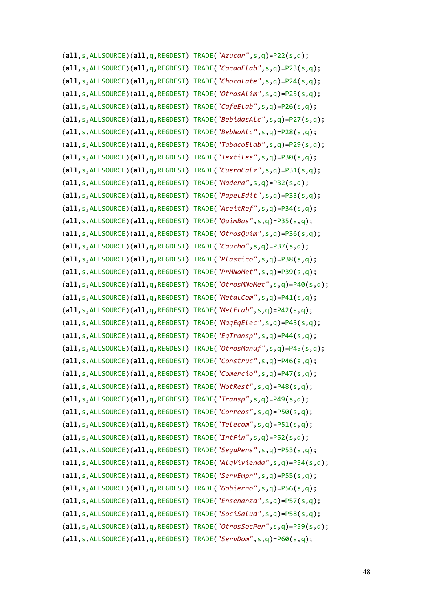```
(all,s,ALLSOURCE)(all,q,REGDEST) TRADE("Azucar",s,q)=P22(s,q);
(all,s,ALLSOURCE)(all,q,REGDEST) TRADE("CacaoElab",s,q)=P23(s,q);
(all,s,ALLSOURCE)(all,q,REGDEST) TRADE("Chocolate",s,q)=P24(s,q);
(all,s,ALLSOURCE)(all,q,REGDEST) TRADE("OtrosAlim",s,q)=P25(s,q);
(all,s,ALLSOURCE)(all,q,REGDEST) TRADE("CafeElab",s,q)=P26(s,q);
(all,s,ALLSOURCE)(all,q,REGDEST) TRADE("BebidasAlc",s,q)=P27(s,q);
(all,s,ALLSOURCE)(all,q,REGDEST) TRADE("BebNoAlc",s,q)=P28(s,q);
(all,s,ALLSOURCE)(all,q,REGDEST) TRADE("TabacoElab",s,q)=P29(s,q);
(all,s,ALLSOURCE)(all,q,REGDEST) TRADE("Textiles",s,q)=P30(s,q);
(all,s,ALLSOURCE)(all,q,REGDEST) TRADE("CueroCalz",s,q)=P31(s,q);
(all,s,ALLSOURCE)(all,q,REGDEST) TRADE("Madera",s,q)=P32(s,q);
(all,s,ALLSOURCE)(all,q,REGDEST) TRADE("PapelEdit",s,q)=P33(s,q);
(all,s,ALLSOURCE)(all,q,REGDEST) TRADE("AceitRef",s,q)=P34(s,q);
(all,s,ALLSOURCE)(all,q,REGDEST) TRADE("QuimBas",s,q)=P35(s,q);
(all,s,ALLSOURCE)(all,q,REGDEST) TRADE("OtrosQuim",s,q)=P36(s,q);
(all,s,ALLSOURCE)(all,q,REGDEST) TRADE("Caucho",s,q)=P37(s,q);
(all,s,ALLSOURCE)(all,q,REGDEST) TRADE("Plastico",s,q)=P38(s,q);
(all,s,ALLSOURCE)(all,q,REGDEST) TRADE("PrMNoMet",s,q)=P39(s,q);
(all,s,ALLSOURCE)(all,q,REGDEST) TRADE("OtrosMNoMet",s,q)=P40(s,q);
(all,s,ALLSOURCE)(all,q,REGDEST) TRADE("MetalCom",s,q)=P41(s,q);
(all,s,ALLSOURCE)(all,q,REGDEST) TRADE("MetElab",s,q)=P42(s,q);
(all,s,ALLSOURCE)(all,q,REGDEST) TRADE("MaqEqElec",s,q)=P43(s,q);
(all,s,ALLSOURCE)(all,q,REGDEST) TRADE("EqTransp",s,q)=P44(s,q);
(all,s,ALLSOURCE)(all,q,REGDEST) TRADE("OtrosManuf",s,q)=P45(s,q);
(all,s,ALLSOURCE)(all,q,REGDEST) TRADE("Construc",s,q)=P46(s,q);
(all,s,ALLSOURCE)(all,q,REGDEST) TRADE("Comercio",s,q)=P47(s,q);
(all,s,ALLSOURCE)(all,q,REGDEST) TRADE("HotRest",s,q)=P48(s,q);
(all,s,ALLSOURCE)(all,q,REGDEST) TRADE("Transp",s,q)=P49(s,q);
(all,s,ALLSOURCE)(all,q,REGDEST) TRADE("Correos",s,q)=P50(s,q);
(all,s,ALLSOURCE)(all,q,REGDEST) TRADE("Telecom",s,q)=P51(s,q);
(all,s,ALLSOURCE)(all,q,REGDEST) TRADE("IntFin",s,q)=P52(s,q);
(all,s,ALLSOURCE)(all,q,REGDEST) TRADE("SeguPens",s,q)=P53(s,q);
(all,s,ALLSOURCE)(all,q,REGDEST) TRADE("AlqVivienda",s,q)=P54(s,q);
(all,s,ALLSOURCE)(all,q,REGDEST) TRADE("ServEmpr",s,q)=P55(s,q);
(all,s,ALLSOURCE)(all,q,REGDEST) TRADE("Gobierno",s,q)=P56(s,q);
(all,s,ALLSOURCE)(all,q,REGDEST) TRADE("Ensenanza",s,q)=P57(s,q);
(all,s,ALLSOURCE)(all,q,REGDEST) TRADE("SociSalud",s,q)=P58(s,q);
(all,s,ALLSOURCE)(all,q,REGDEST) TRADE("OtrosSocPer",s,q)=P59(s,q);
(all,s,ALLSOURCE)(all,q,REGDEST) TRADE("ServDom",s,q)=P60(s,q);
```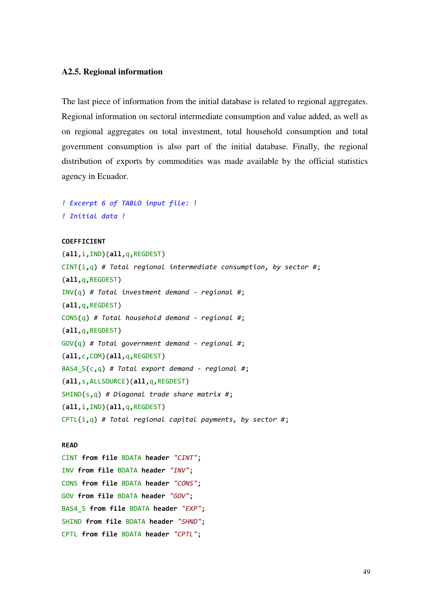# **A2.5. Regional information**

The last piece of information from the initial database is related to regional aggregates. Regional information on sectoral intermediate consumption and value added, as well as on regional aggregates on total investment, total household consumption and total government consumption is also part of the initial database. Finally, the regional distribution of exports by commodities was made available by the official statistics agency in Ecuador.

```
! Excerpt 6 of TABLO input file: ! 
! Initial data !
```

```
COEFFICIENT
```

```
(all,i,IND)(all,q,REGDEST) 
CINT(i,q) # Total regional intermediate consumption, by sector #; 
(all,q,REGDEST) 
INV(q) # Total investment demand - regional #; 
(all,q,REGDEST) 
CONS(q) # Total household demand - regional #; 
(all,q,REGDEST) 
GOV(q) # Total government demand - regional #; 
(all,c,COM)(all,q,REGDEST) 
BAS4_S(c,q) # Total export demand - regional #; 
(all,s,ALLSOURCE)(all,q,REGDEST) 
SHIND(s,q) # Diagonal trade share matrix #; 
(all,i,IND)(all,q,REGDEST) 
CPTL(i,q) # Total regional capital payments, by sector #;
```
#### **READ**

CINT **from file** BDATA **header** *"CINT"*; INV **from file** BDATA **header** *"INV"*; CONS **from file** BDATA **header** *"CONS"*; GOV **from file** BDATA **header** *"GOV"*; BAS4\_S **from file** BDATA **header** *"EXP"*; SHIND **from file** BDATA **header** *"SHND"*; CPTL **from file** BDATA **header** *"CPTL"*;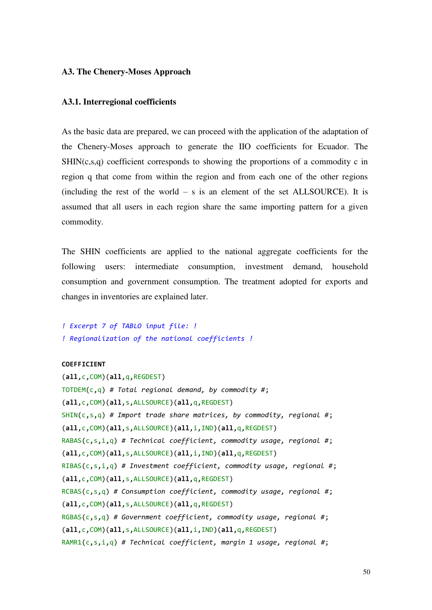# **A3. The Chenery-Moses Approach**

# **A3.1. Interregional coefficients**

As the basic data are prepared, we can proceed with the application of the adaptation of the Chenery-Moses approach to generate the IIO coefficients for Ecuador. The  $SHIN(c,s,q)$  coefficient corresponds to showing the proportions of a commodity c in region q that come from within the region and from each one of the other regions (including the rest of the world  $-$  s is an element of the set ALLSOURCE). It is assumed that all users in each region share the same importing pattern for a given commodity.

The SHIN coefficients are applied to the national aggregate coefficients for the following users: intermediate consumption, investment demand, household consumption and government consumption. The treatment adopted for exports and changes in inventories are explained later.

```
! Excerpt 7 of TABLO input file: ! 
! Regionalization of the national coefficients !
```
# **COEFFICIENT**

```
(all,c,COM)(all,q,REGDEST) 
TOTDEM(c,q) # Total regional demand, by commodity #; 
(all,c,COM)(all,s,ALLSOURCE)(all,q,REGDEST) 
SHIN(c,s,q) # Import trade share matrices, by commodity, regional #; 
(all,c,COM)(all,s,ALLSOURCE)(all,i,IND)(all,q,REGDEST) 
RABAS(c,s,i,q) # Technical coefficient, commodity usage, regional #; 
(all,c,COM)(all,s,ALLSOURCE)(all,i,IND)(all,q,REGDEST) 
RIBAS(c,s,i,q) # Investment coefficient, commodity usage, regional #; 
(all,c,COM)(all,s,ALLSOURCE)(all,q,REGDEST) 
RCBAS(c,s,q) # Consumption coefficient, commodity usage, regional #; 
(all,c,COM)(all,s,ALLSOURCE)(all,q,REGDEST) 
RGBAS(c,s,q) # Government coefficient, commodity usage, regional #; 
(all,c,COM)(all,s,ALLSOURCE)(all,i,IND)(all,q,REGDEST) 
RAMR1(c,s,i,q) # Technical coefficient, margin 1 usage, regional #;
```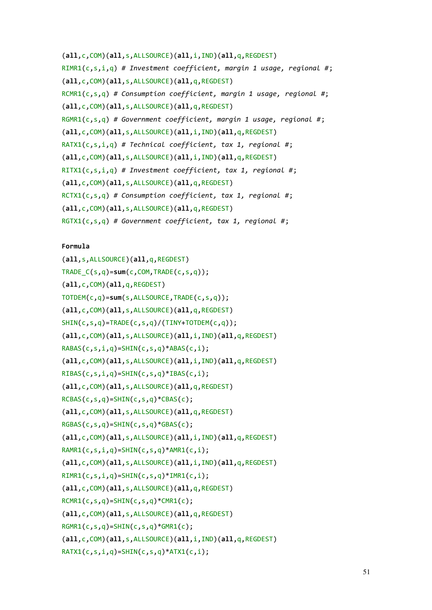```
(all,c,COM)(all,s,ALLSOURCE)(all,i,IND)(all,q,REGDEST) 
RIMR1(c,s,i,q) # Investment coefficient, margin 1 usage, regional #; 
(all,c,COM)(all,s,ALLSOURCE)(all,q,REGDEST) 
RCMR1(c,s,q) # Consumption coefficient, margin 1 usage, regional #; 
(all,c,COM)(all,s,ALLSOURCE)(all,q,REGDEST) 
RGMR1(c,s,q) # Government coefficient, margin 1 usage, regional #; 
(all,c,COM)(all,s,ALLSOURCE)(all,i,IND)(all,q,REGDEST) 
RATX1(c,s,i,q) # Technical coefficient, tax 1, regional #; 
(all,c,COM)(all,s,ALLSOURCE)(all,i,IND)(all,q,REGDEST) 
RITX1(c,s,i,q) # Investment coefficient, tax 1, regional #; 
(all,c,COM)(all,s,ALLSOURCE)(all,q,REGDEST) 
RCTX1(c,s,q) # Consumption coefficient, tax 1, regional #; 
(all,c,COM)(all,s,ALLSOURCE)(all,q,REGDEST) 
RGTX1(c,s,q) # Government coefficient, tax 1, regional #;
```
## **Formula**

(**all**,s,ALLSOURCE)(**all**,q,REGDEST) TRADE\_C(s,q)=**sum**(c,COM,TRADE(c,s,q)); (**all**,c,COM)(**all**,q,REGDEST) TOTDEM(c,q)=**sum**(s,ALLSOURCE,TRADE(c,s,q)); (**all**,c,COM)(**all**,s,ALLSOURCE)(**all**,q,REGDEST) SHIN(c,s,q)=TRADE(c,s,q)/(TINY+TOTDEM(c,q)); (**all**,c,COM)(**all**,s,ALLSOURCE)(**all**,i,IND)(**all**,q,REGDEST) RABAS(c,s,i,q)=SHIN(c,s,q)\*ABAS(c,i); (**all**,c,COM)(**all**,s,ALLSOURCE)(**all**,i,IND)(**all**,q,REGDEST) RIBAS(c,s,i,q)=SHIN(c,s,q)\*IBAS(c,i); (**all**,c,COM)(**all**,s,ALLSOURCE)(**all**,q,REGDEST) RCBAS(c,s,q)=SHIN(c,s,q)\*CBAS(c); (**all**,c,COM)(**all**,s,ALLSOURCE)(**all**,q,REGDEST)  $RGBAS(c,s,q)=SHIN(c,s,q)*GBAS(c);$ (**all**,c,COM)(**all**,s,ALLSOURCE)(**all**,i,IND)(**all**,q,REGDEST) RAMR1(c,s,i,q)=SHIN(c,s,q)\*AMR1(c,i); (**all**,c,COM)(**all**,s,ALLSOURCE)(**all**,i,IND)(**all**,q,REGDEST) RIMR1(c,s,i,q)=SHIN(c,s,q)\*IMR1(c,i); (**all**,c,COM)(**all**,s,ALLSOURCE)(**all**,q,REGDEST)  $RCMR1(c,s,q)=SHIN(c,s,q)*CMR1(c);$ (**all**,c,COM)(**all**,s,ALLSOURCE)(**all**,q,REGDEST)  $RGMR1(c,s,q)=SHIN(c,s,q)*GMR1(c);$ (**all**,c,COM)(**all**,s,ALLSOURCE)(**all**,i,IND)(**all**,q,REGDEST) RATX1(c,s,i,q)=SHIN(c,s,q)\*ATX1(c,i);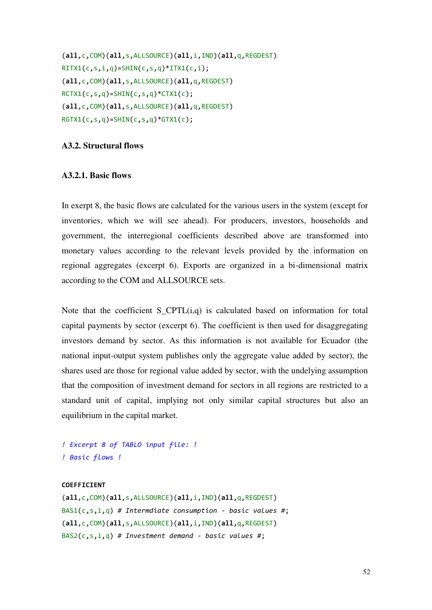```
(all,c,COM)(all,s,ALLSOURCE)(all,i,IND)(all,q,REGDEST) 
RITX1(c,s,i,q)=SHIN(c,s,q)*ITX1(c,i);(all,c,COM)(all,s,ALLSOURCE)(all,q,REGDEST) 
RCTX1(c,s,q)=SHIN(c,s,q)*CTX1(c);(all,c,COM)(all,s,ALLSOURCE)(all,q,REGDEST) 
RGTX1(c,s,q)=SHIN(c,s,q)*GTX1(c);
```
# **A3.2. Structural flows**

# **A3.2.1. Basic flows**

In exerpt 8, the basic flows are calculated for the various users in the system (except for inventories, which we will see ahead). For producers, investors, households and government, the interregional coefficients described above are transformed into monetary values according to the relevant levels provided by the information on regional aggregates (excerpt 6). Exports are organized in a bi-dimensional matrix according to the COM and ALLSOURCE sets.

Note that the coefficient S CPTL $(i,q)$  is calculated based on information for total capital payments by sector (excerpt 6). The coefficient is then used for disaggregating investors demand by sector. As this information is not available for Ecuador (the national input-output system publishes only the aggregate value added by sector), the shares used are those for regional value added by sector, with the undelying assumption that the composition of investment demand for sectors in all regions are restricted to a standard unit of capital, implying not only similar capital structures but also an equilibrium in the capital market.

*! Excerpt 8 of TABLO input file: ! ! Basic flows !* 

# **COEFFICIENT**

```
(all,c,COM)(all,s,ALLSOURCE)(all,i,IND)(all,q,REGDEST) 
BAS1(c,s,i,q) # Intermdiate consumption - basic values #; 
(all,c,COM)(all,s,ALLSOURCE)(all,i,IND)(all,q,REGDEST) 
BAS2(c,s,i,q) # Investment demand - basic values #;
```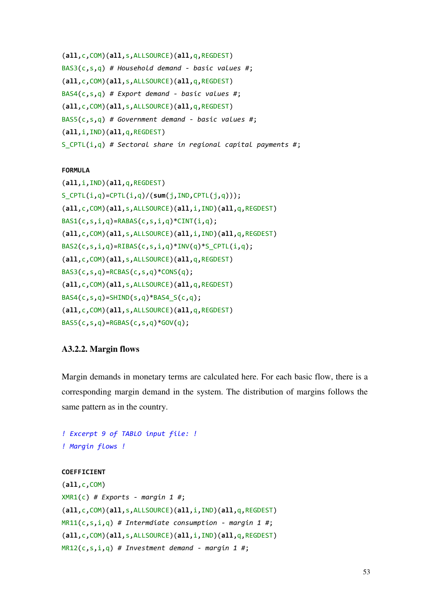```
(all,c,COM)(all,s,ALLSOURCE)(all,q,REGDEST) 
BAS3(c,s,q) # Household demand - basic values #; 
(all,c,COM)(all,s,ALLSOURCE)(all,q,REGDEST) 
BAS4(c,s,q) # Export demand - basic values #; 
(all,c,COM)(all,s,ALLSOURCE)(all,q,REGDEST) 
BAS5(c,s,q) # Government demand - basic values #; 
(all,i,IND)(all,q,REGDEST) 
S_CPTL(i,q) # Sectoral share in regional capital payments #;
```
# **FORMULA**

```
(all,i,IND)(all,q,REGDEST) 
S_CPTL(i,q)=CPTL(i,q)/(sum(j,IND,CPTL(j,q))); 
(all,c,COM)(all,s,ALLSOURCE)(all,i,IND)(all,q,REGDEST) 
BAS1(c, s, i, q) = RABAS(c, s, i, q) * CINT(i, q);(all,c,COM)(all,s,ALLSOURCE)(all,i,IND)(all,q,REGDEST) 
BAS2(c,s,i,q)=RIBAS(c,s,i,q)*INV(q)*S_CPTL(i,q);(all,c,COM)(all,s,ALLSOURCE)(all,q,REGDEST) 
BAS3(c,s,q)=RCBAS(c,s,q)*CONS(q); 
(all,c,COM)(all,s,ALLSOURCE)(all,q,REGDEST) 
BAS4(c,s,q)=SHIND(s,q)*BAS4_S(c,q);(all,c,COM)(all,s,ALLSOURCE)(all,q,REGDEST) 
BAS5(c,s,q)=RGBAS(c,s,q)*GOV(q);
```
# **A3.2.2. Margin flows**

Margin demands in monetary terms are calculated here. For each basic flow, there is a corresponding margin demand in the system. The distribution of margins follows the same pattern as in the country.

```
! Excerpt 9 of TABLO input file: ! 
! Margin flows !
```
# **COEFFICIENT**

```
(all,c,COM) 
XMR1(c) # Exports - margin 1 #; 
(all,c,COM)(all,s,ALLSOURCE)(all,i,IND)(all,q,REGDEST) 
MR11(c,s,i,q) # Intermdiate consumption - margin 1 #; 
(all,c,COM)(all,s,ALLSOURCE)(all,i,IND)(all,q,REGDEST) 
MR12(c,s,i,q) # Investment demand - margin 1 #;
```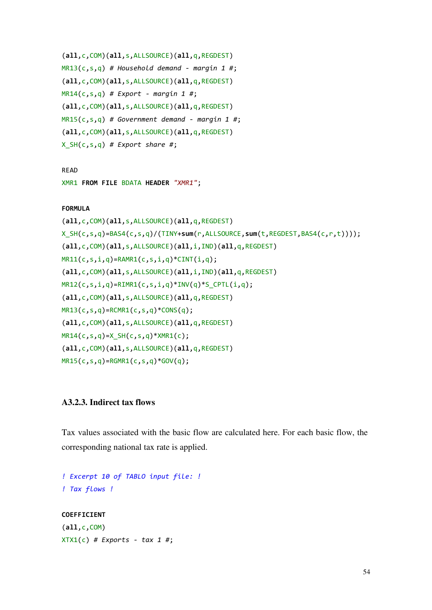```
(all,c,COM)(all,s,ALLSOURCE)(all,q,REGDEST) 
MR13(c,s,q) # Household demand - margin 1 #; 
(all,c,COM)(all,s,ALLSOURCE)(all,q,REGDEST) 
MR14(c,s,q) # Export - margin 1 #; 
(all,c,COM)(all,s,ALLSOURCE)(all,q,REGDEST) 
MR15(c,s,q) # Government demand - margin 1 #; 
(all,c,COM)(all,s,ALLSOURCE)(all,q,REGDEST) 
X_SH(c,s,q) # Export share #;
```
READ

XMR1 **FROM FILE** BDATA **HEADER** *"XMR1"*;

## **FORMULA**

```
(all,c,COM)(all,s,ALLSOURCE)(all,q,REGDEST) 
X_SH(c,s,q)=BAS4(c,s,q)/(TINY+sum(r,ALLSOURCE,sum(t,REGDEST,BAS4(c,r,t)))); 
(all,c,COM)(all,s,ALLSOURCE)(all,i,IND)(all,q,REGDEST) 
MR11(c,s,i,q)=RAMR1(c,s,i,q)*CINT(i,q);
(all,c,COM)(all,s,ALLSOURCE)(all,i,IND)(all,q,REGDEST) 
MR12(c,s,i,q)=RIMR1(c,s,i,q)*INV(q)*S_CPTL(i,q);
(all,c,COM)(all,s,ALLSOURCE)(all,q,REGDEST) 
MR13(c,s,q)=RCMR1(c,s,q)*CONS(q); 
(all,c,COM)(all,s,ALLSOURCE)(all,q,REGDEST) 
MR14(c,s,q)=X_SH(c,s,q)*XMR1(c);
(all,c,COM)(all,s,ALLSOURCE)(all,q,REGDEST) 
MR15(c,s,q)=RGMR1(c,s,q)*GOV(q);
```
# **A3.2.3. Indirect tax flows**

Tax values associated with the basic flow are calculated here. For each basic flow, the corresponding national tax rate is applied.

```
! Excerpt 10 of TABLO input file: ! 
! Tax flows ! 
COEFFICIENT
(all,c,COM) 
XTX1(c) # Exports - tax 1 #;
```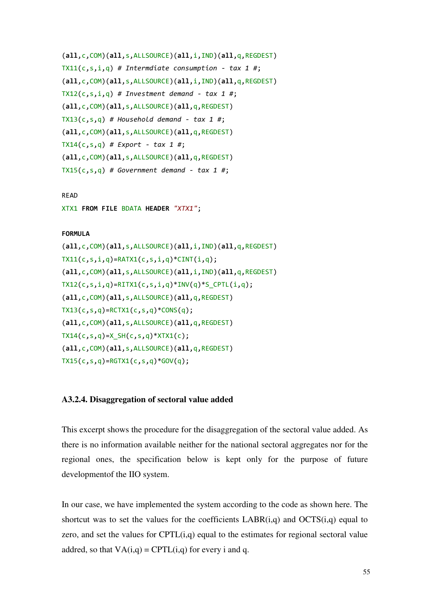```
(all,c,COM)(all,s,ALLSOURCE)(all,i,IND)(all,q,REGDEST) 
TX11(c,s,i,q) # Intermdiate consumption - tax 1 #; 
(all,c,COM)(all,s,ALLSOURCE)(all,i,IND)(all,q,REGDEST) 
TX12(c,s,i,q) # Investment demand - tax 1 #; 
(all,c,COM)(all,s,ALLSOURCE)(all,q,REGDEST) 
TX13(c,s,q) # Household demand - tax 1 #; 
(all,c,COM)(all,s,ALLSOURCE)(all,q,REGDEST) 
TX14(c,s,q) # Export - tax 1 #; 
(all,c,COM)(all,s,ALLSOURCE)(all,q,REGDEST) 
TX15(c,s,q) # Government demand - tax 1 #;
```
READ

XTX1 **FROM FILE** BDATA **HEADER** *"XTX1"*;

## **FORMULA**

```
(all,c,COM)(all,s,ALLSOURCE)(all,i,IND)(all,q,REGDEST) 
TX11(c,s,i,q)=RATX1(c,s,i,q)*CINT(i,q);(all,c,COM)(all,s,ALLSOURCE)(all,i,IND)(all,q,REGDEST) 
TX12(c,s,i,q)=RITX1(c,s,i,q)*INV(q)*SCPTL(i,q);(all,c,COM)(all,s,ALLSOURCE)(all,q,REGDEST) 
TX13(c, s, q) = RCTX1(c, s, q) * CONS(q);(all,c,COM)(all,s,ALLSOURCE)(all,q,REGDEST) 
TX14(c, s, q) = X_S H(c, s, q) * XTX1(c);(all,c,COM)(all,s,ALLSOURCE)(all,q,REGDEST) 
TX15(c, s, q) = RGTX1(c, s, q) * GOV(q);
```
# **A3.2.4. Disaggregation of sectoral value added**

This excerpt shows the procedure for the disaggregation of the sectoral value added. As there is no information available neither for the national sectoral aggregates nor for the regional ones, the specification below is kept only for the purpose of future developmentof the IIO system.

In our case, we have implemented the system according to the code as shown here. The shortcut was to set the values for the coefficients  $LABR(i,q)$  and  $OCTS(i,q)$  equal to zero, and set the values for  $CPTL(i,q)$  equal to the estimates for regional sectoral value addred, so that  $VA(i,q) = CPTL(i,q)$  for every i and q.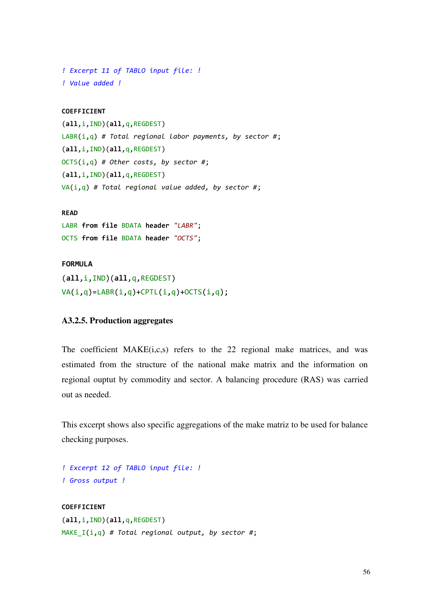```
! Excerpt 11 of TABLO input file: ! 
! Value added !
```
# **COEFFICIENT**

```
(all,i,IND)(all,q,REGDEST) 
LABR(i,q) # Total regional labor payments, by sector #; 
(all,i,IND)(all,q,REGDEST) 
OCTS(i,q) # Other costs, by sector #; 
(all,i,IND)(all,q,REGDEST) 
VA(i,q) # Total regional value added, by sector #;
```
# **READ**

LABR **from file** BDATA **header** *"LABR"*; OCTS **from file** BDATA **header** *"OCTS"*;

## **FORMULA**

(**all**,i,IND)(**all**,q,REGDEST)  $VA(i,q)=LABR(i,q)+CPTL(i,q)+OCTS(i,q);$ 

# **A3.2.5. Production aggregates**

The coefficient MAKE(i,c,s) refers to the 22 regional make matrices, and was estimated from the structure of the national make matrix and the information on regional ouptut by commodity and sector. A balancing procedure (RAS) was carried out as needed.

This excerpt shows also specific aggregations of the make matriz to be used for balance checking purposes.

```
! Excerpt 12 of TABLO input file: ! 
! Gross output !
```

```
COEFFICIENT
(all,i,IND)(all,q,REGDEST) 
MAKE_I(i,q) # Total regional output, by sector #;
```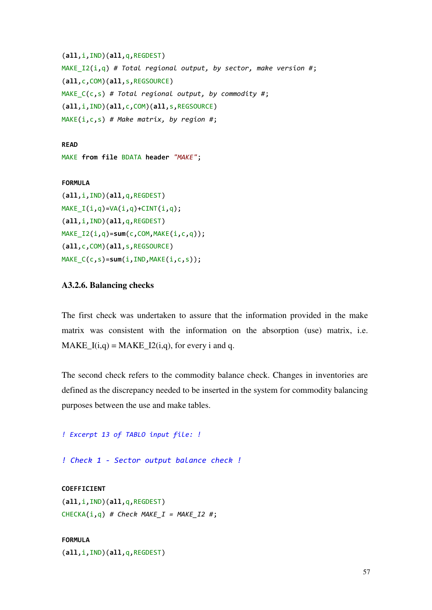```
(all,i,IND)(all,q,REGDEST) 
MAKE_I2(i,q) # Total regional output, by sector, make version #; 
(all,c,COM)(all,s,REGSOURCE) 
MAKE_C(c,s) # Total regional output, by commodity #; 
(all,i,IND)(all,c,COM)(all,s,REGSOURCE) 
MAKE(i,c,s) # Make matrix, by region #;
```
### **READ**

```
MAKE from file BDATA header "MAKE";
```
#### **FORMULA**

```
(all,i,IND)(all,q,REGDEST) 
MAKE_I(i,q)=VA(i,q)+CINT(i,q);(all,i,IND)(all,q,REGDEST) 
MAKE_I2(i,q)=sum(c,COM,MAKE(i,c,q)); 
(all,c,COM)(all,s,REGSOURCE) 
MAKE_C(c,s)=sum(i,IND,MAKE(i,c,s));
```
# **A3.2.6. Balancing checks**

The first check was undertaken to assure that the information provided in the make matrix was consistent with the information on the absorption (use) matrix, i.e. MAKE  $I(i,q) = \text{MAKE}$   $I2(i,q)$ , for every i and q.

The second check refers to the commodity balance check. Changes in inventories are defined as the discrepancy needed to be inserted in the system for commodity balancing purposes between the use and make tables.

```
! Excerpt 13 of TABLO input file: !
```
*! Check 1 - Sector output balance check !* 

# **COEFFICIENT**

```
(all,i,IND)(all,q,REGDEST) 
CHECKA(i,q) # Check MAKE_I = MAKE_I2 #;
```
# **FORMULA**

(**all**,i,IND)(**all**,q,REGDEST)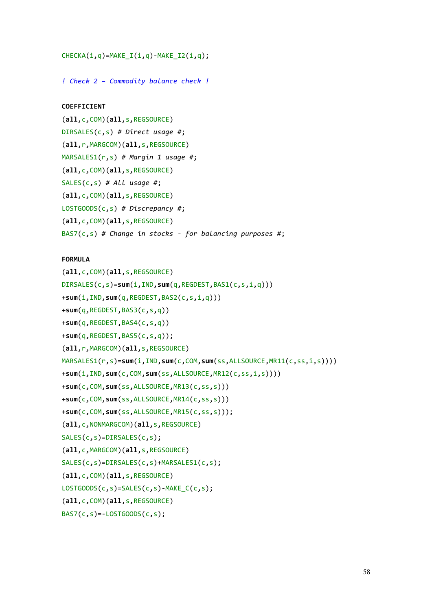```
CHECKA(i,q)=MAKE_I(i,q)-MAKE_I2(i,q);
```
*! Check 2 – Commodity balance check !* 

## **COEFFICIENT**

```
(all,c,COM)(all,s,REGSOURCE) 
DIRSALES(c,s) # Direct usage #; 
(all,r,MARGCOM)(all,s,REGSOURCE) 
MARSALES1(r,s) # Margin 1 usage #; 
(all,c,COM)(all,s,REGSOURCE) 
SALES(c,s) # All usage #; 
(all,c,COM)(all,s,REGSOURCE) 
LOSTGOODS(c,s) # Discrepancy #; 
(all,c,COM)(all,s,REGSOURCE) 
BAS7(c,s) # Change in stocks - for balancing purposes #;
```
# **FORMULA**

```
(all,c,COM)(all,s,REGSOURCE) 
DIRSALES(c,s)=sum(i,IND,sum(q,REGDEST,BAS1(c,s,i,q))) 
+sum(i,IND,sum(q,REGDEST,BAS2(c,s,i,q)))
+sum(q,REGDEST,BAS3(c,s,q))
+sum(q,REGDEST,BAS4(c,s,q))
+sum(q,REGDEST,BAS5(c,s,q));
(all,r,MARGCOM)(all,s,REGSOURCE) 
MARSALES1(r,s)=sum(i,IND,sum(c,COM,sum(ss,ALLSOURCE,MR11(c,ss,i,s)))) 
+sum(i,IND,sum(c,COM,sum(ss,ALLSOURCE,MR12(c,ss,i,s)))) 
+sum(c,COM,sum(ss,ALLSOURCE,MR13(c,ss,s))) 
+sum(c,COM,sum(ss,ALLSOURCE,MR14(c,ss,s))) 
+sum(c,COM,sum(ss,ALLSOURCE,MR15(c,ss,s))); 
(all,c,NONMARGCOM)(all,s,REGSOURCE) 
SALES(c,s)=DIRSALES(c,s);
(all,c,MARGCOM)(all,s,REGSOURCE) 
SALES(c,s)=DIRSALES(c,s)+MARSALES1(c,s);
(all,c,COM)(all,s,REGSOURCE) 
LOSTGOODS(c,s)=SALES(c,s)-MAKE_C(c,s);
(all,c,COM)(all,s,REGSOURCE) 
BAS7(c,s) = -LOSTGOODS(c,s);
```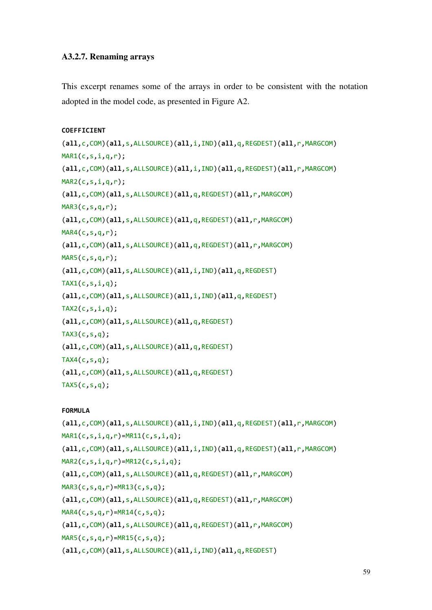# **A3.2.7. Renaming arrays**

This excerpt renames some of the arrays in order to be consistent with the notation adopted in the model code, as presented in Figure A2.

```
COEFFICIENT
```

```
(all,c,COM)(all,s,ALLSOURCE)(all,i,IND)(all,q,REGDEST)(all,r,MARGCOM) 
MARI(c,s,i,q,r);(all,c,COM)(all,s,ALLSOURCE)(all,i,IND)(all,q,REGDEST)(all,r,MARGCOM) 
MAR2(c,s,i,q,r);(all,c,COM)(all,s,ALLSOURCE)(all,q,REGDEST)(all,r,MARGCOM) 
MAR3(c,s,q,r);(all,c,COM)(all,s,ALLSOURCE)(all,q,REGDEST)(all,r,MARGCOM) 
MAR4(c,s,q,r);(all,c,COM)(all,s,ALLSOURCE)(all,q,REGDEST)(all,r,MARGCOM) 
MAR5(c,s,q,r);(all,c,COM)(all,s,ALLSOURCE)(all,i,IND)(all,q,REGDEST) 
TAX1(c,s,i,q);(all,c,COM)(all,s,ALLSOURCE)(all,i,IND)(all,q,REGDEST) 
TX2(c,s,i,q);(all,c,COM)(all,s,ALLSOURCE)(all,q,REGDEST) 
TAX3(c,s,q);(all,c,COM)(all,s,ALLSOURCE)(all,q,REGDEST) 
TAX4(c,s,q);(all,c,COM)(all,s,ALLSOURCE)(all,q,REGDEST) 
TX5(c,s,q);
```
# **FORMULA**

```
(all,c,COM)(all,s,ALLSOURCE)(all,i,IND)(all,q,REGDEST)(all,r,MARGCOM) 
MAR1(c,s,i,q,r) = MR11(c,s,i,q);(all,c,COM)(all,s,ALLSOURCE)(all,i,IND)(all,q,REGDEST)(all,r,MARGCOM) 
MAR2(c,s,i,q,r) = MR12(c,s,i,q);(all,c,COM)(all,s,ALLSOURCE)(all,q,REGDEST)(all,r,MARGCOM) 
MAR3(c,s,q,r)=MR13(c,s,q); 
(all,c,COM)(all,s,ALLSOURCE)(all,q,REGDEST)(all,r,MARGCOM) 
MAR4(c,s,q,r)=MR14(c,s,q);
(all,c,COM)(all,s,ALLSOURCE)(all,q,REGDEST)(all,r,MARGCOM) 
MAR5(c,s,q,r)=MR15(c,s,q);
(all,c,COM)(all,s,ALLSOURCE)(all,i,IND)(all,q,REGDEST)
```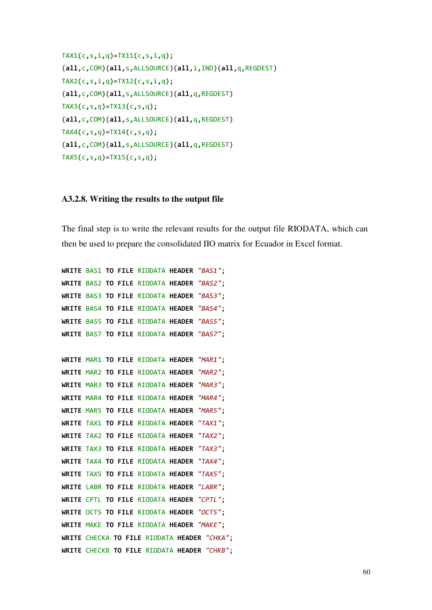```
TX1(c,s,i,q)=TX11(c,s,i,q);
(all,c,COM)(all,s,ALLSOURCE)(all,i,IND)(all,q,REGDEST) 
TX2(c,s,i,q)=TX12(c,s,i,q);
(all,c,COM)(all,s,ALLSOURCE)(all,q,REGDEST) 
TX3(c, s, q) = TX13(c, s, q);(all,c,COM)(all,s,ALLSOURCE)(all,q,REGDEST) 
TX4(c,s,q)=TX14(c,s,q);(all,c,COM)(all,s,ALLSOURCE)(all,q,REGDEST) 
TX5(c, s, q) = TX15(c, s, q);
```
## **A3.2.8. Writing the results to the output file**

The final step is to write the relevant results for the output file RIODATA, which can then be used to prepare the consolidated IIO matrix for Ecuador in Excel format.

```
WRITE BAS1 TO FILE RIODATA HEADER "BAS1"; 
WRITE BAS2 TO FILE RIODATA HEADER "BAS2"; 
WRITE BAS3 TO FILE RIODATA HEADER "BAS3"; 
WRITE BAS4 TO FILE RIODATA HEADER "BAS4"; 
WRITE BAS5 TO FILE RIODATA HEADER "BAS5"; 
WRITE BAS7 TO FILE RIODATA HEADER "BAS7";
```

```
WRITE MAR1 TO FILE RIODATA HEADER "MAR1"; 
WRITE MAR2 TO FILE RIODATA HEADER "MAR2"; 
WRITE MAR3 TO FILE RIODATA HEADER "MAR3"; 
WRITE MAR4 TO FILE RIODATA HEADER "MAR4"; 
WRITE MAR5 TO FILE RIODATA HEADER "MAR5"; 
WRITE TAX1 TO FILE RIODATA HEADER "TAX1"; 
WRITE TAX2 TO FILE RIODATA HEADER "TAX2"; 
WRITE TAX3 TO FILE RIODATA HEADER "TAX3"; 
WRITE TAX4 TO FILE RIODATA HEADER "TAX4"; 
WRITE TAX5 TO FILE RIODATA HEADER "TAX5"; 
WRITE LABR TO FILE RIODATA HEADER "LABR"; 
WRITE CPTL TO FILE RIODATA HEADER "CPTL"; 
WRITE OCTS TO FILE RIODATA HEADER "OCTS"; 
WRITE MAKE TO FILE RIODATA HEADER "MAKE"; 
WRITE CHECKA TO FILE RIODATA HEADER "CHKA"; 
WRITE CHECKB TO FILE RIODATA HEADER "CHKB";
```